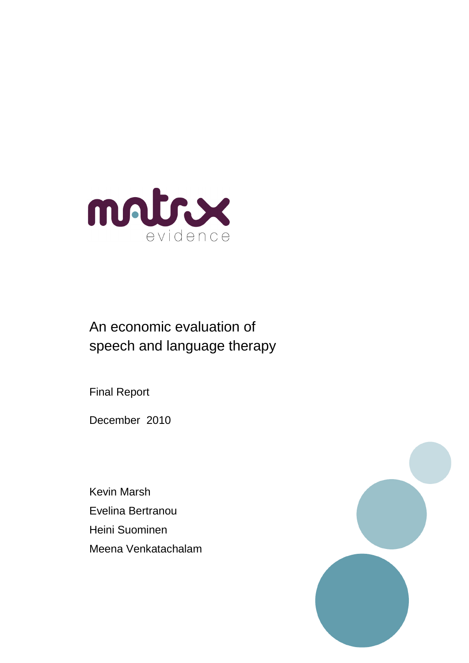

# An economic evaluation of speech and language therapy

Final Report

December 2010

Kevin Marsh Evelina Bertranou Heini Suominen Meena Venkatachalam

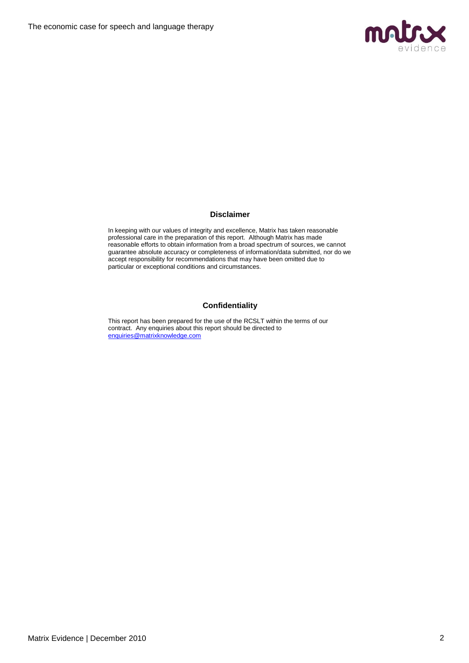

#### **Disclaimer**

In keeping with our values of integrity and excellence, Matrix has taken reasonable professional care in the preparation of this report. Although Matrix has made reasonable efforts to obtain information from a broad spectrum of sources, we cannot guarantee absolute accuracy or completeness of information/data submitted, nor do we accept responsibility for recommendations that may have been omitted due to particular or exceptional conditions and circumstances.

#### **Confidentiality**

This report has been prepared for the use of the RCSLT within the terms of our contract. Any enquiries about this report should be directed to [enquiries@matrixknowledge.com](mailto:enquiries@matrixknowledge.com)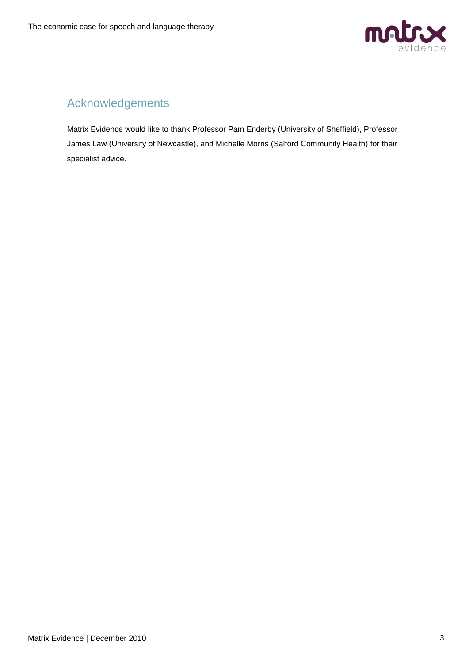

## Acknowledgements

Matrix Evidence would like to thank Professor Pam Enderby (University of Sheffield), Professor James Law (University of Newcastle), and Michelle Morris (Salford Community Health) for their specialist advice.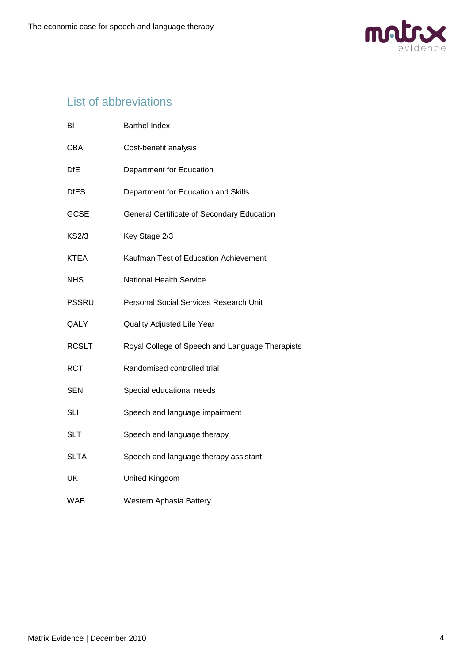

## List of abbreviations

| BI           | <b>Barthel Index</b>                            |
|--------------|-------------------------------------------------|
| <b>CBA</b>   | Cost-benefit analysis                           |
| <b>DfE</b>   | <b>Department for Education</b>                 |
| <b>DfES</b>  | Department for Education and Skills             |
| <b>GCSE</b>  | General Certificate of Secondary Education      |
| <b>KS2/3</b> | Key Stage 2/3                                   |
| <b>KTEA</b>  | Kaufman Test of Education Achievement           |
| <b>NHS</b>   | <b>National Health Service</b>                  |
| <b>PSSRU</b> | Personal Social Services Research Unit          |
| QALY         | <b>Quality Adjusted Life Year</b>               |
| <b>RCSLT</b> | Royal College of Speech and Language Therapists |
| <b>RCT</b>   | Randomised controlled trial                     |
| SEN          | Special educational needs                       |
| SLI          | Speech and language impairment                  |
| <b>SLT</b>   | Speech and language therapy                     |
| <b>SLTA</b>  | Speech and language therapy assistant           |
| UK           | United Kingdom                                  |
| WAB          | Western Aphasia Battery                         |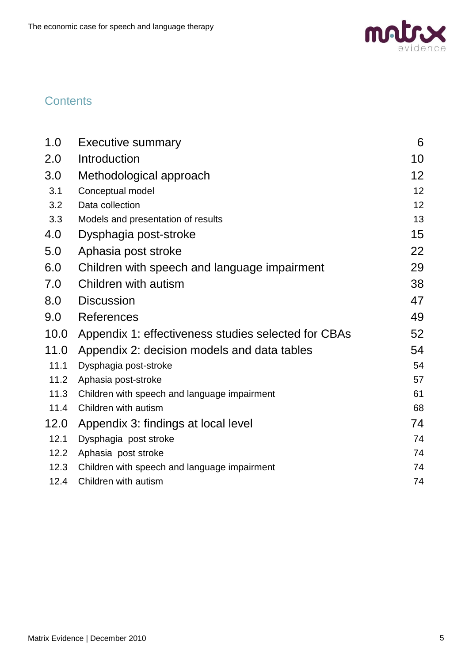

## **Contents**

| 1.0  | <b>Executive summary</b>                            | 6  |
|------|-----------------------------------------------------|----|
| 2.0  | Introduction                                        | 10 |
| 3.0  | Methodological approach                             | 12 |
| 3.1  | Conceptual model                                    | 12 |
| 3.2  | Data collection                                     | 12 |
| 3.3  | Models and presentation of results                  | 13 |
| 4.0  | Dysphagia post-stroke                               | 15 |
| 5.0  | Aphasia post stroke                                 | 22 |
| 6.0  | Children with speech and language impairment        | 29 |
| 7.0  | Children with autism                                | 38 |
| 8.0  | <b>Discussion</b>                                   | 47 |
| 9.0  | References                                          | 49 |
| 10.0 | Appendix 1: effectiveness studies selected for CBAs | 52 |
| 11.0 | Appendix 2: decision models and data tables         | 54 |
| 11.1 | Dysphagia post-stroke                               | 54 |
| 11.2 | Aphasia post-stroke                                 | 57 |
| 11.3 | Children with speech and language impairment        | 61 |
| 11.4 | Children with autism                                | 68 |
| 12.0 | Appendix 3: findings at local level                 | 74 |
| 12.1 | Dysphagia post stroke                               | 74 |
| 12.2 | Aphasia post stroke                                 | 74 |
| 12.3 | Children with speech and language impairment        | 74 |
| 12.4 | Children with autism                                | 74 |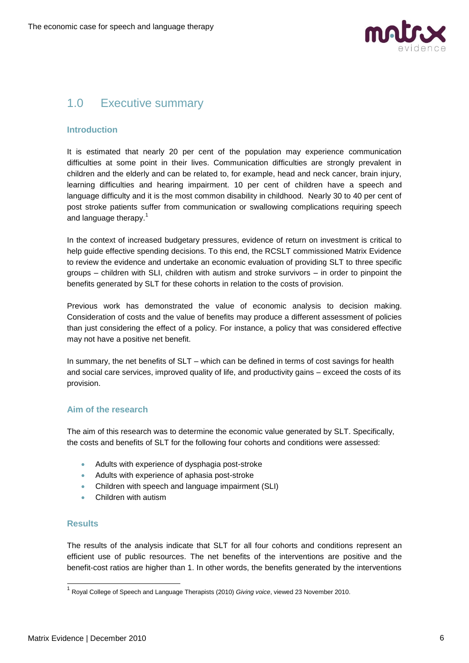

## <span id="page-5-0"></span>1.0 Executive summary

### **Introduction**

It is estimated that nearly 20 per cent of the population may experience communication difficulties at some point in their lives. Communication difficulties are strongly prevalent in children and the elderly and can be related to, for example, head and neck cancer, brain injury, learning difficulties and hearing impairment. 10 per cent of children have a speech and language difficulty and it is the most common disability in childhood. Nearly 30 to 40 per cent of post stroke patients suffer from communication or swallowing complications requiring speech and language therapy.<sup>1</sup>

In the context of increased budgetary pressures, evidence of return on investment is critical to help guide effective spending decisions. To this end, the RCSLT commissioned Matrix Evidence to review the evidence and undertake an economic evaluation of providing SLT to three specific groups – children with SLI, children with autism and stroke survivors – in order to pinpoint the benefits generated by SLT for these cohorts in relation to the costs of provision.

Previous work has demonstrated the value of economic analysis to decision making. Consideration of costs and the value of benefits may produce a different assessment of policies than just considering the effect of a policy. For instance, a policy that was considered effective may not have a positive net benefit.

In summary, the net benefits of SLT – which can be defined in terms of cost savings for health and social care services, improved quality of life, and productivity gains – exceed the costs of its provision.

## **Aim of the research**

The aim of this research was to determine the economic value generated by SLT. Specifically, the costs and benefits of SLT for the following four cohorts and conditions were assessed:

- Adults with experience of dysphagia post-stroke
- Adults with experience of aphasia post-stroke
- Children with speech and language impairment (SLI)
- Children with autism

## **Results**

1

The results of the analysis indicate that SLT for all four cohorts and conditions represent an efficient use of public resources. The net benefits of the interventions are positive and the benefit-cost ratios are higher than 1. In other words, the benefits generated by the interventions

<sup>1</sup> Royal College of Speech and Language Therapists (2010) *Giving voice*, viewed 23 November 2010.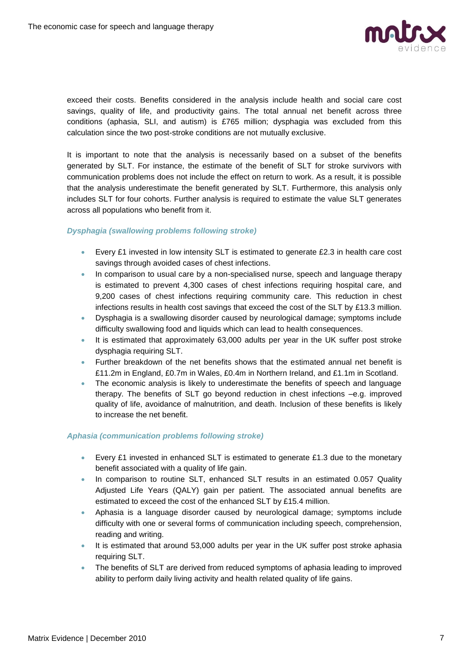

exceed their costs. Benefits considered in the analysis include health and social care cost savings, quality of life, and productivity gains. The total annual net benefit across three conditions (aphasia, SLI, and autism) is £765 million; dysphagia was excluded from this calculation since the two post-stroke conditions are not mutually exclusive.

It is important to note that the analysis is necessarily based on a subset of the benefits generated by SLT. For instance, the estimate of the benefit of SLT for stroke survivors with communication problems does not include the effect on return to work. As a result, it is possible that the analysis underestimate the benefit generated by SLT. Furthermore, this analysis only includes SLT for four cohorts. Further analysis is required to estimate the value SLT generates across all populations who benefit from it.

#### *Dysphagia (swallowing problems following stroke)*

- Every £1 invested in low intensity SLT is estimated to generate £2.3 in health care cost savings through avoided cases of chest infections.
- In comparison to usual care by a non-specialised nurse, speech and language therapy is estimated to prevent 4,300 cases of chest infections requiring hospital care, and 9,200 cases of chest infections requiring community care. This reduction in chest infections results in health cost savings that exceed the cost of the SLT by £13.3 million.
- Dysphagia is a swallowing disorder caused by neurological damage; symptoms include difficulty swallowing food and liquids which can lead to health consequences.
- It is estimated that approximately 63,000 adults per year in the UK suffer post stroke dysphagia requiring SLT.
- Further breakdown of the net benefits shows that the estimated annual net benefit is £11.2m in England, £0.7m in Wales, £0.4m in Northern Ireland, and £1.1m in Scotland.
- The economic analysis is likely to underestimate the benefits of speech and language therapy. The benefits of SLT go beyond reduction in chest infections –e.g. improved quality of life, avoidance of malnutrition, and death. Inclusion of these benefits is likely to increase the net benefit.

#### *Aphasia (communication problems following stroke)*

- Every £1 invested in enhanced SLT is estimated to generate £1.3 due to the monetary benefit associated with a quality of life gain.
- In comparison to routine SLT, enhanced SLT results in an estimated 0.057 Quality Adjusted Life Years (QALY) gain per patient. The associated annual benefits are estimated to exceed the cost of the enhanced SLT by £15.4 million.
- Aphasia is a language disorder caused by neurological damage; symptoms include difficulty with one or several forms of communication including speech, comprehension, reading and writing.
- It is estimated that around 53,000 adults per year in the UK suffer post stroke aphasia requiring SLT.
- The benefits of SLT are derived from reduced symptoms of aphasia leading to improved ability to perform daily living activity and health related quality of life gains.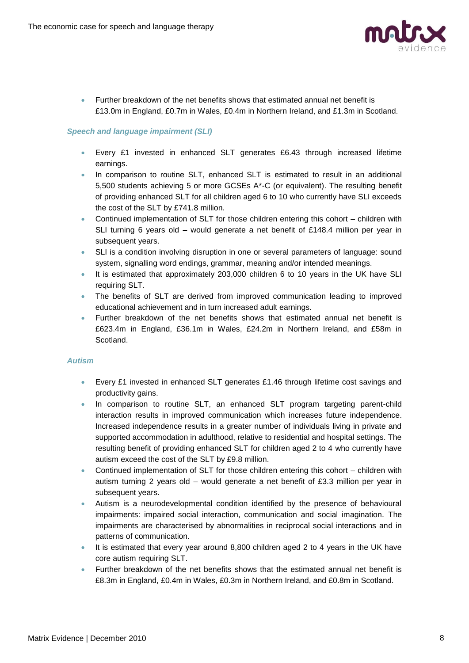

 Further breakdown of the net benefits shows that estimated annual net benefit is £13.0m in England, £0.7m in Wales, £0.4m in Northern Ireland, and £1.3m in Scotland.

#### *Speech and language impairment (SLI)*

- Every £1 invested in enhanced SLT generates £6.43 through increased lifetime earnings.
- In comparison to routine SLT, enhanced SLT is estimated to result in an additional 5,500 students achieving 5 or more GCSEs A\*-C (or equivalent). The resulting benefit of providing enhanced SLT for all children aged 6 to 10 who currently have SLI exceeds the cost of the SLT by £741.8 million.
- Continued implementation of SLT for those children entering this cohort children with SLI turning 6 years old – would generate a net benefit of £148.4 million per year in subsequent years.
- SLI is a condition involving disruption in one or several parameters of language: sound system, signalling word endings, grammar, meaning and/or intended meanings.
- It is estimated that approximately 203,000 children 6 to 10 years in the UK have SLI requiring SLT.
- The benefits of SLT are derived from improved communication leading to improved educational achievement and in turn increased adult earnings.
- Further breakdown of the net benefits shows that estimated annual net benefit is £623.4m in England, £36.1m in Wales, £24.2m in Northern Ireland, and £58m in Scotland.

#### *Autism*

- Every £1 invested in enhanced SLT generates £1.46 through lifetime cost savings and productivity gains.
- In comparison to routine SLT, an enhanced SLT program targeting parent-child interaction results in improved communication which increases future independence. Increased independence results in a greater number of individuals living in private and supported accommodation in adulthood, relative to residential and hospital settings. The resulting benefit of providing enhanced SLT for children aged 2 to 4 who currently have autism exceed the cost of the SLT by £9.8 million.
- Continued implementation of SLT for those children entering this cohort children with autism turning 2 years old – would generate a net benefit of £3.3 million per year in subsequent years.
- Autism is a neurodevelopmental condition identified by the presence of behavioural impairments: impaired social interaction, communication and social imagination. The impairments are characterised by abnormalities in reciprocal social interactions and in patterns of communication.
- It is estimated that every year around 8,800 children aged 2 to 4 years in the UK have core autism requiring SLT.
- Further breakdown of the net benefits shows that the estimated annual net benefit is £8.3m in England, £0.4m in Wales, £0.3m in Northern Ireland, and £0.8m in Scotland.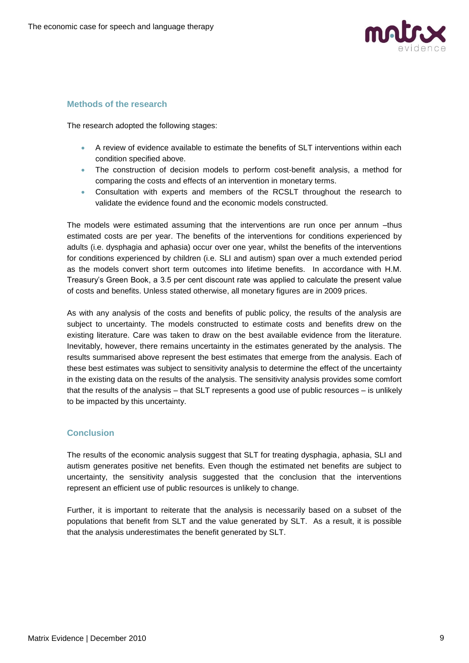

#### **Methods of the research**

The research adopted the following stages:

- A review of evidence available to estimate the benefits of SLT interventions within each condition specified above.
- The construction of decision models to perform cost-benefit analysis, a method for comparing the costs and effects of an intervention in monetary terms.
- Consultation with experts and members of the RCSLT throughout the research to validate the evidence found and the economic models constructed.

The models were estimated assuming that the interventions are run once per annum –thus estimated costs are per year. The benefits of the interventions for conditions experienced by adults (i.e. dysphagia and aphasia) occur over one year, whilst the benefits of the interventions for conditions experienced by children (i.e. SLI and autism) span over a much extended period as the models convert short term outcomes into lifetime benefits. In accordance with H.M. Treasury's Green Book, a 3.5 per cent discount rate was applied to calculate the present value of costs and benefits. Unless stated otherwise, all monetary figures are in 2009 prices.

As with any analysis of the costs and benefits of public policy, the results of the analysis are subject to uncertainty. The models constructed to estimate costs and benefits drew on the existing literature. Care was taken to draw on the best available evidence from the literature. Inevitably, however, there remains uncertainty in the estimates generated by the analysis. The results summarised above represent the best estimates that emerge from the analysis. Each of these best estimates was subject to sensitivity analysis to determine the effect of the uncertainty in the existing data on the results of the analysis. The sensitivity analysis provides some comfort that the results of the analysis – that SLT represents a good use of public resources – is unlikely to be impacted by this uncertainty.

## **Conclusion**

The results of the economic analysis suggest that SLT for treating dysphagia, aphasia, SLI and autism generates positive net benefits. Even though the estimated net benefits are subject to uncertainty, the sensitivity analysis suggested that the conclusion that the interventions represent an efficient use of public resources is unlikely to change.

Further, it is important to reiterate that the analysis is necessarily based on a subset of the populations that benefit from SLT and the value generated by SLT. As a result, it is possible that the analysis underestimates the benefit generated by SLT.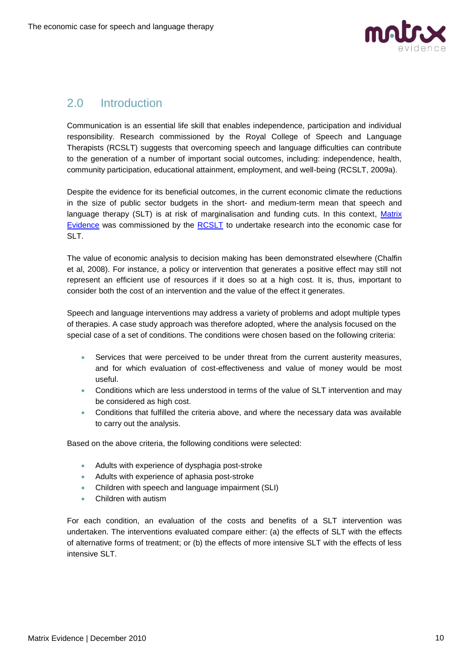

## <span id="page-9-0"></span>2.0 Introduction

Communication is an essential life skill that enables independence, participation and individual responsibility. Research commissioned by the Royal College of Speech and Language Therapists (RCSLT) suggests that overcoming speech and language difficulties can contribute to the generation of a number of important social outcomes, including: independence, health, community participation, educational attainment, employment, and well-being (RCSLT, 2009a).

Despite the evidence for its beneficial outcomes, in the current economic climate the reductions in the size of public sector budgets in the short- and medium-term mean that speech and language therapy (SLT) is at risk of marginalisation and funding cuts. In this context, [Matrix](http://www.matrixknowledge.com/evidence)  [Evidence](http://www.matrixknowledge.com/evidence) was commissioned by the [RCSLT](http://www.rcslt.org/) to undertake research into the economic case for SLT.

The value of economic analysis to decision making has been demonstrated elsewhere (Chalfin et al, 2008). For instance, a policy or intervention that generates a positive effect may still not represent an efficient use of resources if it does so at a high cost. It is, thus, important to consider both the cost of an intervention and the value of the effect it generates.

Speech and language interventions may address a variety of problems and adopt multiple types of therapies. A case study approach was therefore adopted, where the analysis focused on the special case of a set of conditions. The conditions were chosen based on the following criteria:

- Services that were perceived to be under threat from the current austerity measures, and for which evaluation of cost-effectiveness and value of money would be most useful.
- Conditions which are less understood in terms of the value of SLT intervention and may be considered as high cost.
- Conditions that fulfilled the criteria above, and where the necessary data was available to carry out the analysis.

Based on the above criteria, the following conditions were selected:

- Adults with experience of dysphagia post-stroke
- Adults with experience of aphasia post-stroke
- Children with speech and language impairment (SLI)
- Children with autism

For each condition, an evaluation of the costs and benefits of a SLT intervention was undertaken. The interventions evaluated compare either: (a) the effects of SLT with the effects of alternative forms of treatment; or (b) the effects of more intensive SLT with the effects of less intensive SLT.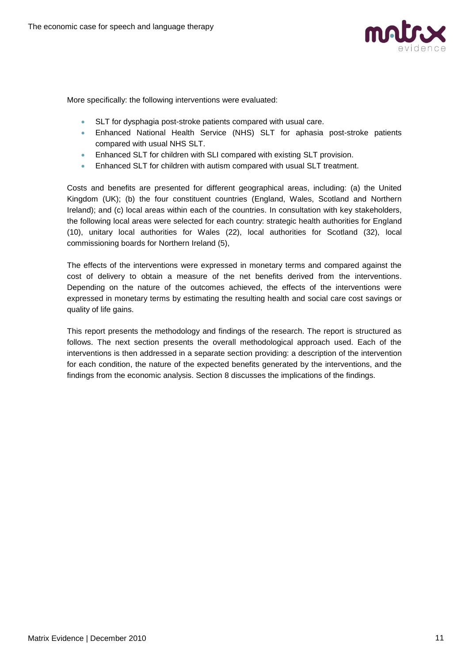

More specifically: the following interventions were evaluated:

- SLT for dysphagia post-stroke patients compared with usual care.
- Enhanced National Health Service (NHS) SLT for aphasia post-stroke patients compared with usual NHS SLT.
- Enhanced SLT for children with SLI compared with existing SLT provision.
- Enhanced SLT for children with autism compared with usual SLT treatment.

Costs and benefits are presented for different geographical areas, including: (a) the United Kingdom (UK); (b) the four constituent countries (England, Wales, Scotland and Northern Ireland); and (c) local areas within each of the countries. In consultation with key stakeholders, the following local areas were selected for each country: strategic health authorities for England (10), unitary local authorities for Wales (22), local authorities for Scotland (32), local commissioning boards for Northern Ireland (5),

The effects of the interventions were expressed in monetary terms and compared against the cost of delivery to obtain a measure of the net benefits derived from the interventions. Depending on the nature of the outcomes achieved, the effects of the interventions were expressed in monetary terms by estimating the resulting health and social care cost savings or quality of life gains.

This report presents the methodology and findings of the research. The report is structured as follows. The next section presents the overall methodological approach used. Each of the interventions is then addressed in a separate section providing: a description of the intervention for each condition, the nature of the expected benefits generated by the interventions, and the findings from the economic analysis. Section 8 discusses the implications of the findings.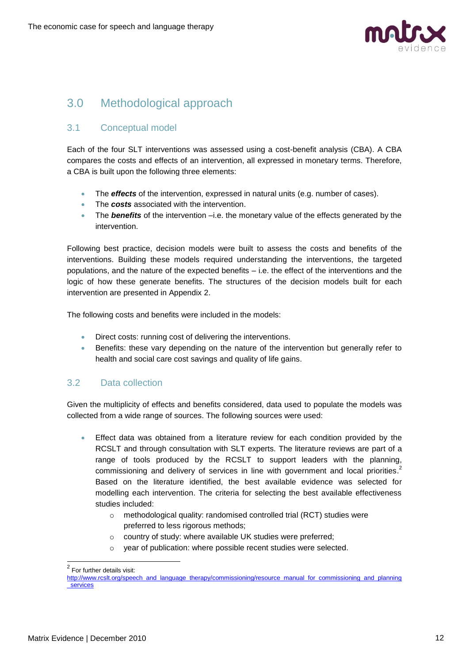

## <span id="page-11-0"></span>3.0 Methodological approach

## <span id="page-11-1"></span>3.1 Conceptual model

Each of the four SLT interventions was assessed using a cost-benefit analysis (CBA). A CBA compares the costs and effects of an intervention, all expressed in monetary terms. Therefore, a CBA is built upon the following three elements:

- The *effects* of the intervention, expressed in natural units (e.g. number of cases).
- The **costs** associated with the intervention.
- The *benefits* of the intervention –i.e. the monetary value of the effects generated by the intervention.

Following best practice, decision models were built to assess the costs and benefits of the interventions. Building these models required understanding the interventions, the targeted populations, and the nature of the expected benefits – i.e. the effect of the interventions and the logic of how these generate benefits. The structures of the decision models built for each intervention are presented in Appendix 2.

The following costs and benefits were included in the models:

- **•** Direct costs: running cost of delivering the interventions.
- **Benefits: these vary depending on the nature of the intervention but generally refer to** health and social care cost savings and quality of life gains.

## <span id="page-11-2"></span>3.2 Data collection

Given the multiplicity of effects and benefits considered, data used to populate the models was collected from a wide range of sources. The following sources were used:

- Effect data was obtained from a literature review for each condition provided by the RCSLT and through consultation with SLT experts. The literature reviews are part of a range of tools produced by the RCSLT to support leaders with the planning, commissioning and delivery of services in line with government and local priorities.<sup>2</sup> Based on the literature identified, the best available evidence was selected for modelling each intervention. The criteria for selecting the best available effectiveness studies included:
	- o methodological quality: randomised controlled trial (RCT) studies were preferred to less rigorous methods;
	- o country of study: where available UK studies were preferred;
	- o year of publication: where possible recent studies were selected.

 2 For further details visit:

[http://www.rcslt.org/speech\\_and\\_language\\_therapy/commissioning/resource\\_manual\\_for\\_commissioning\\_and\\_planning](http://www.rcslt.org/speech_and_language_therapy/commissioning/resource_manual_for_commissioning_and_planning_services) [\\_services](http://www.rcslt.org/speech_and_language_therapy/commissioning/resource_manual_for_commissioning_and_planning_services)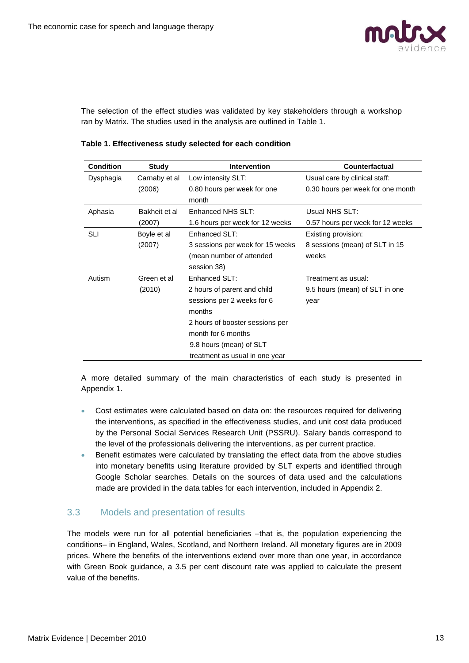

The selection of the effect studies was validated by key stakeholders through a workshop ran by Matrix. The studies used in the analysis are outlined in Table 1.

| <b>Condition</b> | Study         | <b>Intervention</b>              | <b>Counterfactual</b>             |
|------------------|---------------|----------------------------------|-----------------------------------|
| Dysphagia        | Carnaby et al | Low intensity SLT:               | Usual care by clinical staff:     |
|                  | (2006)        | 0.80 hours per week for one      | 0.30 hours per week for one month |
|                  |               | month                            |                                   |
| Aphasia          | Bakheit et al | Enhanced NHS SLT:                | Usual NHS SLT:                    |
|                  | (2007)        | 1.6 hours per week for 12 weeks  | 0.57 hours per week for 12 weeks  |
| SLI              | Boyle et al   | Enhanced SLT:                    | Existing provision:               |
|                  | (2007)        | 3 sessions per week for 15 weeks | 8 sessions (mean) of SLT in 15    |
|                  |               | (mean number of attended         | weeks                             |
|                  |               | session 38)                      |                                   |
| Autism           | Green et al   | Enhanced SLT:                    | Treatment as usual:               |
|                  | (2010)        | 2 hours of parent and child      | 9.5 hours (mean) of SLT in one    |
|                  |               | sessions per 2 weeks for 6       | year                              |
|                  |               | months                           |                                   |
|                  |               | 2 hours of booster sessions per  |                                   |
|                  |               | month for 6 months               |                                   |
|                  |               | 9.8 hours (mean) of SLT          |                                   |
|                  |               | treatment as usual in one year   |                                   |

**Table 1. Effectiveness study selected for each condition** 

A more detailed summary of the main characteristics of each study is presented in Appendix 1.

- Cost estimates were calculated based on data on: the resources required for delivering the interventions, as specified in the effectiveness studies, and unit cost data produced by the Personal Social Services Research Unit (PSSRU). Salary bands correspond to the level of the professionals delivering the interventions, as per current practice.
- Benefit estimates were calculated by translating the effect data from the above studies into monetary benefits using literature provided by SLT experts and identified through Google Scholar searches. Details on the sources of data used and the calculations made are provided in the data tables for each intervention, included in Appendix 2.

## <span id="page-12-0"></span>3.3 Models and presentation of results

The models were run for all potential beneficiaries –that is, the population experiencing the conditions– in England, Wales, Scotland, and Northern Ireland. All monetary figures are in 2009 prices. Where the benefits of the interventions extend over more than one year, in accordance with Green Book guidance, a 3.5 per cent discount rate was applied to calculate the present value of the benefits.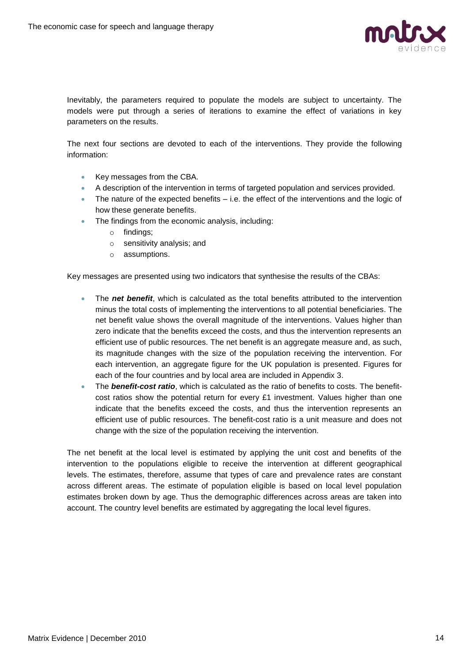

Inevitably, the parameters required to populate the models are subject to uncertainty. The models were put through a series of iterations to examine the effect of variations in key parameters on the results.

The next four sections are devoted to each of the interventions. They provide the following information:

- Key messages from the CBA.
- A description of the intervention in terms of targeted population and services provided.
- The nature of the expected benefits i.e. the effect of the interventions and the logic of how these generate benefits.
- The findings from the economic analysis, including:
	- o findings;
	- o sensitivity analysis; and
	- o assumptions.

Key messages are presented using two indicators that synthesise the results of the CBAs:

- The *net benefit*, which is calculated as the total benefits attributed to the intervention minus the total costs of implementing the interventions to all potential beneficiaries. The net benefit value shows the overall magnitude of the interventions. Values higher than zero indicate that the benefits exceed the costs, and thus the intervention represents an efficient use of public resources. The net benefit is an aggregate measure and, as such, its magnitude changes with the size of the population receiving the intervention. For each intervention, an aggregate figure for the UK population is presented. Figures for each of the four countries and by local area are included in Appendix 3.
- The *benefit-cost ratio*, which is calculated as the ratio of benefits to costs. The benefitcost ratios show the potential return for every  $£1$  investment. Values higher than one indicate that the benefits exceed the costs, and thus the intervention represents an efficient use of public resources. The benefit-cost ratio is a unit measure and does not change with the size of the population receiving the intervention.

The net benefit at the local level is estimated by applying the unit cost and benefits of the intervention to the populations eligible to receive the intervention at different geographical levels. The estimates, therefore, assume that types of care and prevalence rates are constant across different areas. The estimate of population eligible is based on local level population estimates broken down by age. Thus the demographic differences across areas are taken into account. The country level benefits are estimated by aggregating the local level figures.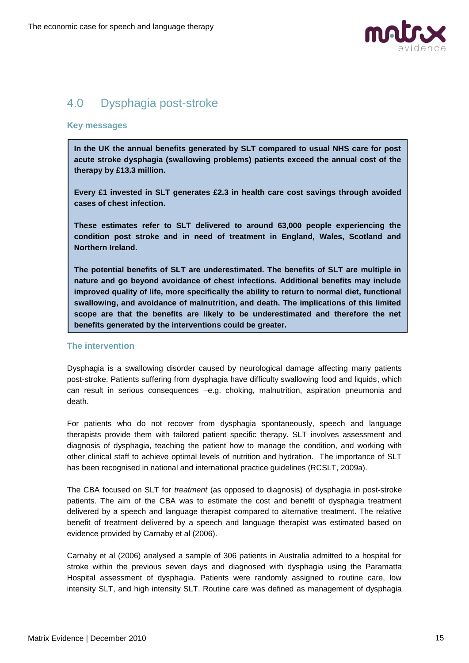

## <span id="page-14-0"></span>4.0 Dysphagia post-stroke

#### **Key messages**

**In the UK the annual benefits generated by SLT compared to usual NHS care for post acute stroke dysphagia (swallowing problems) patients exceed the annual cost of the therapy by £13.3 million.**

**Every £1 invested in SLT generates £2.3 in health care cost savings through avoided cases of chest infection.** 

**These estimates refer to SLT delivered to around 63,000 people experiencing the condition post stroke and in need of treatment in England, Wales, Scotland and Northern Ireland.**

**The potential benefits of SLT are underestimated. The benefits of SLT are multiple in nature and go beyond avoidance of chest infections. Additional benefits may include improved quality of life, more specifically the ability to return to normal diet, functional swallowing, and avoidance of malnutrition, and death. The implications of this limited scope are that the benefits are likely to be underestimated and therefore the net benefits generated by the interventions could be greater.** 

#### **The intervention**

Dysphagia is a swallowing disorder caused by neurological damage affecting many patients post-stroke. Patients suffering from dysphagia have difficulty swallowing food and liquids, which can result in serious consequences –e.g. choking, malnutrition, aspiration pneumonia and death.

For patients who do not recover from dysphagia spontaneously, speech and language therapists provide them with tailored patient specific therapy. SLT involves assessment and diagnosis of dysphagia, teaching the patient how to manage the condition, and working with other clinical staff to achieve optimal levels of nutrition and hydration. The importance of SLT has been recognised in national and international practice guidelines (RCSLT, 2009a).

The CBA focused on SLT for *treatment* (as opposed to diagnosis) of dysphagia in post-stroke patients. The aim of the CBA was to estimate the cost and benefit of dysphagia treatment delivered by a speech and language therapist compared to alternative treatment. The relative benefit of treatment delivered by a speech and language therapist was estimated based on evidence provided by Carnaby et al (2006).

Carnaby et al (2006) analysed a sample of 306 patients in Australia admitted to a hospital for stroke within the previous seven days and diagnosed with dysphagia using the Paramatta Hospital assessment of dysphagia. Patients were randomly assigned to routine care, low intensity SLT, and high intensity SLT. Routine care was defined as management of dysphagia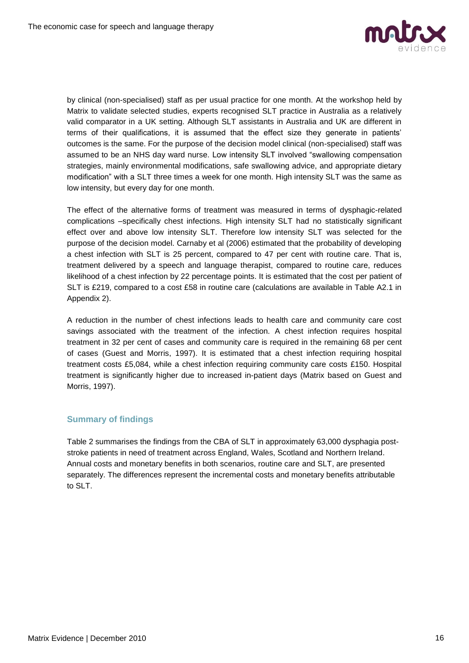

by clinical (non-specialised) staff as per usual practice for one month. At the workshop held by Matrix to validate selected studies, experts recognised SLT practice in Australia as a relatively valid comparator in a UK setting. Although SLT assistants in Australia and UK are different in terms of their qualifications, it is assumed that the effect size they generate in patients' outcomes is the same. For the purpose of the decision model clinical (non-specialised) staff was assumed to be an NHS day ward nurse. Low intensity SLT involved "swallowing compensation strategies, mainly environmental modifications, safe swallowing advice, and appropriate dietary modification" with a SLT three times a week for one month. High intensity SLT was the same as low intensity, but every day for one month.

The effect of the alternative forms of treatment was measured in terms of dysphagic-related complications –specifically chest infections. High intensity SLT had no statistically significant effect over and above low intensity SLT. Therefore low intensity SLT was selected for the purpose of the decision model. Carnaby et al (2006) estimated that the probability of developing a chest infection with SLT is 25 percent, compared to 47 per cent with routine care. That is, treatment delivered by a speech and language therapist, compared to routine care, reduces likelihood of a chest infection by 22 percentage points. It is estimated that the cost per patient of SLT is £219, compared to a cost £58 in routine care (calculations are available in Table A2.1 in Appendix 2).

A reduction in the number of chest infections leads to health care and community care cost savings associated with the treatment of the infection. A chest infection requires hospital treatment in 32 per cent of cases and community care is required in the remaining 68 per cent of cases (Guest and Morris, 1997). It is estimated that a chest infection requiring hospital treatment costs £5,084, while a chest infection requiring community care costs £150. Hospital treatment is significantly higher due to increased in-patient days (Matrix based on Guest and Morris, 1997).

## **Summary of findings**

Table 2 summarises the findings from the CBA of SLT in approximately 63,000 dysphagia poststroke patients in need of treatment across England, Wales, Scotland and Northern Ireland. Annual costs and monetary benefits in both scenarios, routine care and SLT, are presented separately. The differences represent the incremental costs and monetary benefits attributable to SLT.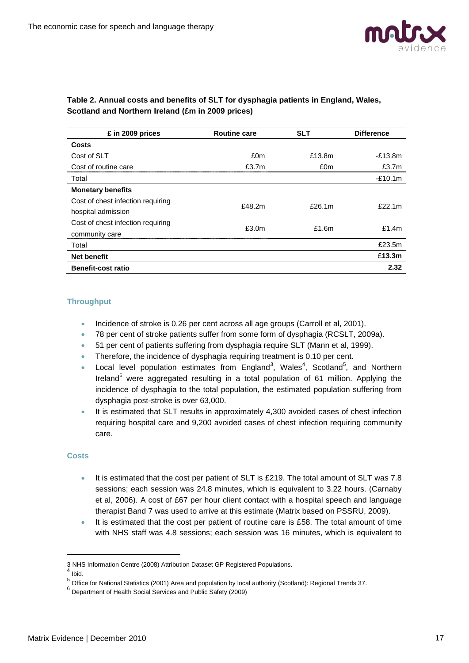

| £ in 2009 prices                  | <b>Routine care</b> | <b>SLT</b> | <b>Difference</b> |
|-----------------------------------|---------------------|------------|-------------------|
| <b>Costs</b>                      |                     |            |                   |
| Cost of SLT                       | £0m                 | £13.8m     | $-E13.8m$         |
| Cost of routine care              | £3.7m               | £0m        | £3.7m             |
| Total                             |                     |            | $-£10.1m$         |
| <b>Monetary benefits</b>          |                     |            |                   |
| Cost of chest infection requiring | £48.2m              | £26.1m     | £22.1 $m$         |
| hospital admission                |                     |            |                   |
| Cost of chest infection requiring | £3.0 <sub>m</sub>   | £1.6 $m$   | £1.4 $m$          |
| community care                    |                     |            |                   |
| Total                             |                     |            | £23.5m            |
| <b>Net benefit</b>                |                     |            | £13.3m            |
| <b>Benefit-cost ratio</b>         |                     |            | 2.32              |

### **Table 2. Annual costs and benefits of SLT for dysphagia patients in England, Wales, Scotland and Northern Ireland (£m in 2009 prices)**

### **Throughput**

- Incidence of stroke is 0.26 per cent across all age groups (Carroll et al, 2001).
- 78 per cent of stroke patients suffer from some form of dysphagia (RCSLT, 2009a).
- <sup>51</sup> per cent of patients suffering from dysphagia require SLT (Mann et al, 1999).
- Therefore, the incidence of dysphagia requiring treatment is 0.10 per cent.
- Local level population estimates from England<sup>3</sup>, Wales<sup>4</sup>, Scotland<sup>5</sup>, and Northern Ireland<sup>6</sup> were aggregated resulting in a total population of 61 million. Applying the incidence of dysphagia to the total population, the estimated population suffering from dysphagia post-stroke is over 63,000.
- It is estimated that SLT results in approximately 4,300 avoided cases of chest infection requiring hospital care and 9,200 avoided cases of chest infection requiring community care.

#### **Costs**

- It is estimated that the cost per patient of SLT is £219. The total amount of SLT was 7.8 sessions; each session was 24.8 minutes, which is equivalent to 3.22 hours. (Carnaby et al, 2006). A cost of £67 per hour client contact with a hospital speech and language therapist Band 7 was used to arrive at this estimate (Matrix based on PSSRU, 2009).
- It is estimated that the cost per patient of routine care is £58. The total amount of time with NHS staff was 4.8 sessions; each session was 16 minutes, which is equivalent to

-

<sup>3</sup> NHS Information Centre (2008) Attribution Dataset GP Registered Populations.

 $<sup>4</sup>$  Ibid.</sup>

<sup>&</sup>lt;sup>5</sup> Office for National Statistics (2001) Area and population by local authority (Scotland): Regional Trends 37.

<sup>6</sup> Department of Health Social Services and Public Safety (2009)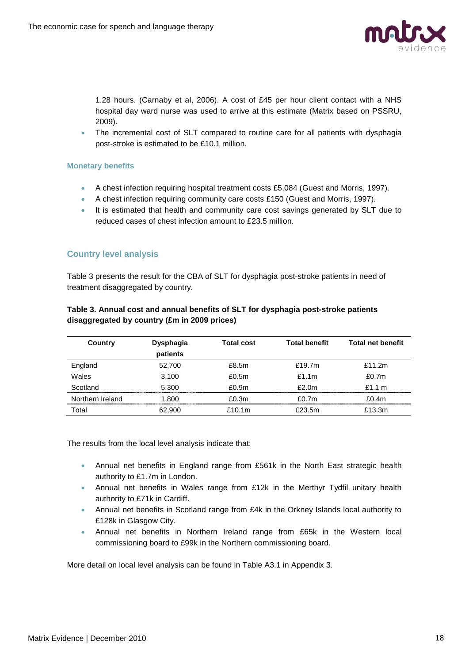

1.28 hours. (Carnaby et al, 2006). A cost of £45 per hour client contact with a NHS hospital day ward nurse was used to arrive at this estimate (Matrix based on PSSRU, 2009).

• The incremental cost of SLT compared to routine care for all patients with dysphagia post-stroke is estimated to be £10.1 million.

#### **Monetary benefits**

- A chest infection requiring hospital treatment costs £5,084 (Guest and Morris, 1997).
- A chest infection requiring community care costs £150 (Guest and Morris, 1997).
- It is estimated that health and community care cost savings generated by SLT due to reduced cases of chest infection amount to £23.5 million.

## **Country level analysis**

Table 3 presents the result for the CBA of SLT for dysphagia post-stroke patients in need of treatment disaggregated by country.

| Country          | <b>Dysphagia</b><br>patients | <b>Total cost</b> | <b>Total benefit</b> | <b>Total net benefit</b> |
|------------------|------------------------------|-------------------|----------------------|--------------------------|
| England          | 52,700                       | £8.5m             | £19.7m               | f11.2m                   |
| Wales            | 3,100                        | £0.5 $m$          | f1.1m                | £0.7 $m$                 |
| Scotland         | 5.300                        | £0.9 <sub>m</sub> | f2.0m                | f1.1 m                   |
| Northern Ireland | 1.800                        | £0.3m             | f0.7m                | £0.4m                    |
| Γotal            | 62.900                       | £10.1 $m$         | £23.5m               | £13.3m                   |

### **Table 3. Annual cost and annual benefits of SLT for dysphagia post-stroke patients disaggregated by country (£m in 2009 prices)**

The results from the local level analysis indicate that:

- Annual net benefits in England range from £561k in the North East strategic health authority to £1.7m in London.
- Annual net benefits in Wales range from  $£12k$  in the Merthyr Tydfil unitary health authority to £71k in Cardiff.
- Annual net benefits in Scotland range from £4k in the Orkney Islands local authority to £128k in Glasgow City.
- Annual net benefits in Northern Ireland range from £65k in the Western local commissioning board to £99k in the Northern commissioning board.

More detail on local level analysis can be found in Table A3.1 in Appendix 3.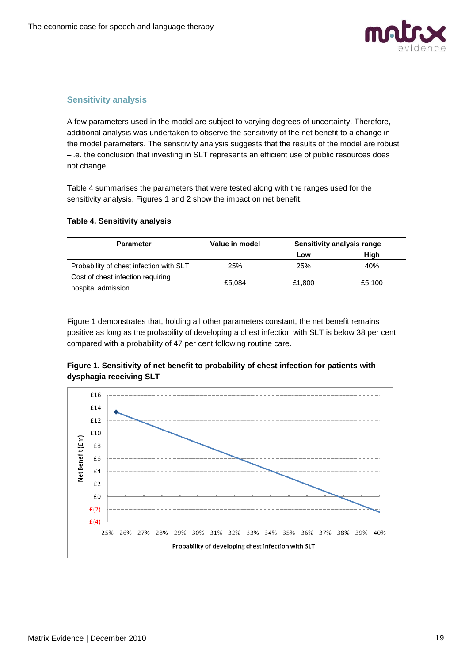

## **Sensitivity analysis**

A few parameters used in the model are subject to varying degrees of uncertainty. Therefore, additional analysis was undertaken to observe the sensitivity of the net benefit to a change in the model parameters. The sensitivity analysis suggests that the results of the model are robust –i.e. the conclusion that investing in SLT represents an efficient use of public resources does not change.

Table 4 summarises the parameters that were tested along with the ranges used for the sensitivity analysis. Figures 1 and 2 show the impact on net benefit.

#### **Table 4. Sensitivity analysis**

| <b>Parameter</b>                        | Value in model | Sensitivity analysis range |        |
|-----------------------------------------|----------------|----------------------------|--------|
|                                         |                | Low                        | High   |
| Probability of chest infection with SLT | 25%            | 25%                        | 40%    |
| Cost of chest infection requiring       |                |                            |        |
| hospital admission                      | £5.084         | £1.800                     | £5,100 |

Figure 1 demonstrates that, holding all other parameters constant, the net benefit remains positive as long as the probability of developing a chest infection with SLT is below 38 per cent, compared with a probability of 47 per cent following routine care.



## **Figure 1. Sensitivity of net benefit to probability of chest infection for patients with dysphagia receiving SLT**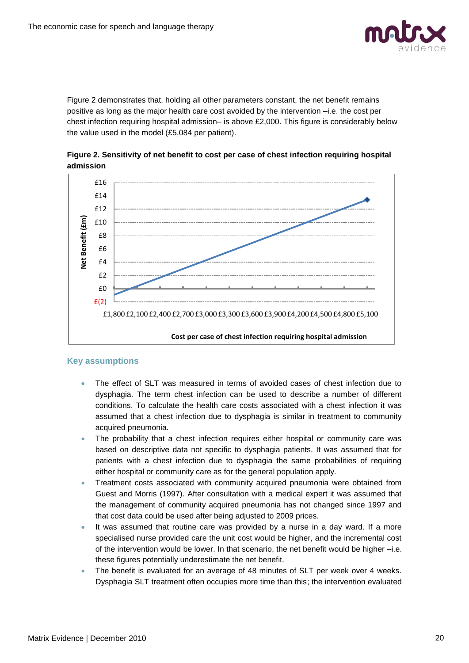

Figure 2 demonstrates that, holding all other parameters constant, the net benefit remains positive as long as the major health care cost avoided by the intervention –i.e. the cost per chest infection requiring hospital admission– is above £2,000. This figure is considerably below the value used in the model (£5,084 per patient).





## **Key assumptions**

- The effect of SLT was measured in terms of avoided cases of chest infection due to dysphagia. The term chest infection can be used to describe a number of different conditions. To calculate the health care costs associated with a chest infection it was assumed that a chest infection due to dysphagia is similar in treatment to community acquired pneumonia.
- The probability that a chest infection requires either hospital or community care was based on descriptive data not specific to dysphagia patients. It was assumed that for patients with a chest infection due to dysphagia the same probabilities of requiring either hospital or community care as for the general population apply.
- Treatment costs associated with community acquired pneumonia were obtained from Guest and Morris (1997). After consultation with a medical expert it was assumed that the management of community acquired pneumonia has not changed since 1997 and that cost data could be used after being adjusted to 2009 prices.
- It was assumed that routine care was provided by a nurse in a day ward. If a more specialised nurse provided care the unit cost would be higher, and the incremental cost of the intervention would be lower. In that scenario, the net benefit would be higher –i.e. these figures potentially underestimate the net benefit.
- The benefit is evaluated for an average of 48 minutes of SLT per week over 4 weeks. Dysphagia SLT treatment often occupies more time than this; the intervention evaluated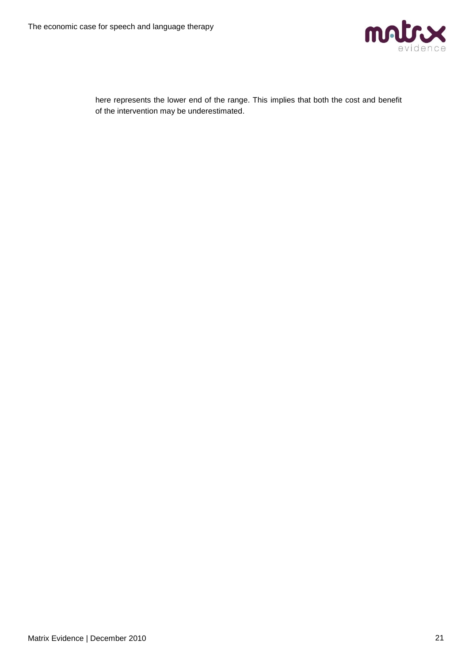

| here represents the lower end of the range. This implies that both the cost and benefit |  |
|-----------------------------------------------------------------------------------------|--|
| of the intervention may be underestimated.                                              |  |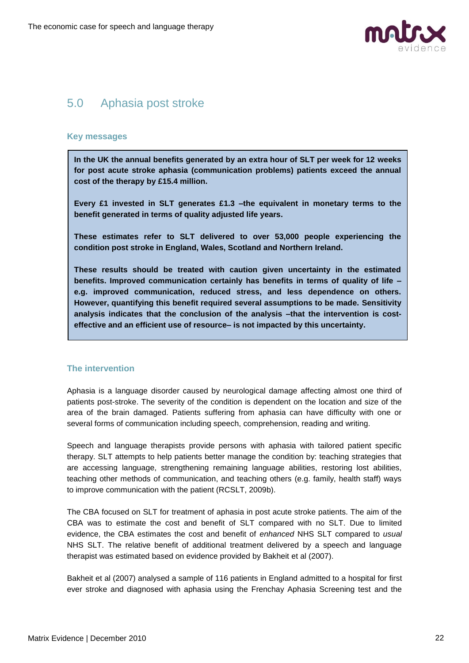

## <span id="page-21-0"></span>5.0 Aphasia post stroke

#### **Key messages**

**In the UK the annual benefits generated by an extra hour of SLT per week for 12 weeks for post acute stroke aphasia (communication problems) patients exceed the annual cost of the therapy by £15.4 million.**

**Every £1 invested in SLT generates £1.3 –the equivalent in monetary terms to the benefit generated in terms of quality adjusted life years.** 

**These estimates refer to SLT delivered to over 53,000 people experiencing the condition post stroke in England, Wales, Scotland and Northern Ireland.**

**These results should be treated with caution given uncertainty in the estimated benefits. Improved communication certainly has benefits in terms of quality of life – e.g. improved communication, reduced stress, and less dependence on others. However, quantifying this benefit required several assumptions to be made. Sensitivity analysis indicates that the conclusion of the analysis –that the intervention is costeffective and an efficient use of resource– is not impacted by this uncertainty.** 

## **The intervention**

Aphasia is a language disorder caused by neurological damage affecting almost one third of patients post-stroke. The severity of the condition is dependent on the location and size of the area of the brain damaged. Patients suffering from aphasia can have difficulty with one or several forms of communication including speech, comprehension, reading and writing.

Speech and language therapists provide persons with aphasia with tailored patient specific therapy. SLT attempts to help patients better manage the condition by: teaching strategies that are accessing language, strengthening remaining language abilities, restoring lost abilities, teaching other methods of communication, and teaching others (e.g. family, health staff) ways to improve communication with the patient (RCSLT, 2009b).

The CBA focused on SLT for treatment of aphasia in post acute stroke patients. The aim of the CBA was to estimate the cost and benefit of SLT compared with no SLT. Due to limited evidence, the CBA estimates the cost and benefit of *enhanced* NHS SLT compared to *usual* NHS SLT. The relative benefit of additional treatment delivered by a speech and language therapist was estimated based on evidence provided by Bakheit et al (2007).

Bakheit et al (2007) analysed a sample of 116 patients in England admitted to a hospital for first ever stroke and diagnosed with aphasia using the Frenchay Aphasia Screening test and the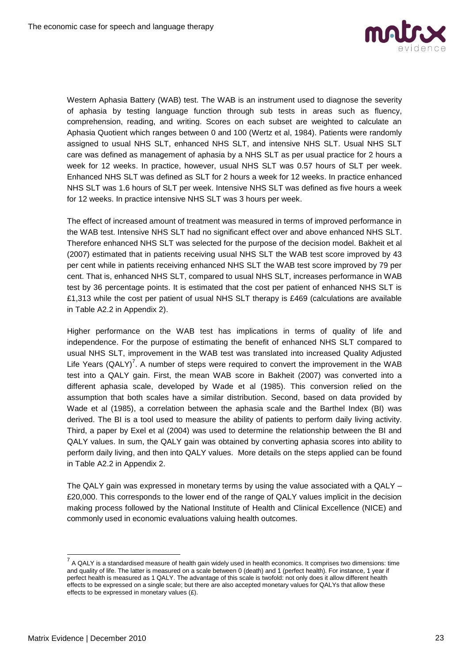

Western Aphasia Battery (WAB) test. The WAB is an instrument used to diagnose the severity of aphasia by testing language function through sub tests in areas such as fluency, comprehension, reading, and writing. Scores on each subset are weighted to calculate an Aphasia Quotient which ranges between 0 and 100 (Wertz et al, 1984). Patients were randomly assigned to usual NHS SLT, enhanced NHS SLT, and intensive NHS SLT. Usual NHS SLT care was defined as management of aphasia by a NHS SLT as per usual practice for 2 hours a week for 12 weeks. In practice, however, usual NHS SLT was 0.57 hours of SLT per week. Enhanced NHS SLT was defined as SLT for 2 hours a week for 12 weeks. In practice enhanced NHS SLT was 1.6 hours of SLT per week. Intensive NHS SLT was defined as five hours a week for 12 weeks. In practice intensive NHS SLT was 3 hours per week.

The effect of increased amount of treatment was measured in terms of improved performance in the WAB test. Intensive NHS SLT had no significant effect over and above enhanced NHS SLT. Therefore enhanced NHS SLT was selected for the purpose of the decision model. Bakheit et al (2007) estimated that in patients receiving usual NHS SLT the WAB test score improved by 43 per cent while in patients receiving enhanced NHS SLT the WAB test score improved by 79 per cent. That is, enhanced NHS SLT, compared to usual NHS SLT, increases performance in WAB test by 36 percentage points. It is estimated that the cost per patient of enhanced NHS SLT is £1,313 while the cost per patient of usual NHS SLT therapy is £469 (calculations are available in Table A2.2 in Appendix 2).

Higher performance on the WAB test has implications in terms of quality of life and independence. For the purpose of estimating the benefit of enhanced NHS SLT compared to usual NHS SLT, improvement in the WAB test was translated into increased Quality Adjusted Life Years (QALY)<sup>7</sup>. A number of steps were required to convert the improvement in the WAB test into a QALY gain. First, the mean WAB score in Bakheit (2007) was converted into a different aphasia scale, developed by Wade et al (1985). This conversion relied on the assumption that both scales have a similar distribution. Second, based on data provided by Wade et al (1985), a correlation between the aphasia scale and the Barthel Index (BI) was derived. The BI is a tool used to measure the ability of patients to perform daily living activity. Third, a paper by Exel et al (2004) was used to determine the relationship between the BI and QALY values. In sum, the QALY gain was obtained by converting aphasia scores into ability to perform daily living, and then into QALY values. More details on the steps applied can be found in Table A2.2 in Appendix 2.

The QALY gain was expressed in monetary terms by using the value associated with a QALY  $-$ £20,000. This corresponds to the lower end of the range of QALY values implicit in the decision making process followed by the National Institute of Health and Clinical Excellence (NICE) and commonly used in economic evaluations valuing health outcomes.

 7 A QALY is a standardised measure of health gain widely used in health economics. It comprises two dimensions: time and quality of life. The latter is measured on a scale between 0 (death) and 1 (perfect health). For instance, 1 year if perfect health is measured as 1 QALY. The advantage of this scale is twofold: not only does it allow different health effects to be expressed on a single scale; but there are also accepted monetary values for QALYs that allow these effects to be expressed in monetary values (£).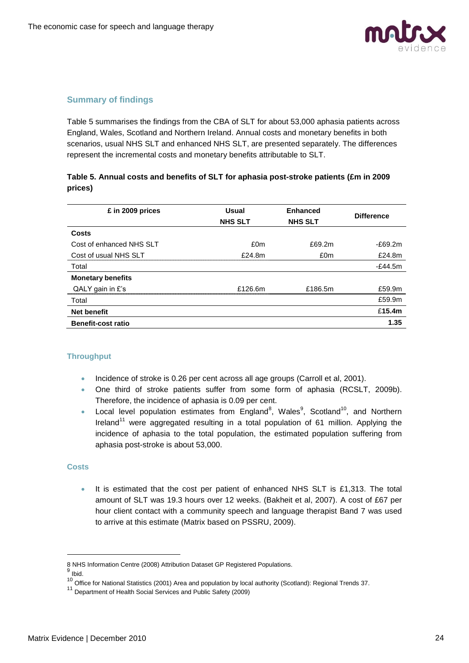

## **Summary of findings**

Table 5 summarises the findings from the CBA of SLT for about 53,000 aphasia patients across England, Wales, Scotland and Northern Ireland. Annual costs and monetary benefits in both scenarios, usual NHS SLT and enhanced NHS SLT, are presented separately. The differences represent the incremental costs and monetary benefits attributable to SLT.

## **Table 5. Annual costs and benefits of SLT for aphasia post-stroke patients (£m in 2009 prices)**

| £ in 2009 prices          | <b>Usual</b><br><b>NHS SLT</b> | <b>Enhanced</b><br><b>NHS SLT</b> | <b>Difference</b> |
|---------------------------|--------------------------------|-----------------------------------|-------------------|
| Costs                     |                                |                                   |                   |
| Cost of enhanced NHS SLT  | £0m                            | £69.2m                            | $-E69.2m$         |
| Cost of usual NHS SLT     | $f$ 24.8m                      | £0m                               | £24.8m            |
| Total                     |                                |                                   | $-£44.5m$         |
| <b>Monetary benefits</b>  |                                |                                   |                   |
| QALY gain in $E$ 's       | £126.6m                        | £186.5m                           | £59.9m            |
| Total                     |                                |                                   | £59.9m            |
| <b>Net benefit</b>        |                                |                                   | £15.4m            |
| <b>Benefit-cost ratio</b> |                                |                                   | 1.35              |

## **Throughput**

- Incidence of stroke is 0.26 per cent across all age groups (Carroll et al, 2001).
- One third of stroke patients suffer from some form of aphasia (RCSLT, 2009b). Therefore, the incidence of aphasia is 0.09 per cent.
- Local level population estimates from England<sup>8</sup>, Wales<sup>9</sup>, Scotland<sup>10</sup>, and Northern Ireland<sup>11</sup> were aggregated resulting in a total population of 61 million. Applying the incidence of aphasia to the total population, the estimated population suffering from aphasia post-stroke is about 53,000.

#### **Costs**

 It is estimated that the cost per patient of enhanced NHS SLT is £1,313. The total amount of SLT was 19.3 hours over 12 weeks. (Bakheit et al, 2007). A cost of £67 per hour client contact with a community speech and language therapist Band 7 was used to arrive at this estimate (Matrix based on PSSRU, 2009).

-

<sup>8</sup> NHS Information Centre (2008) Attribution Dataset GP Registered Populations.

<sup>&</sup>lt;sup>9</sup> Ibid.

<sup>10&</sup>lt;br><sup>10</sup> Office for National Statistics (2001) Area and population by local authority (Scotland): Regional Trends 37.

<sup>&</sup>lt;sup>11</sup> Department of Health Social Services and Public Safety (2009)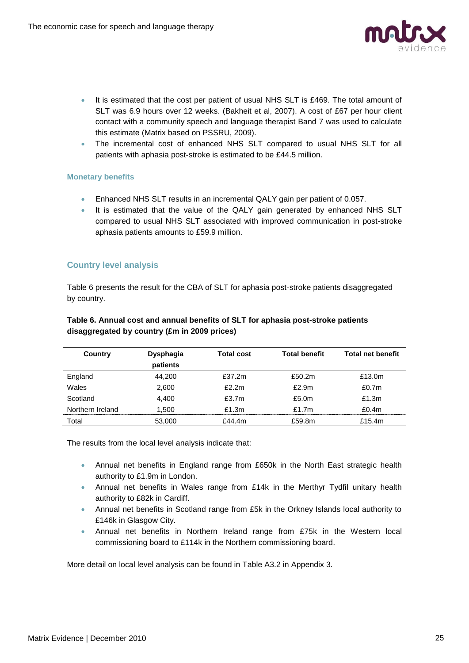

- $\bullet$  It is estimated that the cost per patient of usual NHS SLT is £469. The total amount of SLT was 6.9 hours over 12 weeks. (Bakheit et al, 2007). A cost of £67 per hour client contact with a community speech and language therapist Band 7 was used to calculate this estimate (Matrix based on PSSRU, 2009).
- The incremental cost of enhanced NHS SLT compared to usual NHS SLT for all patients with aphasia post-stroke is estimated to be £44.5 million.

#### **Monetary benefits**

- Enhanced NHS SLT results in an incremental QALY gain per patient of 0.057.
- It is estimated that the value of the QALY gain generated by enhanced NHS SLT compared to usual NHS SLT associated with improved communication in post-stroke aphasia patients amounts to £59.9 million.

### **Country level analysis**

Table 6 presents the result for the CBA of SLT for aphasia post-stroke patients disaggregated by country.

| Country          | <b>Dysphagia</b><br>patients | <b>Total cost</b> | <b>Total benefit</b> | <b>Total net benefit</b> |
|------------------|------------------------------|-------------------|----------------------|--------------------------|
| England          | 44,200                       | £37.2m            | £50.2m               | £13.0m                   |
| Wales            | 2,600                        | f2.2m             | £2.9m                | £0.7 $m$                 |
| Scotland         | 4.400                        | £3.7m             | £5.0 $m$             | £1.3 $m$                 |
| Northern Ireland | 1.500                        | £1.3m             | £1.7 $m$             | £0.4 $m$                 |
| Total            | 53,000                       | £44.4m            | £59.8m               | £15.4m                   |

### **Table 6. Annual cost and annual benefits of SLT for aphasia post-stroke patients disaggregated by country (£m in 2009 prices)**

The results from the local level analysis indicate that:

- Annual net benefits in England range from £650k in the North East strategic health authority to £1.9m in London.
- Annual net benefits in Wales range from £14k in the Merthyr Tydfil unitary health authority to £82k in Cardiff.
- Annual net benefits in Scotland range from £5k in the Orkney Islands local authority to £146k in Glasgow City.
- Annual net benefits in Northern Ireland range from £75k in the Western local commissioning board to £114k in the Northern commissioning board.

More detail on local level analysis can be found in Table A3.2 in Appendix 3.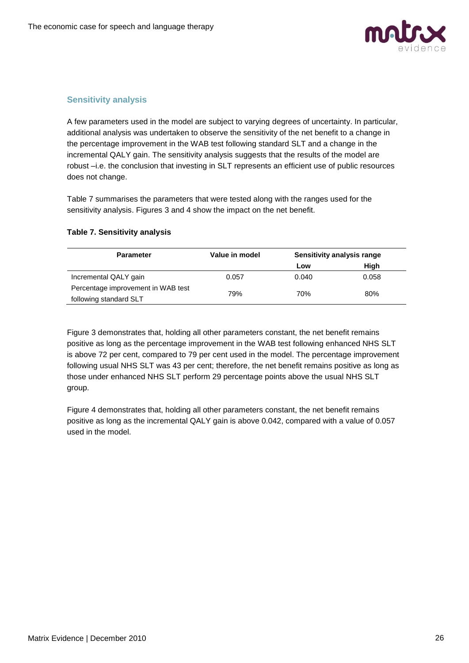

## **Sensitivity analysis**

A few parameters used in the model are subject to varying degrees of uncertainty. In particular, additional analysis was undertaken to observe the sensitivity of the net benefit to a change in the percentage improvement in the WAB test following standard SLT and a change in the incremental QALY gain. The sensitivity analysis suggests that the results of the model are robust –i.e. the conclusion that investing in SLT represents an efficient use of public resources does not change.

Table 7 summarises the parameters that were tested along with the ranges used for the sensitivity analysis. Figures 3 and 4 show the impact on the net benefit.

| <b>Parameter</b>                   | Value in model | Sensitivity analysis range |       |
|------------------------------------|----------------|----------------------------|-------|
|                                    |                | Low                        | High  |
| Incremental QALY gain              | 0.057          | 0.040                      | 0.058 |
| Percentage improvement in WAB test |                |                            |       |
| following standard SLT             | 79%            | 70%                        | 80%   |

#### **Table 7. Sensitivity analysis**

Figure 3 demonstrates that, holding all other parameters constant, the net benefit remains positive as long as the percentage improvement in the WAB test following enhanced NHS SLT is above 72 per cent, compared to 79 per cent used in the model. The percentage improvement following usual NHS SLT was 43 per cent; therefore, the net benefit remains positive as long as those under enhanced NHS SLT perform 29 percentage points above the usual NHS SLT group.

Figure 4 demonstrates that, holding all other parameters constant, the net benefit remains positive as long as the incremental QALY gain is above 0.042, compared with a value of 0.057 used in the model.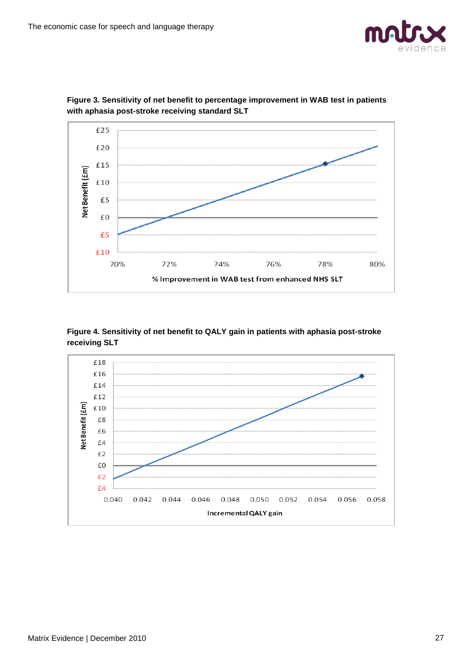



**Figure 3. Sensitivity of net benefit to percentage improvement in WAB test in patients with aphasia post-stroke receiving standard SLT**

**Figure 4. Sensitivity of net benefit to QALY gain in patients with aphasia post-stroke receiving SLT**

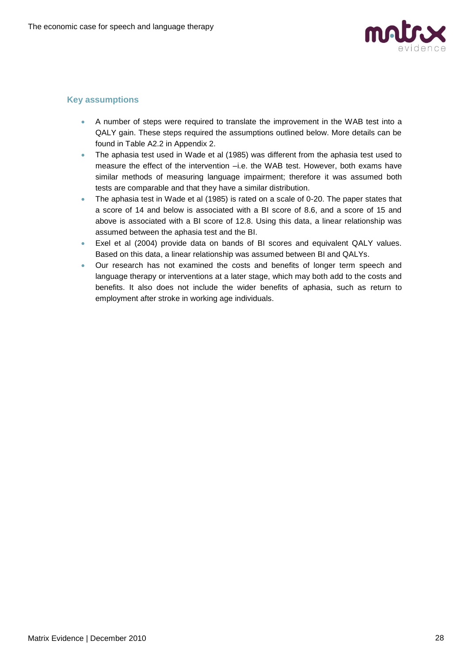

## **Key assumptions**

- A number of steps were required to translate the improvement in the WAB test into a QALY gain. These steps required the assumptions outlined below. More details can be found in Table A2.2 in Appendix 2.
- The aphasia test used in Wade et al (1985) was different from the aphasia test used to measure the effect of the intervention –i.e. the WAB test. However, both exams have similar methods of measuring language impairment; therefore it was assumed both tests are comparable and that they have a similar distribution.
- The aphasia test in Wade et al (1985) is rated on a scale of 0-20. The paper states that a score of 14 and below is associated with a BI score of 8.6, and a score of 15 and above is associated with a BI score of 12.8. Using this data, a linear relationship was assumed between the aphasia test and the BI.
- Exel et al (2004) provide data on bands of BI scores and equivalent QALY values. Based on this data, a linear relationship was assumed between BI and QALYs.
- Our research has not examined the costs and benefits of longer term speech and language therapy or interventions at a later stage, which may both add to the costs and benefits. It also does not include the wider benefits of aphasia, such as return to employment after stroke in working age individuals.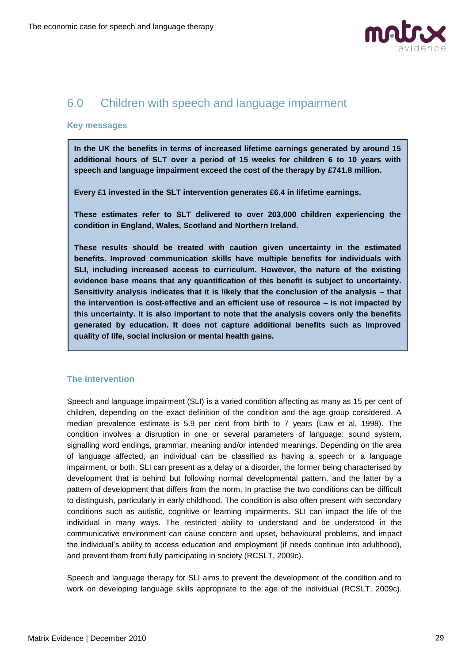

## <span id="page-28-0"></span>6.0 Children with speech and language impairment

#### **Key messages**

**In the UK the benefits in terms of increased lifetime earnings generated by around 15 additional hours of SLT over a period of 15 weeks for children 6 to 10 years with speech and language impairment exceed the cost of the therapy by £741.8 million.**

**Every £1 invested in the SLT intervention generates £6.4 in lifetime earnings.** 

**These estimates refer to SLT delivered to over 203,000 children experiencing the condition in England, Wales, Scotland and Northern Ireland.**

**These results should be treated with caution given uncertainty in the estimated benefits. Improved communication skills have multiple benefits for individuals with SLI, including increased access to curriculum. However, the nature of the existing evidence base means that any quantification of this benefit is subject to uncertainty. Sensitivity analysis indicates that it is likely that the conclusion of the analysis – that the intervention is cost-effective and an efficient use of resource – is not impacted by this uncertainty. It is also important to note that the analysis covers only the benefits generated by education. It does not capture additional benefits such as improved quality of life, social inclusion or mental health gains.**

#### **The intervention**

Speech and language impairment (SLI) is a varied condition affecting as many as 15 per cent of children, depending on the exact definition of the condition and the age group considered. A median prevalence estimate is 5.9 per cent from birth to 7 years (Law et al, 1998). The condition involves a disruption in one or several parameters of language: sound system, signalling word endings, grammar, meaning and/or intended meanings. Depending on the area of language affected, an individual can be classified as having a speech or a language impairment, or both. SLI can present as a delay or a disorder, the former being characterised by development that is behind but following normal developmental pattern, and the latter by a pattern of development that differs from the norm. In practise the two conditions can be difficult to distinguish, particularly in early childhood. The condition is also often present with secondary conditions such as autistic, cognitive or learning impairments. SLI can impact the life of the individual in many ways. The restricted ability to understand and be understood in the communicative environment can cause concern and upset, behavioural problems, and impact the individual's ability to access education and employment (if needs continue into adulthood), and prevent them from fully participating in society (RCSLT, 2009c).

Speech and language therapy for SLI aims to prevent the development of the condition and to work on developing language skills appropriate to the age of the individual (RCSLT, 2009c).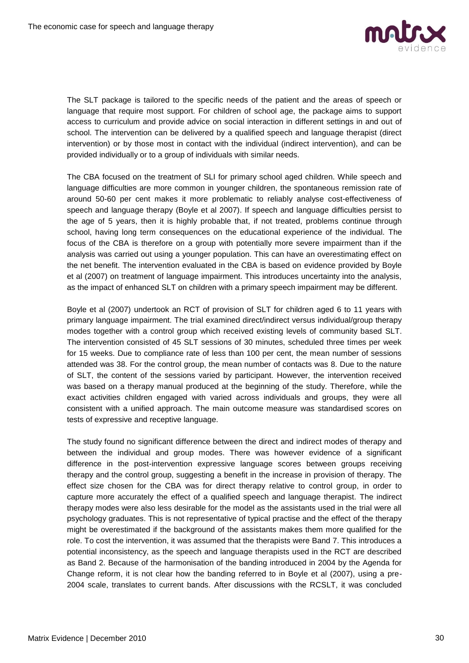

The SLT package is tailored to the specific needs of the patient and the areas of speech or language that require most support. For children of school age, the package aims to support access to curriculum and provide advice on social interaction in different settings in and out of school. The intervention can be delivered by a qualified speech and language therapist (direct intervention) or by those most in contact with the individual (indirect intervention), and can be provided individually or to a group of individuals with similar needs.

The CBA focused on the treatment of SLI for primary school aged children. While speech and language difficulties are more common in younger children, the spontaneous remission rate of around 50-60 per cent makes it more problematic to reliably analyse cost-effectiveness of speech and language therapy (Boyle et al 2007). If speech and language difficulties persist to the age of 5 years, then it is highly probable that, if not treated, problems continue through school, having long term consequences on the educational experience of the individual. The focus of the CBA is therefore on a group with potentially more severe impairment than if the analysis was carried out using a younger population. This can have an overestimating effect on the net benefit. The intervention evaluated in the CBA is based on evidence provided by Boyle et al (2007) on treatment of language impairment. This introduces uncertainty into the analysis, as the impact of enhanced SLT on children with a primary speech impairment may be different.

Boyle et al (2007) undertook an RCT of provision of SLT for children aged 6 to 11 years with primary language impairment. The trial examined direct/indirect versus individual/group therapy modes together with a control group which received existing levels of community based SLT. The intervention consisted of 45 SLT sessions of 30 minutes, scheduled three times per week for 15 weeks. Due to compliance rate of less than 100 per cent, the mean number of sessions attended was 38. For the control group, the mean number of contacts was 8. Due to the nature of SLT, the content of the sessions varied by participant. However, the intervention received was based on a therapy manual produced at the beginning of the study. Therefore, while the exact activities children engaged with varied across individuals and groups, they were all consistent with a unified approach. The main outcome measure was standardised scores on tests of expressive and receptive language.

The study found no significant difference between the direct and indirect modes of therapy and between the individual and group modes. There was however evidence of a significant difference in the post-intervention expressive language scores between groups receiving therapy and the control group, suggesting a benefit in the increase in provision of therapy. The effect size chosen for the CBA was for direct therapy relative to control group, in order to capture more accurately the effect of a qualified speech and language therapist. The indirect therapy modes were also less desirable for the model as the assistants used in the trial were all psychology graduates. This is not representative of typical practise and the effect of the therapy might be overestimated if the background of the assistants makes them more qualified for the role. To cost the intervention, it was assumed that the therapists were Band 7. This introduces a potential inconsistency, as the speech and language therapists used in the RCT are described as Band 2. Because of the harmonisation of the banding introduced in 2004 by the Agenda for Change reform, it is not clear how the banding referred to in Boyle et al (2007), using a pre-2004 scale, translates to current bands. After discussions with the RCSLT, it was concluded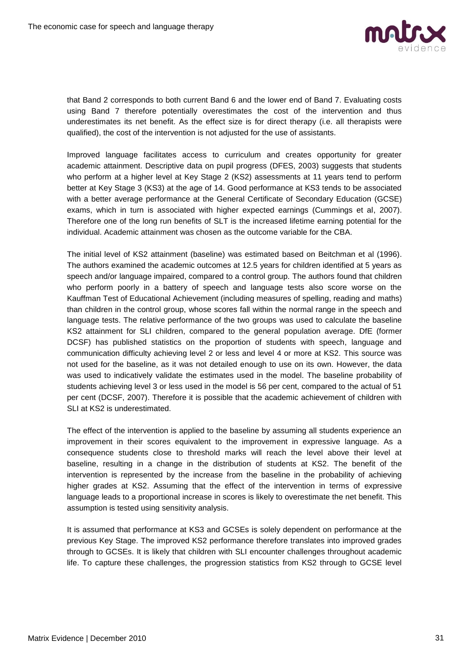

that Band 2 corresponds to both current Band 6 and the lower end of Band 7. Evaluating costs using Band 7 therefore potentially overestimates the cost of the intervention and thus underestimates its net benefit. As the effect size is for direct therapy (i.e. all therapists were qualified), the cost of the intervention is not adjusted for the use of assistants.

Improved language facilitates access to curriculum and creates opportunity for greater academic attainment. Descriptive data on pupil progress (DFES, 2003) suggests that students who perform at a higher level at Key Stage 2 (KS2) assessments at 11 years tend to perform better at Key Stage 3 (KS3) at the age of 14. Good performance at KS3 tends to be associated with a better average performance at the General Certificate of Secondary Education (GCSE) exams, which in turn is associated with higher expected earnings (Cummings et al, 2007). Therefore one of the long run benefits of SLT is the increased lifetime earning potential for the individual. Academic attainment was chosen as the outcome variable for the CBA.

The initial level of KS2 attainment (baseline) was estimated based on Beitchman et al (1996). The authors examined the academic outcomes at 12.5 years for children identified at 5 years as speech and/or language impaired, compared to a control group. The authors found that children who perform poorly in a battery of speech and language tests also score worse on the Kauffman Test of Educational Achievement (including measures of spelling, reading and maths) than children in the control group, whose scores fall within the normal range in the speech and language tests. The relative performance of the two groups was used to calculate the baseline KS2 attainment for SLI children, compared to the general population average. DfE (former DCSF) has published statistics on the proportion of students with speech, language and communication difficulty achieving level 2 or less and level 4 or more at KS2. This source was not used for the baseline, as it was not detailed enough to use on its own. However, the data was used to indicatively validate the estimates used in the model. The baseline probability of students achieving level 3 or less used in the model is 56 per cent, compared to the actual of 51 per cent (DCSF, 2007). Therefore it is possible that the academic achievement of children with SLI at KS2 is underestimated.

The effect of the intervention is applied to the baseline by assuming all students experience an improvement in their scores equivalent to the improvement in expressive language. As a consequence students close to threshold marks will reach the level above their level at baseline, resulting in a change in the distribution of students at KS2. The benefit of the intervention is represented by the increase from the baseline in the probability of achieving higher grades at KS2. Assuming that the effect of the intervention in terms of expressive language leads to a proportional increase in scores is likely to overestimate the net benefit. This assumption is tested using sensitivity analysis.

It is assumed that performance at KS3 and GCSEs is solely dependent on performance at the previous Key Stage. The improved KS2 performance therefore translates into improved grades through to GCSEs. It is likely that children with SLI encounter challenges throughout academic life. To capture these challenges, the progression statistics from KS2 through to GCSE level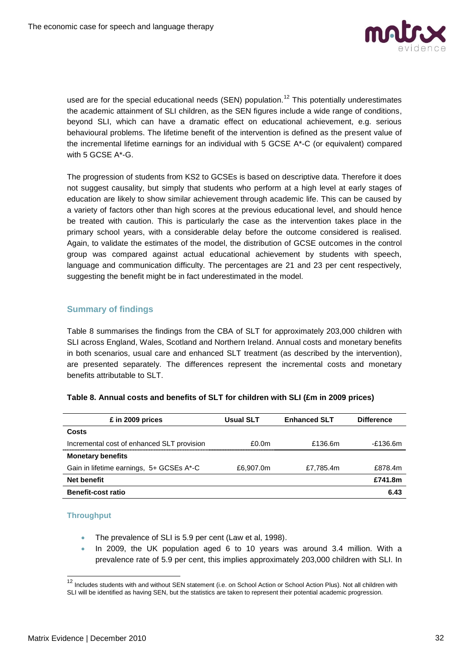

used are for the special educational needs (SEN) population.<sup>12</sup> This potentially underestimates the academic attainment of SLI children, as the SEN figures include a wide range of conditions, beyond SLI, which can have a dramatic effect on educational achievement, e.g. serious behavioural problems. The lifetime benefit of the intervention is defined as the present value of the incremental lifetime earnings for an individual with 5 GCSE A\*-C (or equivalent) compared with 5 GCSE A\*-G.

The progression of students from KS2 to GCSEs is based on descriptive data. Therefore it does not suggest causality, but simply that students who perform at a high level at early stages of education are likely to show similar achievement through academic life. This can be caused by a variety of factors other than high scores at the previous educational level, and should hence be treated with caution. This is particularly the case as the intervention takes place in the primary school years, with a considerable delay before the outcome considered is realised. Again, to validate the estimates of the model, the distribution of GCSE outcomes in the control group was compared against actual educational achievement by students with speech, language and communication difficulty. The percentages are 21 and 23 per cent respectively, suggesting the benefit might be in fact underestimated in the model.

## **Summary of findings**

Table 8 summarises the findings from the CBA of SLT for approximately 203,000 children with SLI across England, Wales, Scotland and Northern Ireland. Annual costs and monetary benefits in both scenarios, usual care and enhanced SLT treatment (as described by the intervention), are presented separately. The differences represent the incremental costs and monetary benefits attributable to SLT.

| £ in 2009 prices                           | <b>Usual SLT</b>  | <b>Enhanced SLT</b> | <b>Difference</b> |
|--------------------------------------------|-------------------|---------------------|-------------------|
| Costs                                      |                   |                     |                   |
| Incremental cost of enhanced SLT provision | £0.0 <sub>m</sub> | £136.6m             | -£136.6m          |
| <b>Monetary benefits</b>                   |                   |                     |                   |
| Gain in lifetime earnings, 5+ GCSEs A*-C   | £6,907.0m         | £7.785.4m           | £878.4m           |
| <b>Net benefit</b>                         |                   |                     | £741.8m           |
| <b>Benefit-cost ratio</b>                  |                   |                     | 6.43              |

#### **Table 8. Annual costs and benefits of SLT for children with SLI (£m in 2009 prices)**

#### **Throughput**

- The prevalence of SLI is 5.9 per cent (Law et al, 1998).
- In 2009, the UK population aged 6 to 10 years was around 3.4 million. With a prevalence rate of 5.9 per cent, this implies approximately 203,000 children with SLI. In

 $\overline{\phantom{a}}$ 

<sup>&</sup>lt;sup>12</sup> Includes students with and without SEN statement (i.e. on School Action or School Action Plus). Not all children with SLI will be identified as having SEN, but the statistics are taken to represent their potential academic progression.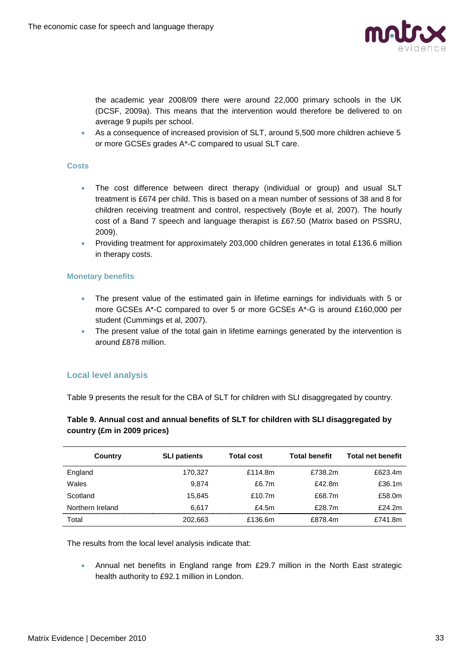

the academic year 2008/09 there were around 22,000 primary schools in the UK (DCSF, 2009a). This means that the intervention would therefore be delivered to on average 9 pupils per school.

 As a consequence of increased provision of SLT, around 5,500 more children achieve 5 or more GCSEs grades A\*-C compared to usual SLT care.

#### **Costs**

- The cost difference between direct therapy (individual or group) and usual SLT treatment is £674 per child. This is based on a mean number of sessions of 38 and 8 for children receiving treatment and control, respectively (Boyle et al, 2007). The hourly cost of a Band 7 speech and language therapist is £67.50 (Matrix based on PSSRU, 2009).
- Providing treatment for approximately 203,000 children generates in total £136.6 million in therapy costs.

#### **Monetary benefits**

- The present value of the estimated gain in lifetime earnings for individuals with 5 or more GCSEs A\*-C compared to over 5 or more GCSEs A\*-G is around £160,000 per student (Cummings et al, 2007).
- The present value of the total gain in lifetime earnings generated by the intervention is around £878 million.

#### **Local level analysis**

Table 9 presents the result for the CBA of SLT for children with SLI disaggregated by country.

### **Table 9. Annual cost and annual benefits of SLT for children with SLI disaggregated by country (£m in 2009 prices)**

| Country          | <b>SLI patients</b> | <b>Total cost</b> | <b>Total benefit</b> | <b>Total net benefit</b> |
|------------------|---------------------|-------------------|----------------------|--------------------------|
| England          | 170,327             | £114.8m           | £738.2m              | £623.4m                  |
| Wales            | 9.874               | £6.7m             | £42.8m               | £36.1m                   |
| Scotland         | 15.845              | £10.7m            | £68.7m               | £58.0m                   |
| Northern Ireland | 6.617               | £4.5 $m$          | £28.7m               | £24.2m                   |
| Total            | 202.663             | £136.6m           | £878.4m              | £741.8m                  |

The results from the local level analysis indicate that:

 Annual net benefits in England range from £29.7 million in the North East strategic health authority to £92.1 million in London.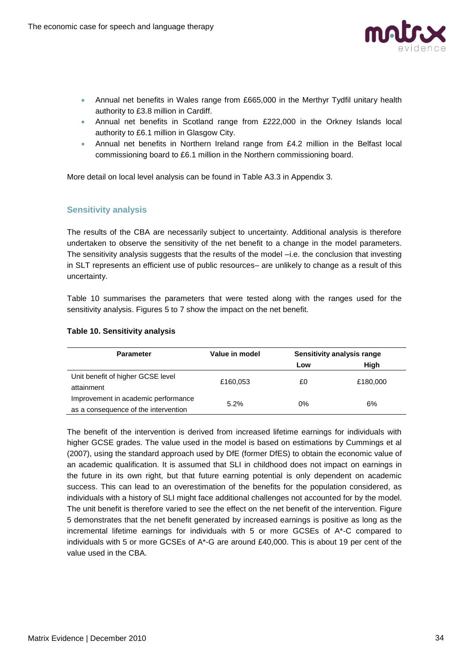

- Annual net benefits in Wales range from £665,000 in the Merthyr Tydfil unitary health authority to £3.8 million in Cardiff.
- Annual net benefits in Scotland range from £222,000 in the Orkney Islands local authority to £6.1 million in Glasgow City.
- Annual net benefits in Northern Ireland range from £4.2 million in the Belfast local commissioning board to £6.1 million in the Northern commissioning board.

More detail on local level analysis can be found in Table A3.3 in Appendix 3.

### **Sensitivity analysis**

The results of the CBA are necessarily subject to uncertainty. Additional analysis is therefore undertaken to observe the sensitivity of the net benefit to a change in the model parameters. The sensitivity analysis suggests that the results of the model –i.e. the conclusion that investing in SLT represents an efficient use of public resources– are unlikely to change as a result of this uncertainty.

Table 10 summarises the parameters that were tested along with the ranges used for the sensitivity analysis. Figures 5 to 7 show the impact on the net benefit.

| <b>Parameter</b>                                                            | Value in model | Sensitivity analysis range |          |
|-----------------------------------------------------------------------------|----------------|----------------------------|----------|
|                                                                             |                | Low                        | High     |
| Unit benefit of higher GCSE level<br>attainment                             | £160,053       | £0                         | £180,000 |
| Improvement in academic performance<br>as a consequence of the intervention | 5.2%           | 0%                         | 6%       |

#### **Table 10. Sensitivity analysis**

The benefit of the intervention is derived from increased lifetime earnings for individuals with higher GCSE grades. The value used in the model is based on estimations by Cummings et al (2007), using the standard approach used by DfE (former DfES) to obtain the economic value of an academic qualification. It is assumed that SLI in childhood does not impact on earnings in the future in its own right, but that future earning potential is only dependent on academic success. This can lead to an overestimation of the benefits for the population considered, as individuals with a history of SLI might face additional challenges not accounted for by the model. The unit benefit is therefore varied to see the effect on the net benefit of the intervention. Figure 5 demonstrates that the net benefit generated by increased earnings is positive as long as the incremental lifetime earnings for individuals with 5 or more GCSEs of A\*-C compared to individuals with 5 or more GCSEs of A\*-G are around £40,000. This is about 19 per cent of the value used in the CBA.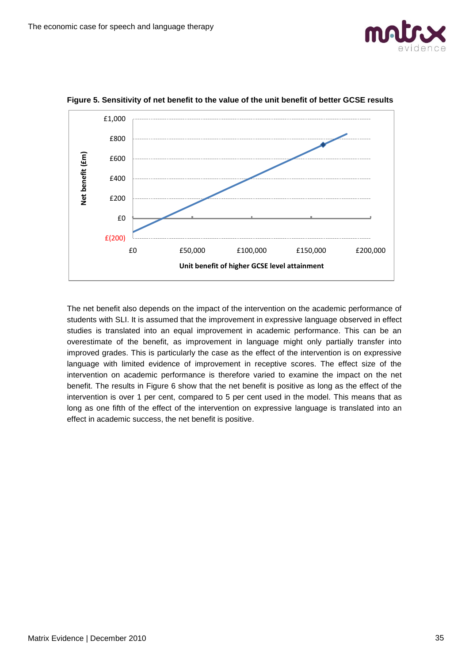



**Figure 5. Sensitivity of net benefit to the value of the unit benefit of better GCSE results**

The net benefit also depends on the impact of the intervention on the academic performance of students with SLI. It is assumed that the improvement in expressive language observed in effect studies is translated into an equal improvement in academic performance. This can be an overestimate of the benefit, as improvement in language might only partially transfer into improved grades. This is particularly the case as the effect of the intervention is on expressive language with limited evidence of improvement in receptive scores. The effect size of the intervention on academic performance is therefore varied to examine the impact on the net benefit. The results in Figure 6 show that the net benefit is positive as long as the effect of the intervention is over 1 per cent, compared to 5 per cent used in the model. This means that as long as one fifth of the effect of the intervention on expressive language is translated into an effect in academic success, the net benefit is positive.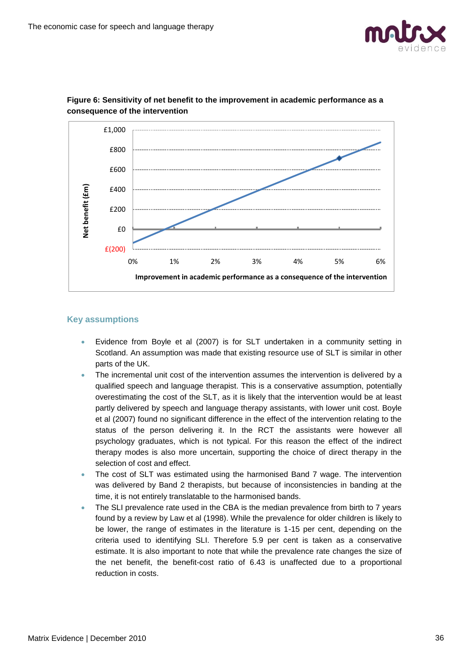



## **Figure 6: Sensitivity of net benefit to the improvement in academic performance as a consequence of the intervention**

### **Key assumptions**

- Evidence from Boyle et al (2007) is for SLT undertaken in a community setting in Scotland. An assumption was made that existing resource use of SLT is similar in other parts of the UK.
- The incremental unit cost of the intervention assumes the intervention is delivered by a qualified speech and language therapist. This is a conservative assumption, potentially overestimating the cost of the SLT, as it is likely that the intervention would be at least partly delivered by speech and language therapy assistants, with lower unit cost. Boyle et al (2007) found no significant difference in the effect of the intervention relating to the status of the person delivering it. In the RCT the assistants were however all psychology graduates, which is not typical. For this reason the effect of the indirect therapy modes is also more uncertain, supporting the choice of direct therapy in the selection of cost and effect.
- The cost of SLT was estimated using the harmonised Band 7 wage. The intervention was delivered by Band 2 therapists, but because of inconsistencies in banding at the time, it is not entirely translatable to the harmonised bands.
- The SLI prevalence rate used in the CBA is the median prevalence from birth to 7 years found by a review by Law et al (1998). While the prevalence for older children is likely to be lower, the range of estimates in the literature is 1-15 per cent, depending on the criteria used to identifying SLI. Therefore 5.9 per cent is taken as a conservative estimate. It is also important to note that while the prevalence rate changes the size of the net benefit, the benefit-cost ratio of 6.43 is unaffected due to a proportional reduction in costs.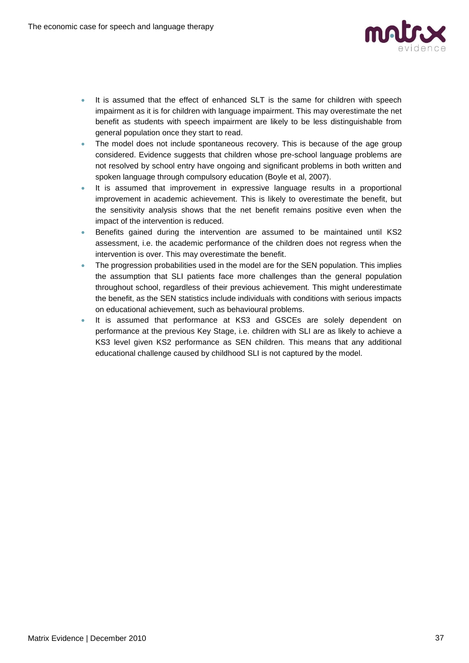

- It is assumed that the effect of enhanced SLT is the same for children with speech impairment as it is for children with language impairment. This may overestimate the net benefit as students with speech impairment are likely to be less distinguishable from general population once they start to read.
- The model does not include spontaneous recovery. This is because of the age group considered. Evidence suggests that children whose pre-school language problems are not resolved by school entry have ongoing and significant problems in both written and spoken language through compulsory education (Boyle et al, 2007).
- It is assumed that improvement in expressive language results in a proportional improvement in academic achievement. This is likely to overestimate the benefit, but the sensitivity analysis shows that the net benefit remains positive even when the impact of the intervention is reduced.
- Benefits gained during the intervention are assumed to be maintained until KS2 assessment, i.e. the academic performance of the children does not regress when the intervention is over. This may overestimate the benefit.
- The progression probabilities used in the model are for the SEN population. This implies the assumption that SLI patients face more challenges than the general population throughout school, regardless of their previous achievement. This might underestimate the benefit, as the SEN statistics include individuals with conditions with serious impacts on educational achievement, such as behavioural problems.
- It is assumed that performance at KS3 and GSCEs are solely dependent on performance at the previous Key Stage, i.e. children with SLI are as likely to achieve a KS3 level given KS2 performance as SEN children. This means that any additional educational challenge caused by childhood SLI is not captured by the model.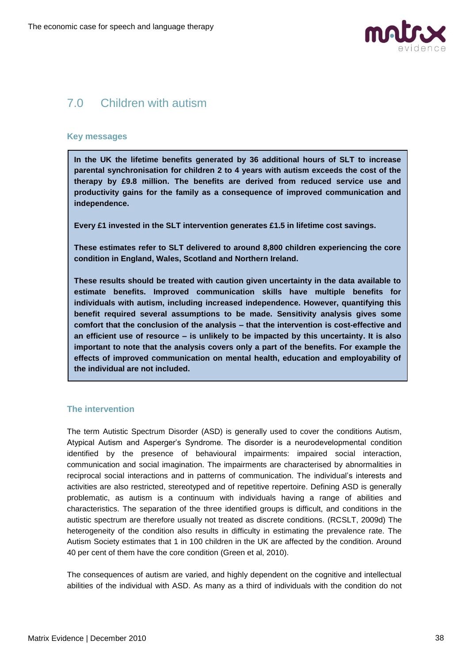

# 7.0 Children with autism

#### **Key messages**

**In the UK the lifetime benefits generated by 36 additional hours of SLT to increase parental synchronisation for children 2 to 4 years with autism exceeds the cost of the therapy by £9.8 million. The benefits are derived from reduced service use and productivity gains for the family as a consequence of improved communication and independence.**

**Every £1 invested in the SLT intervention generates £1.5 in lifetime cost savings.** 

**These estimates refer to SLT delivered to around 8,800 children experiencing the core condition in England, Wales, Scotland and Northern Ireland.**

**These results should be treated with caution given uncertainty in the data available to estimate benefits. Improved communication skills have multiple benefits for individuals with autism, including increased independence. However, quantifying this benefit required several assumptions to be made. Sensitivity analysis gives some comfort that the conclusion of the analysis – that the intervention is cost-effective and an efficient use of resource – is unlikely to be impacted by this uncertainty. It is also important to note that the analysis covers only a part of the benefits. For example the effects of improved communication on mental health, education and employability of the individual are not included.** 

#### **The intervention**

The term Autistic Spectrum Disorder (ASD) is generally used to cover the conditions Autism, Atypical Autism and Asperger's Syndrome. The disorder is a neurodevelopmental condition identified by the presence of behavioural impairments: impaired social interaction, communication and social imagination. The impairments are characterised by abnormalities in reciprocal social interactions and in patterns of communication. The individual's interests and activities are also restricted, stereotyped and of repetitive repertoire. Defining ASD is generally problematic, as autism is a continuum with individuals having a range of abilities and characteristics. The separation of the three identified groups is difficult, and conditions in the autistic spectrum are therefore usually not treated as discrete conditions. (RCSLT, 2009d) The heterogeneity of the condition also results in difficulty in estimating the prevalence rate. The Autism Society estimates that 1 in 100 children in the UK are affected by the condition. Around 40 per cent of them have the core condition (Green et al, 2010).

The consequences of autism are varied, and highly dependent on the cognitive and intellectual abilities of the individual with ASD. As many as a third of individuals with the condition do not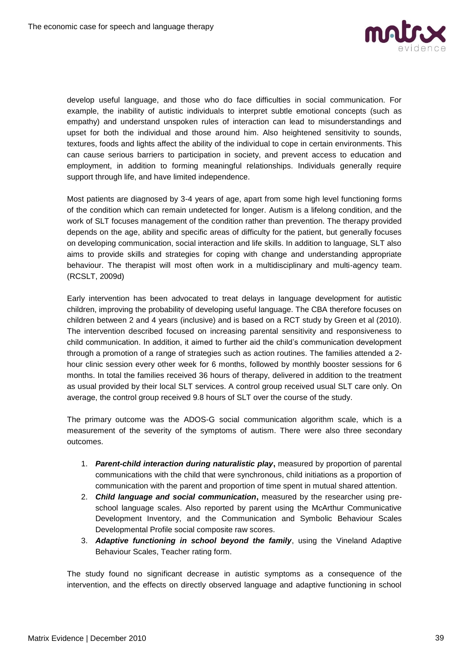

develop useful language, and those who do face difficulties in social communication. For example, the inability of autistic individuals to interpret subtle emotional concepts (such as empathy) and understand unspoken rules of interaction can lead to misunderstandings and upset for both the individual and those around him. Also heightened sensitivity to sounds, textures, foods and lights affect the ability of the individual to cope in certain environments. This can cause serious barriers to participation in society, and prevent access to education and employment, in addition to forming meaningful relationships. Individuals generally require support through life, and have limited independence.

Most patients are diagnosed by 3-4 years of age, apart from some high level functioning forms of the condition which can remain undetected for longer. Autism is a lifelong condition, and the work of SLT focuses management of the condition rather than prevention. The therapy provided depends on the age, ability and specific areas of difficulty for the patient, but generally focuses on developing communication, social interaction and life skills. In addition to language, SLT also aims to provide skills and strategies for coping with change and understanding appropriate behaviour. The therapist will most often work in a multidisciplinary and multi-agency team. (RCSLT, 2009d)

Early intervention has been advocated to treat delays in language development for autistic children, improving the probability of developing useful language. The CBA therefore focuses on children between 2 and 4 years (inclusive) and is based on a RCT study by Green et al (2010). The intervention described focused on increasing parental sensitivity and responsiveness to child communication. In addition, it aimed to further aid the child's communication development through a promotion of a range of strategies such as action routines. The families attended a 2 hour clinic session every other week for 6 months, followed by monthly booster sessions for 6 months. In total the families received 36 hours of therapy, delivered in addition to the treatment as usual provided by their local SLT services. A control group received usual SLT care only. On average, the control group received 9.8 hours of SLT over the course of the study.

The primary outcome was the ADOS-G social communication algorithm scale, which is a measurement of the severity of the symptoms of autism. There were also three secondary outcomes.

- 1. *Parent-child interaction during naturalistic play***,** measured by proportion of parental communications with the child that were synchronous, child initiations as a proportion of communication with the parent and proportion of time spent in mutual shared attention.
- 2. *Child language and social communication***,** measured by the researcher using preschool language scales. Also reported by parent using the McArthur Communicative Development Inventory, and the Communication and Symbolic Behaviour Scales Developmental Profile social composite raw scores.
- 3. *Adaptive functioning in school beyond the family*, using the Vineland Adaptive Behaviour Scales, Teacher rating form.

The study found no significant decrease in autistic symptoms as a consequence of the intervention, and the effects on directly observed language and adaptive functioning in school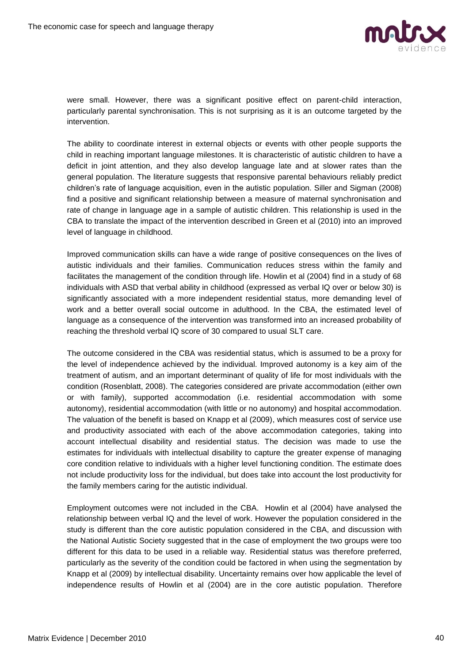

were small. However, there was a significant positive effect on parent-child interaction, particularly parental synchronisation. This is not surprising as it is an outcome targeted by the intervention.

The ability to coordinate interest in external objects or events with other people supports the child in reaching important language milestones. It is characteristic of autistic children to have a deficit in joint attention, and they also develop language late and at slower rates than the general population. The literature suggests that responsive parental behaviours reliably predict children's rate of language acquisition, even in the autistic population. Siller and Sigman (2008) find a positive and significant relationship between a measure of maternal synchronisation and rate of change in language age in a sample of autistic children. This relationship is used in the CBA to translate the impact of the intervention described in Green et al (2010) into an improved level of language in childhood.

Improved communication skills can have a wide range of positive consequences on the lives of autistic individuals and their families. Communication reduces stress within the family and facilitates the management of the condition through life. Howlin et al (2004) find in a study of 68 individuals with ASD that verbal ability in childhood (expressed as verbal IQ over or below 30) is significantly associated with a more independent residential status, more demanding level of work and a better overall social outcome in adulthood. In the CBA, the estimated level of language as a consequence of the intervention was transformed into an increased probability of reaching the threshold verbal IQ score of 30 compared to usual SLT care.

The outcome considered in the CBA was residential status, which is assumed to be a proxy for the level of independence achieved by the individual. Improved autonomy is a key aim of the treatment of autism, and an important determinant of quality of life for most individuals with the condition (Rosenblatt, 2008). The categories considered are private accommodation (either own or with family), supported accommodation (i.e. residential accommodation with some autonomy), residential accommodation (with little or no autonomy) and hospital accommodation. The valuation of the benefit is based on Knapp et al (2009), which measures cost of service use and productivity associated with each of the above accommodation categories, taking into account intellectual disability and residential status. The decision was made to use the estimates for individuals with intellectual disability to capture the greater expense of managing core condition relative to individuals with a higher level functioning condition. The estimate does not include productivity loss for the individual, but does take into account the lost productivity for the family members caring for the autistic individual.

Employment outcomes were not included in the CBA. Howlin et al (2004) have analysed the relationship between verbal IQ and the level of work. However the population considered in the study is different than the core autistic population considered in the CBA, and discussion with the National Autistic Society suggested that in the case of employment the two groups were too different for this data to be used in a reliable way. Residential status was therefore preferred, particularly as the severity of the condition could be factored in when using the segmentation by Knapp et al (2009) by intellectual disability. Uncertainty remains over how applicable the level of independence results of Howlin et al (2004) are in the core autistic population. Therefore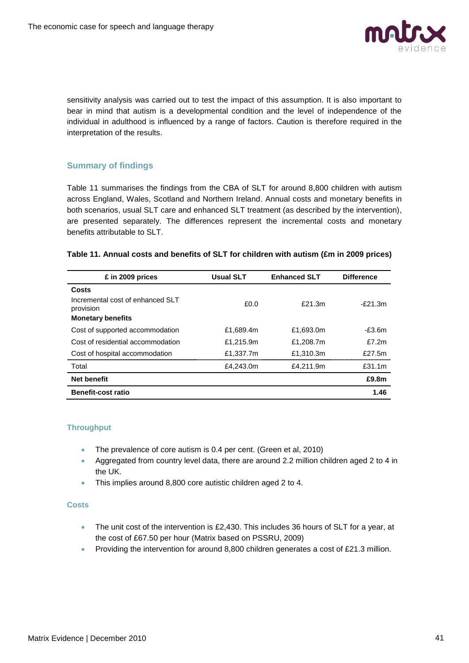

sensitivity analysis was carried out to test the impact of this assumption. It is also important to bear in mind that autism is a developmental condition and the level of independence of the individual in adulthood is influenced by a range of factors. Caution is therefore required in the interpretation of the results.

#### **Summary of findings**

Table 11 summarises the findings from the CBA of SLT for around 8,800 children with autism across England, Wales, Scotland and Northern Ireland. Annual costs and monetary benefits in both scenarios, usual SLT care and enhanced SLT treatment (as described by the intervention), are presented separately. The differences represent the incremental costs and monetary benefits attributable to SLT.

#### **Table 11. Annual costs and benefits of SLT for children with autism (£m in 2009 prices)**

| £ in 2009 prices                              | <b>Usual SLT</b> | <b>Enhanced SLT</b> | <b>Difference</b> |
|-----------------------------------------------|------------------|---------------------|-------------------|
| Costs                                         |                  |                     |                   |
| Incremental cost of enhanced SLT<br>provision | f(0,0)           | $f$ 21.3m           | $-F21.3m$         |
| <b>Monetary benefits</b>                      |                  |                     |                   |
| Cost of supported accommodation               | £1,689.4m        | £1,693.0m           | $-E3.6m$          |
| Cost of residential accommodation             | £1.215.9m        | £1.208.7m           | f7.2m             |
| Cost of hospital accommodation                | £1,337.7m        | £1,310.3m           | f27.5m            |
| Total                                         | £4,243.0m        | £4,211.9m           | £31.1m            |
| <b>Net benefit</b>                            |                  |                     | £9.8m             |
| <b>Benefit-cost ratio</b>                     |                  |                     | 1.46              |

#### **Throughput**

- The prevalence of core autism is 0.4 per cent. (Green et al, 2010)
- Aggregated from country level data, there are around 2.2 million children aged 2 to 4 in the UK.
- This implies around 8,800 core autistic children aged 2 to 4.

#### **Costs**

- The unit cost of the intervention is £2,430. This includes 36 hours of SLT for a year, at the cost of £67.50 per hour (Matrix based on PSSRU, 2009)
- Providing the intervention for around 8,800 children generates a cost of  $£21.3$  million.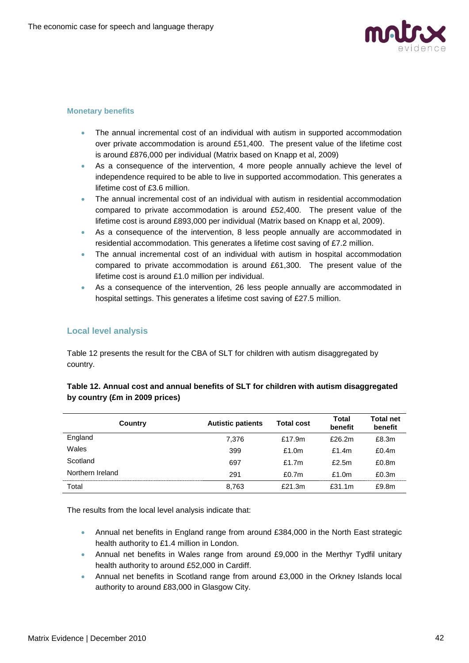

#### **Monetary benefits**

- The annual incremental cost of an individual with autism in supported accommodation over private accommodation is around £51,400. The present value of the lifetime cost is around £876,000 per individual (Matrix based on Knapp et al, 2009)
- As a consequence of the intervention, 4 more people annually achieve the level of independence required to be able to live in supported accommodation. This generates a lifetime cost of £3.6 million.
- The annual incremental cost of an individual with autism in residential accommodation compared to private accommodation is around £52,400. The present value of the lifetime cost is around £893,000 per individual (Matrix based on Knapp et al, 2009).
- As a consequence of the intervention, 8 less people annually are accommodated in residential accommodation. This generates a lifetime cost saving of £7.2 million.
- The annual incremental cost of an individual with autism in hospital accommodation compared to private accommodation is around £61,300. The present value of the lifetime cost is around £1.0 million per individual.
- As a consequence of the intervention, 26 less people annually are accommodated in hospital settings. This generates a lifetime cost saving of £27.5 million.

#### **Local level analysis**

Table 12 presents the result for the CBA of SLT for children with autism disaggregated by country.

| Country          | <b>Autistic patients</b> | <b>Total cost</b> | Total<br>benefit | <b>Total net</b><br>benefit |
|------------------|--------------------------|-------------------|------------------|-----------------------------|
| England          | 7.376                    | £17.9m            | £26.2m           | £8.3m                       |
| Wales            | 399                      | £1.0m             | £1.4 $m$         | £0.4m                       |
| Scotland         | 697                      | f1.7m             | £2.5 $m$         | £0.8m                       |
| Northern Ireland | 291                      | £0.7 $m$          | £1.0 $m$         | £0.3m                       |
| Total            | 8.763                    | £21.3m            | £31.1 $m$        | £9.8m                       |

#### **Table 12. Annual cost and annual benefits of SLT for children with autism disaggregated by country (£m in 2009 prices)**

The results from the local level analysis indicate that:

- Annual net benefits in England range from around £384,000 in the North East strategic health authority to £1.4 million in London.
- Annual net benefits in Wales range from around £9,000 in the Merthyr Tydfil unitary health authority to around £52,000 in Cardiff.
- Annual net benefits in Scotland range from around £3,000 in the Orkney Islands local authority to around £83,000 in Glasgow City.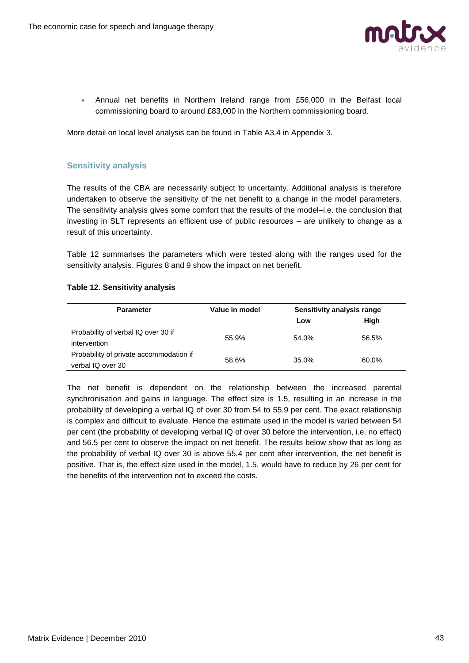

 Annual net benefits in Northern Ireland range from £56,000 in the Belfast local commissioning board to around £83,000 in the Northern commissioning board.

More detail on local level analysis can be found in Table A3.4 in Appendix 3.

#### **Sensitivity analysis**

The results of the CBA are necessarily subject to uncertainty. Additional analysis is therefore undertaken to observe the sensitivity of the net benefit to a change in the model parameters. The sensitivity analysis gives some comfort that the results of the model–i.e. the conclusion that investing in SLT represents an efficient use of public resources – are unlikely to change as a result of this uncertainty.

Table 12 summarises the parameters which were tested along with the ranges used for the sensitivity analysis. Figures 8 and 9 show the impact on net benefit.

#### **Table 12. Sensitivity analysis**

| <b>Parameter</b>                        | Value in model |       | Sensitivity analysis range |
|-----------------------------------------|----------------|-------|----------------------------|
|                                         |                | Low   | High                       |
| Probability of verbal IQ over 30 if     | 55.9%          | 54.0% | 56.5%                      |
| intervention                            |                |       |                            |
| Probability of private accommodation if | 58.6%          | 35.0% | 60.0%                      |
| verbal IQ over 30                       |                |       |                            |

The net benefit is dependent on the relationship between the increased parental synchronisation and gains in language. The effect size is 1.5, resulting in an increase in the probability of developing a verbal IQ of over 30 from 54 to 55.9 per cent. The exact relationship is complex and difficult to evaluate. Hence the estimate used in the model is varied between 54 per cent (the probability of developing verbal IQ of over 30 before the intervention, i.e. no effect) and 56.5 per cent to observe the impact on net benefit. The results below show that as long as the probability of verbal IQ over 30 is above 55.4 per cent after intervention, the net benefit is positive. That is, the effect size used in the model, 1.5, would have to reduce by 26 per cent for the benefits of the intervention not to exceed the costs.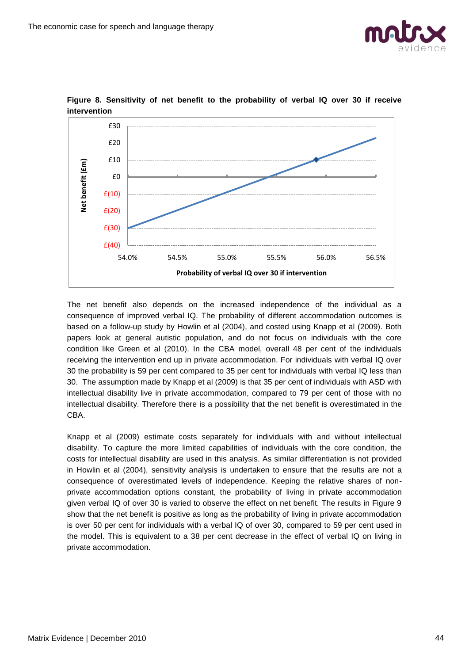



#### **Figure 8. Sensitivity of net benefit to the probability of verbal IQ over 30 if receive intervention**

The net benefit also depends on the increased independence of the individual as a consequence of improved verbal IQ. The probability of different accommodation outcomes is based on a follow-up study by Howlin et al (2004), and costed using Knapp et al (2009). Both papers look at general autistic population, and do not focus on individuals with the core condition like Green et al (2010). In the CBA model, overall 48 per cent of the individuals receiving the intervention end up in private accommodation. For individuals with verbal IQ over 30 the probability is 59 per cent compared to 35 per cent for individuals with verbal IQ less than 30. The assumption made by Knapp et al (2009) is that 35 per cent of individuals with ASD with intellectual disability live in private accommodation, compared to 79 per cent of those with no intellectual disability. Therefore there is a possibility that the net benefit is overestimated in the CBA.

Knapp et al (2009) estimate costs separately for individuals with and without intellectual disability. To capture the more limited capabilities of individuals with the core condition, the costs for intellectual disability are used in this analysis. As similar differentiation is not provided in Howlin et al (2004), sensitivity analysis is undertaken to ensure that the results are not a consequence of overestimated levels of independence. Keeping the relative shares of nonprivate accommodation options constant, the probability of living in private accommodation given verbal IQ of over 30 is varied to observe the effect on net benefit. The results in Figure 9 show that the net benefit is positive as long as the probability of living in private accommodation is over 50 per cent for individuals with a verbal IQ of over 30, compared to 59 per cent used in the model. This is equivalent to a 38 per cent decrease in the effect of verbal IQ on living in private accommodation.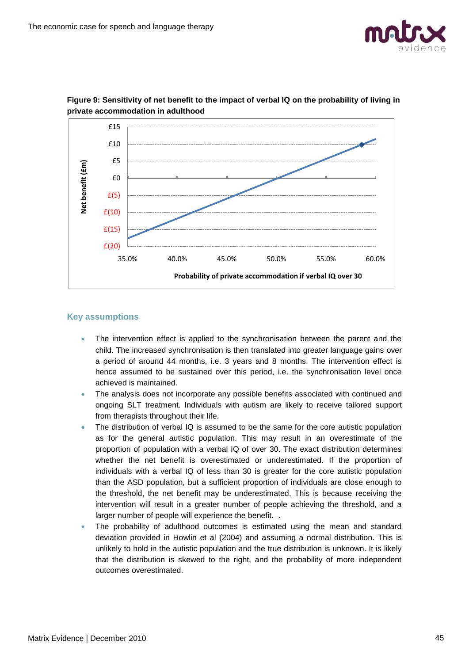



#### **Figure 9: Sensitivity of net benefit to the impact of verbal IQ on the probability of living in private accommodation in adulthood**

#### **Key assumptions**

- The intervention effect is applied to the synchronisation between the parent and the child. The increased synchronisation is then translated into greater language gains over a period of around 44 months, i.e. 3 years and 8 months. The intervention effect is hence assumed to be sustained over this period, i.e. the synchronisation level once achieved is maintained.
- The analysis does not incorporate any possible benefits associated with continued and ongoing SLT treatment. Individuals with autism are likely to receive tailored support from therapists throughout their life.
- The distribution of verbal IQ is assumed to be the same for the core autistic population as for the general autistic population. This may result in an overestimate of the proportion of population with a verbal IQ of over 30. The exact distribution determines whether the net benefit is overestimated or underestimated. If the proportion of individuals with a verbal IQ of less than 30 is greater for the core autistic population than the ASD population, but a sufficient proportion of individuals are close enough to the threshold, the net benefit may be underestimated. This is because receiving the intervention will result in a greater number of people achieving the threshold, and a larger number of people will experience the benefit. .
- The probability of adulthood outcomes is estimated using the mean and standard deviation provided in Howlin et al (2004) and assuming a normal distribution. This is unlikely to hold in the autistic population and the true distribution is unknown. It is likely that the distribution is skewed to the right, and the probability of more independent outcomes overestimated.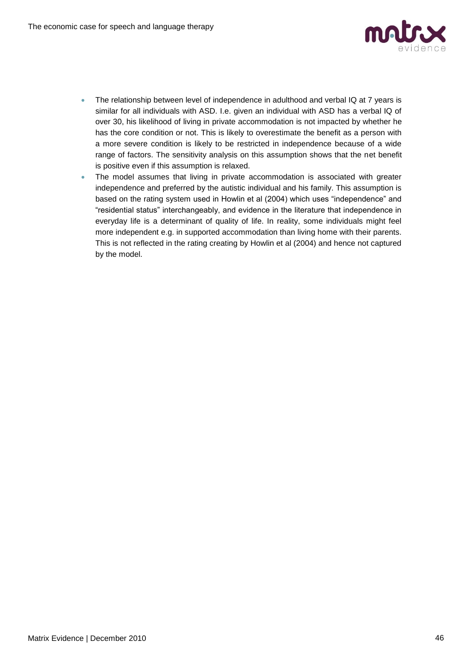

- The relationship between level of independence in adulthood and verbal IQ at 7 years is similar for all individuals with ASD. I.e. given an individual with ASD has a verbal IQ of over 30, his likelihood of living in private accommodation is not impacted by whether he has the core condition or not. This is likely to overestimate the benefit as a person with a more severe condition is likely to be restricted in independence because of a wide range of factors. The sensitivity analysis on this assumption shows that the net benefit is positive even if this assumption is relaxed.
- The model assumes that living in private accommodation is associated with greater independence and preferred by the autistic individual and his family. This assumption is based on the rating system used in Howlin et al (2004) which uses "independence" and "residential status" interchangeably, and evidence in the literature that independence in everyday life is a determinant of quality of life. In reality, some individuals might feel more independent e.g. in supported accommodation than living home with their parents. This is not reflected in the rating creating by Howlin et al (2004) and hence not captured by the model.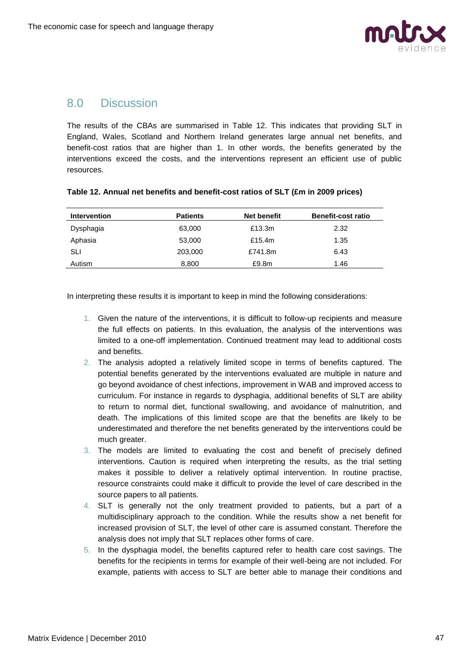

## 8.0 Discussion

The results of the CBAs are summarised in Table 12. This indicates that providing SLT in England, Wales, Scotland and Northern Ireland generates large annual net benefits, and benefit-cost ratios that are higher than 1. In other words, the benefits generated by the interventions exceed the costs, and the interventions represent an efficient use of public resources.

| <b>Intervention</b> | <b>Patients</b> | Net benefit | <b>Benefit-cost ratio</b> |
|---------------------|-----------------|-------------|---------------------------|
| Dysphagia           | 63,000          | £13.3m      | 2.32                      |
| Aphasia             | 53,000          | £15.4m      | 1.35                      |
| SLI                 | 203,000         | £741.8m     | 6.43                      |
| Autism              | 8,800           | £9.8m       | 1.46                      |

#### **Table 12. Annual net benefits and benefit-cost ratios of SLT (£m in 2009 prices)**

In interpreting these results it is important to keep in mind the following considerations:

- 1. Given the nature of the interventions, it is difficult to follow-up recipients and measure the full effects on patients. In this evaluation, the analysis of the interventions was limited to a one-off implementation. Continued treatment may lead to additional costs and benefits.
- 2. The analysis adopted a relatively limited scope in terms of benefits captured. The potential benefits generated by the interventions evaluated are multiple in nature and go beyond avoidance of chest infections, improvement in WAB and improved access to curriculum. For instance in regards to dysphagia, additional benefits of SLT are ability to return to normal diet, functional swallowing, and avoidance of malnutrition, and death. The implications of this limited scope are that the benefits are likely to be underestimated and therefore the net benefits generated by the interventions could be much greater.
- 3. The models are limited to evaluating the cost and benefit of precisely defined interventions. Caution is required when interpreting the results, as the trial setting makes it possible to deliver a relatively optimal intervention. In routine practise, resource constraints could make it difficult to provide the level of care described in the source papers to all patients.
- 4. SLT is generally not the only treatment provided to patients, but a part of a multidisciplinary approach to the condition. While the results show a net benefit for increased provision of SLT, the level of other care is assumed constant. Therefore the analysis does not imply that SLT replaces other forms of care.
- 5. In the dysphagia model, the benefits captured refer to health care cost savings. The benefits for the recipients in terms for example of their well-being are not included. For example, patients with access to SLT are better able to manage their conditions and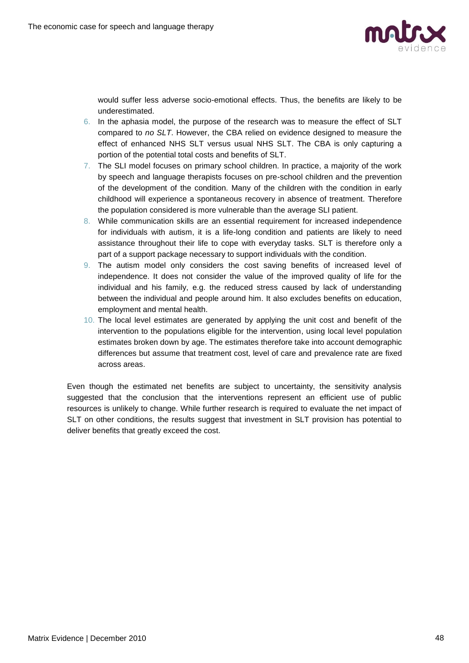

would suffer less adverse socio-emotional effects. Thus, the benefits are likely to be underestimated.

- 6. In the aphasia model, the purpose of the research was to measure the effect of SLT compared to *no SLT*. However, the CBA relied on evidence designed to measure the effect of enhanced NHS SLT versus usual NHS SLT. The CBA is only capturing a portion of the potential total costs and benefits of SLT.
- 7. The SLI model focuses on primary school children. In practice, a majority of the work by speech and language therapists focuses on pre-school children and the prevention of the development of the condition. Many of the children with the condition in early childhood will experience a spontaneous recovery in absence of treatment. Therefore the population considered is more vulnerable than the average SLI patient.
- 8. While communication skills are an essential requirement for increased independence for individuals with autism, it is a life-long condition and patients are likely to need assistance throughout their life to cope with everyday tasks. SLT is therefore only a part of a support package necessary to support individuals with the condition.
- 9. The autism model only considers the cost saving benefits of increased level of independence. It does not consider the value of the improved quality of life for the individual and his family, e.g. the reduced stress caused by lack of understanding between the individual and people around him. It also excludes benefits on education, employment and mental health.
- 10. The local level estimates are generated by applying the unit cost and benefit of the intervention to the populations eligible for the intervention, using local level population estimates broken down by age. The estimates therefore take into account demographic differences but assume that treatment cost, level of care and prevalence rate are fixed across areas.

Even though the estimated net benefits are subject to uncertainty, the sensitivity analysis suggested that the conclusion that the interventions represent an efficient use of public resources is unlikely to change. While further research is required to evaluate the net impact of SLT on other conditions, the results suggest that investment in SLT provision has potential to deliver benefits that greatly exceed the cost.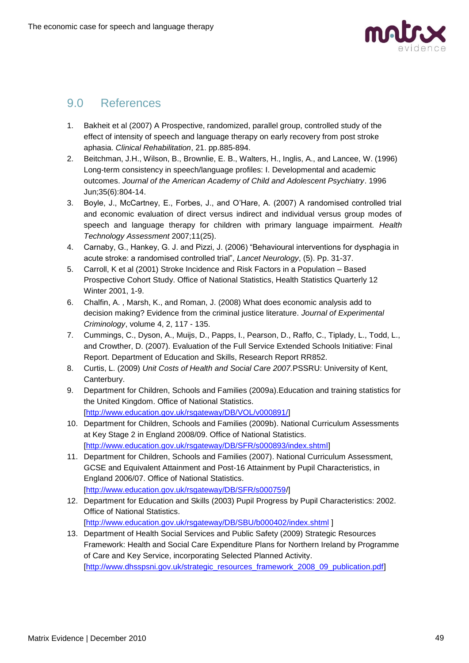

# 9.0 References

- 1. Bakheit et al (2007) A Prospective, randomized, parallel group, controlled study of the effect of intensity of speech and language therapy on early recovery from post stroke aphasia. *Clinical Rehabilitation*, 21. pp.885-894.
- 2. Beitchman, J.H., Wilson, B., Brownlie, E. B., Walters, H., Inglis, A., and Lancee, W. (1996) Long-term consistency in speech/language profiles: I. Developmental and academic outcomes. *Journal of the American Academy of Child and Adolescent Psychiatry*. 1996 Jun;35(6):804-14.
- 3. Boyle, J., McCartney, E., Forbes, J., and O'Hare, A. (2007) A randomised controlled trial and economic evaluation of direct versus indirect and individual versus group modes of speech and language therapy for children with primary language impairment. *Health Technology Assessment* 2007;11(25).
- 4. Carnaby, G., Hankey, G. J. and Pizzi, J. (2006) "Behavioural interventions for dysphagia in acute stroke: a randomised controlled trial", *Lancet Neurology*, (5). Pp. 31-37.
- 5. Carroll, K et al (2001) Stroke Incidence and Risk Factors in a Population Based Prospective Cohort Study. Office of National Statistics, Health Statistics Quarterly 12 Winter 2001, 1-9.
- 6. Chalfin, A. , Marsh, K., and Roman, J. (2008) What does economic analysis add to decision making? Evidence from the criminal justice literature. *Journal of Experimental Criminology*, volume 4, 2, 117 - 135.
- 7. Cummings, C., Dyson, A., Muijs, D., Papps, I., Pearson, D., Raffo, C., Tiplady, L., Todd, L., and Crowther, D. (2007). Evaluation of the Full Service Extended Schools Initiative: Final Report. Department of Education and Skills, Research Report RR852.
- 8. Curtis, L. (2009) *Unit Costs of Health and Social Care 2007.*PSSRU: University of Kent, Canterbury.
- 9. Department for Children, Schools and Families (2009a).Education and training statistics for the United Kingdom. Office of National Statistics. [\[http://www.education.gov.uk/rsgateway/DB/VOL/v000891/\]](http://www.education.gov.uk/rsgateway/DB/VOL/v000891/)
- 10. Department for Children, Schools and Families (2009b). National Curriculum Assessments at Key Stage 2 in England 2008/09. Office of National Statistics. [\[http://www.education.gov.uk/rsgateway/DB/SFR/s000893/index.shtml\]](http://www.education.gov.uk/rsgateway/DB/SFR/s000893/index.shtml)
- 11. Department for Children, Schools and Families (2007). National Curriculum Assessment, GCSE and Equivalent Attainment and Post-16 Attainment by Pupil Characteristics, in England 2006/07. Office of National Statistics. [\[http://www.education.gov.uk/rsgateway/DB/SFR/s000759/](http://www.education.gov.uk/rsgateway/DB/SFR/s000759/)]
- 12. Department for Education and Skills (2003) Pupil Progress by Pupil Characteristics: 2002. Office of National Statistics.
	- [\[http://www.education.gov.uk/rsgateway/DB/SBU/b000402/index.shtml](http://www.education.gov.uk/rsgateway/DB/SBU/b000402/index.shtml)]
- 13. Department of Health Social Services and Public Safety (2009) Strategic Resources Framework: Health and Social Care Expenditure Plans for Northern Ireland by Programme of Care and Key Service, incorporating Selected Planned Activity. [\[http://www.dhsspsni.gov.uk/strategic\\_resources\\_framework\\_2008\\_09\\_publication.pdf\]](http://www.dhsspsni.gov.uk/strategic_resources_framework_2008_09_publication.pdf)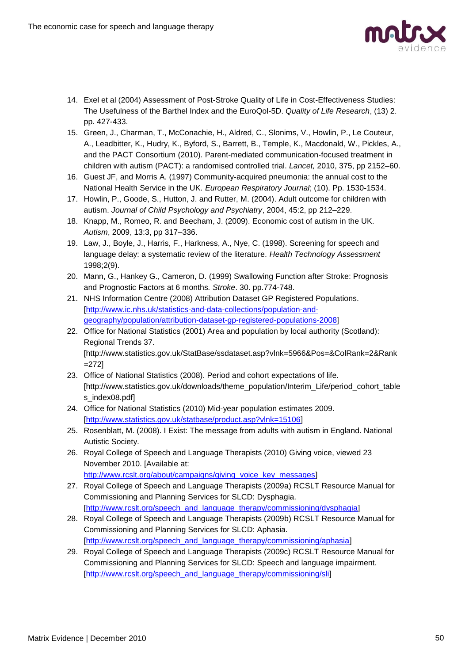

- 14. Exel et al (2004) Assessment of Post-Stroke Quality of Life in Cost-Effectiveness Studies: The Usefulness of the Barthel Index and the EuroQol-5D. *Quality of Life Research*, (13) 2. pp. 427-433.
- 15. Green, J., Charman, T., McConachie, H., Aldred, C., Slonims, V., Howlin, P., Le Couteur, A., Leadbitter, K., Hudry, K., Byford, S., Barrett, B., Temple, K., Macdonald, W., Pickles, A., and the PACT Consortium (2010). Parent-mediated communication-focused treatment in children with autism (PACT): a randomised controlled trial. *Lancet,* 2010, 375, pp 2152–60.
- 16. Guest JF, and Morris A. (1997) Community-acquired pneumonia: the annual cost to the National Health Service in the UK. *European Respiratory Journal*; (10). Pp. 1530-1534.
- 17. Howlin, P., Goode, S., Hutton, J. and Rutter, M. (2004). Adult outcome for children with autism. *Journal of Child Psychology and Psychiatry*, 2004, 45:2, pp 212–229.
- 18. Knapp, M., Romeo, R. and Beecham, J. (2009). Economic cost of autism in the UK. *Autism*, 2009, 13:3, pp 317–336.
- 19. Law, J., Boyle, J., Harris, F., Harkness, A., Nye, C. (1998). Screening for speech and language delay: a systematic review of the literature. *Health Technology Assessment* 1998;2(9).
- 20. Mann, G., Hankey G., Cameron, D. (1999) Swallowing Function after Stroke: Prognosis and Prognostic Factors at 6 months*. Stroke*. 30. pp.774-748.
- 21. NHS Information Centre (2008) Attribution Dataset GP Registered Populations. [\[http://www.ic.nhs.uk/statistics-and-data-collections/population-and](http://www.ic.nhs.uk/statistics-and-data-collections/population-and-geography/population/attribution-dataset-gp-registered-populations-2008)[geography/population/attribution-dataset-gp-registered-populations-2008\]](http://www.ic.nhs.uk/statistics-and-data-collections/population-and-geography/population/attribution-dataset-gp-registered-populations-2008)
- 22. Office for National Statistics (2001) Area and population by local authority (Scotland): Regional Trends 37. [http://www.statistics.gov.uk/StatBase/ssdataset.asp?vlnk=5966&Pos=&ColRank=2&Rank =272]
- 23. Office of National Statistics (2008). Period and cohort expectations of life. [http://www.statistics.gov.uk/downloads/theme\_population/Interim\_Life/period\_cohort\_table s\_index08.pdf]
- 24. Office for National Statistics (2010) Mid-year population estimates 2009. [\[http://www.statistics.gov.uk/statbase/product.asp?vlnk=15106\]](http://www.statistics.gov.uk/statbase/product.asp?vlnk=15106)
- 25. Rosenblatt, M. (2008). I Exist: The message from adults with autism in England. National Autistic Society.
- 26. Royal College of Speech and Language Therapists (2010) Giving voice, viewed 23 November 2010. [Available at: [http://www.rcslt.org/about/campaigns/giving\\_voice\\_key\\_messages\]](http://www.rcslt.org/about/campaigns/giving_voice_key_messages)
- 27. Royal College of Speech and Language Therapists (2009a) RCSLT Resource Manual for Commissioning and Planning Services for SLCD: Dysphagia. [\[http://www.rcslt.org/speech\\_and\\_language\\_therapy/commissioning/dysphagia\]](http://www.rcslt.org/speech_and_language_therapy/commissioning/dysphagia)
- 28. Royal College of Speech and Language Therapists (2009b) RCSLT Resource Manual for Commissioning and Planning Services for SLCD: Aphasia. [\[http://www.rcslt.org/speech\\_and\\_language\\_therapy/commissioning/aphasia\]](http://www.rcslt.org/speech_and_language_therapy/commissioning/aphasia)
- 29. Royal College of Speech and Language Therapists (2009c) RCSLT Resource Manual for Commissioning and Planning Services for SLCD: Speech and language impairment. [\[http://www.rcslt.org/speech\\_and\\_language\\_therapy/commissioning/sli\]](http://www.rcslt.org/speech_and_language_therapy/commissioning/sli)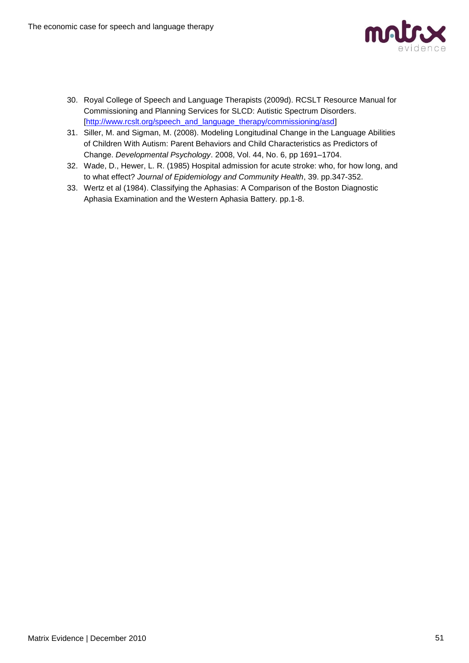

- 30. Royal College of Speech and Language Therapists (2009d). RCSLT Resource Manual for Commissioning and Planning Services for SLCD: Autistic Spectrum Disorders. [\[http://www.rcslt.org/speech\\_and\\_language\\_therapy/commissioning/asd\]](http://www.rcslt.org/speech_and_language_therapy/commissioning/asd)
- 31. Siller, M. and Sigman, M. (2008). Modeling Longitudinal Change in the Language Abilities of Children With Autism: Parent Behaviors and Child Characteristics as Predictors of Change. *Developmental Psychology*. 2008, Vol. 44, No. 6, pp 1691–1704.
- 32. Wade, D., Hewer, L. R. (1985) Hospital admission for acute stroke: who, for how long, and to what effect? *Journal of Epidemiology and Community Health*, 39. pp.347-352.
- 33. Wertz et al (1984). Classifying the Aphasias: A Comparison of the Boston Diagnostic Aphasia Examination and the Western Aphasia Battery. pp.1-8.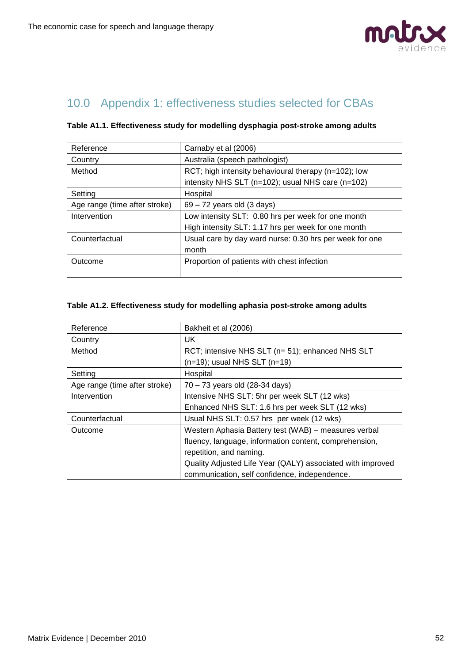

# 10.0 Appendix 1: effectiveness studies selected for CBAs

| Reference                     | Carnaby et al (2006)                                    |  |  |
|-------------------------------|---------------------------------------------------------|--|--|
| Country                       | Australia (speech pathologist)                          |  |  |
| Method                        | RCT; high intensity behavioural therapy (n=102); low    |  |  |
|                               | intensity NHS SLT (n=102); usual NHS care (n=102)       |  |  |
| Setting                       | Hospital                                                |  |  |
| Age range (time after stroke) | $69 - 72$ years old $(3$ days)                          |  |  |
| Intervention                  | Low intensity SLT: 0.80 hrs per week for one month      |  |  |
|                               | High intensity SLT: 1.17 hrs per week for one month     |  |  |
| Counterfactual                | Usual care by day ward nurse: 0.30 hrs per week for one |  |  |
|                               | month                                                   |  |  |
| Outcome                       | Proportion of patients with chest infection             |  |  |
|                               |                                                         |  |  |

#### **Table A1.1. Effectiveness study for modelling dysphagia post-stroke among adults**

#### **Table A1.2. Effectiveness study for modelling aphasia post-stroke among adults**

| Reference                     | Bakheit et al (2006)                                       |  |
|-------------------------------|------------------------------------------------------------|--|
| Country                       | UK.                                                        |  |
| Method                        | RCT; intensive NHS SLT (n= 51); enhanced NHS SLT           |  |
|                               | $(n=19)$ ; usual NHS SLT $(n=19)$                          |  |
| Setting                       | Hospital                                                   |  |
| Age range (time after stroke) | 70 - 73 years old (28-34 days)                             |  |
| Intervention                  | Intensive NHS SLT: 5hr per week SLT (12 wks)               |  |
|                               | Enhanced NHS SLT: 1.6 hrs per week SLT (12 wks)            |  |
| Counterfactual                | Usual NHS SLT: 0.57 hrs per week (12 wks)                  |  |
| Outcome                       | Western Aphasia Battery test (WAB) - measures verbal       |  |
|                               | fluency, language, information content, comprehension,     |  |
|                               | repetition, and naming.                                    |  |
|                               | Quality Adjusted Life Year (QALY) associated with improved |  |
|                               | communication, self confidence, independence.              |  |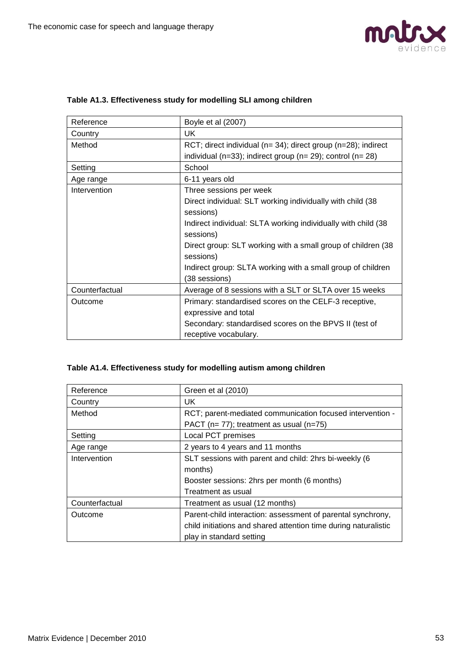

| Reference      | Boyle et al (2007)                                                   |
|----------------|----------------------------------------------------------------------|
| Country        | UK                                                                   |
| Method         | RCT; direct individual ( $n=34$ ); direct group ( $n=28$ ); indirect |
|                | individual ( $n=33$ ); indirect group ( $n=29$ ); control ( $n=28$ ) |
| Setting        | School                                                               |
| Age range      | 6-11 years old                                                       |
| Intervention   | Three sessions per week                                              |
|                | Direct individual: SLT working individually with child (38           |
|                | sessions)                                                            |
|                | Indirect individual: SLTA working individually with child (38)       |
|                | sessions)                                                            |
|                | Direct group: SLT working with a small group of children (38         |
|                | sessions)                                                            |
|                | Indirect group: SLTA working with a small group of children          |
|                | (38 sessions)                                                        |
| Counterfactual | Average of 8 sessions with a SLT or SLTA over 15 weeks               |
| Outcome        | Primary: standardised scores on the CELF-3 receptive,                |
|                | expressive and total                                                 |
|                | Secondary: standardised scores on the BPVS II (test of               |
|                | receptive vocabulary.                                                |

### **Table A1.3. Effectiveness study for modelling SLI among children**

## **Table A1.4. Effectiveness study for modelling autism among children**

| Reference      | Green et al (2010)                                              |  |
|----------------|-----------------------------------------------------------------|--|
| Country        | UK.                                                             |  |
| Method         | RCT; parent-mediated communication focused intervention -       |  |
|                | PACT ( $n= 77$ ); treatment as usual ( $n=75$ )                 |  |
| Setting        | Local PCT premises                                              |  |
| Age range      | 2 years to 4 years and 11 months                                |  |
| Intervention   | SLT sessions with parent and child: 2hrs bi-weekly (6           |  |
|                | months)                                                         |  |
|                | Booster sessions: 2hrs per month (6 months)                     |  |
|                | Treatment as usual                                              |  |
| Counterfactual | Treatment as usual (12 months)                                  |  |
| Outcome        | Parent-child interaction: assessment of parental synchrony,     |  |
|                | child initiations and shared attention time during naturalistic |  |
|                | play in standard setting                                        |  |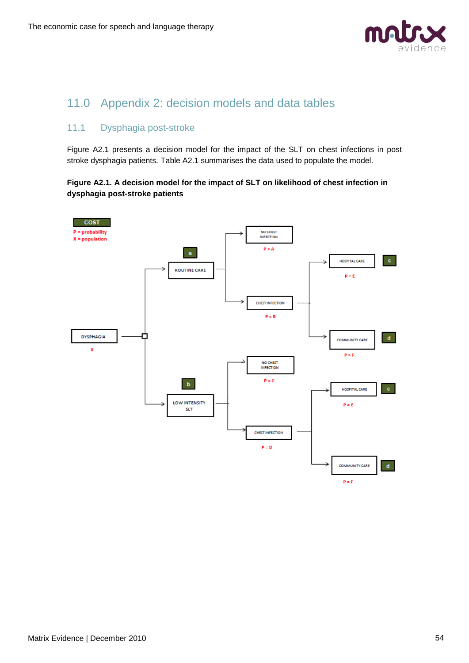

# 11.0 Appendix 2: decision models and data tables

## 11.1 Dysphagia post-stroke

Figure A2.1 presents a decision model for the impact of the SLT on chest infections in post stroke dysphagia patients. Table A2.1 summarises the data used to populate the model.

#### **Figure A2.1. A decision model for the impact of SLT on likelihood of chest infection in dysphagia post-stroke patients**

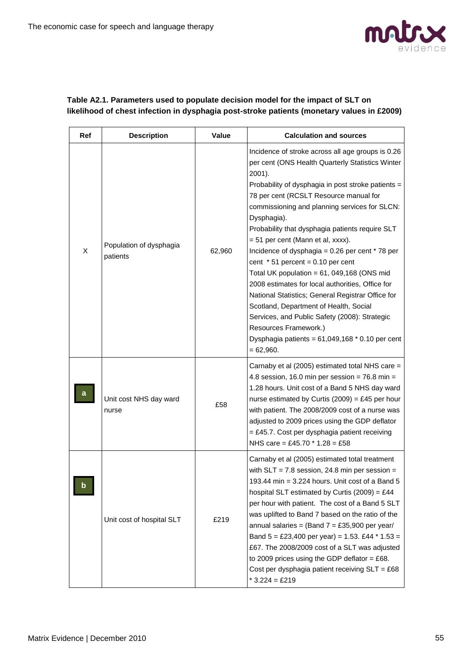

#### **Table A2.1. Parameters used to populate decision model for the impact of SLT on likelihood of chest infection in dysphagia post-stroke patients (monetary values in £2009)**

| Ref | <b>Description</b>                  | Value  | <b>Calculation and sources</b>                                                                                                                                                                                                                                                                                                                                                                                                                                                                                                                                                                                                                                                                                                                                                                                          |
|-----|-------------------------------------|--------|-------------------------------------------------------------------------------------------------------------------------------------------------------------------------------------------------------------------------------------------------------------------------------------------------------------------------------------------------------------------------------------------------------------------------------------------------------------------------------------------------------------------------------------------------------------------------------------------------------------------------------------------------------------------------------------------------------------------------------------------------------------------------------------------------------------------------|
| X   | Population of dysphagia<br>patients | 62,960 | Incidence of stroke across all age groups is 0.26<br>per cent (ONS Health Quarterly Statistics Winter<br>2001).<br>Probability of dysphagia in post stroke patients =<br>78 per cent (RCSLT Resource manual for<br>commissioning and planning services for SLCN:<br>Dysphagia).<br>Probability that dysphagia patients require SLT<br>= 51 per cent (Mann et al, xxxx).<br>Incidence of dysphagia = $0.26$ per cent $*$ 78 per<br>cent $* 51$ percent = 0.10 per cent<br>Total UK population = $61$ , 049,168 (ONS mid<br>2008 estimates for local authorities, Office for<br>National Statistics; General Registrar Office for<br>Scotland, Department of Health, Social<br>Services, and Public Safety (2008): Strategic<br>Resources Framework.)<br>Dysphagia patients = $61,049,168 * 0.10$ per cent<br>$= 62,960.$ |
|     | Unit cost NHS day ward<br>nurse     | £58    | Carnaby et al (2005) estimated total NHS care =<br>4.8 session, 16.0 min per session = $76.8$ min =<br>1.28 hours. Unit cost of a Band 5 NHS day ward<br>nurse estimated by Curtis (2009) = £45 per hour<br>with patient. The 2008/2009 cost of a nurse was<br>adjusted to 2009 prices using the GDP deflator<br>= £45.7. Cost per dysphagia patient receiving<br>NHS care = £45.70 $*$ 1.28 = £58                                                                                                                                                                                                                                                                                                                                                                                                                      |
| b   | Unit cost of hospital SLT           | £219   | Carnaby et al (2005) estimated total treatment<br>with $SLT = 7.8$ session, 24.8 min per session =<br>193.44 min = 3.224 hours. Unit cost of a Band 5<br>hospital SLT estimated by Curtis (2009) = £44<br>per hour with patient. The cost of a Band 5 SLT<br>was uplifted to Band 7 based on the ratio of the<br>annual salaries = (Band $7 = £35,900$ per year/<br>Band 5 = £23,400 per year) = 1.53. £44 * 1.53 =<br>£67. The 2008/2009 cost of a SLT was adjusted<br>to 2009 prices using the GDP deflator = £68.<br>Cost per dysphagia patient receiving $SLT = £68$<br>$*3.224 = £219$                                                                                                                                                                                                                             |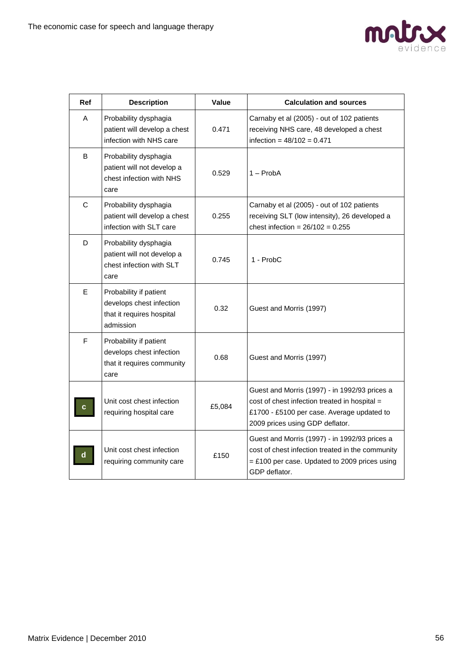

| Ref         | <b>Description</b>                                                                           | Value  | <b>Calculation and sources</b>                                                                                                                                                  |
|-------------|----------------------------------------------------------------------------------------------|--------|---------------------------------------------------------------------------------------------------------------------------------------------------------------------------------|
| A           | Probability dysphagia<br>patient will develop a chest<br>infection with NHS care             | 0.471  | Carnaby et al (2005) - out of 102 patients<br>receiving NHS care, 48 developed a chest<br>infection = $48/102 = 0.471$                                                          |
| B           | Probability dysphagia<br>patient will not develop a<br>chest infection with NHS<br>care      | 0.529  | $1 - ProbA$                                                                                                                                                                     |
| $\mathsf C$ | Probability dysphagia<br>patient will develop a chest<br>infection with SLT care             | 0.255  | Carnaby et al (2005) - out of 102 patients<br>receiving SLT (low intensity), 26 developed a<br>chest infection = $26/102 = 0.255$                                               |
| D           | Probability dysphagia<br>patient will not develop a<br>chest infection with SLT<br>care      | 0.745  | 1 - ProbC                                                                                                                                                                       |
| E           | Probability if patient<br>develops chest infection<br>that it requires hospital<br>admission | 0.32   | Guest and Morris (1997)                                                                                                                                                         |
| F           | Probability if patient<br>develops chest infection<br>that it requires community<br>care     | 0.68   | Guest and Morris (1997)                                                                                                                                                         |
|             | Unit cost chest infection<br>requiring hospital care                                         | £5,084 | Guest and Morris (1997) - in 1992/93 prices a<br>cost of chest infection treated in hospital =<br>£1700 - £5100 per case. Average updated to<br>2009 prices using GDP deflator. |
| d           | Unit cost chest infection<br>requiring community care                                        | £150   | Guest and Morris (1997) - in 1992/93 prices a<br>cost of chest infection treated in the community<br>$=$ £100 per case. Updated to 2009 prices using<br>GDP deflator.           |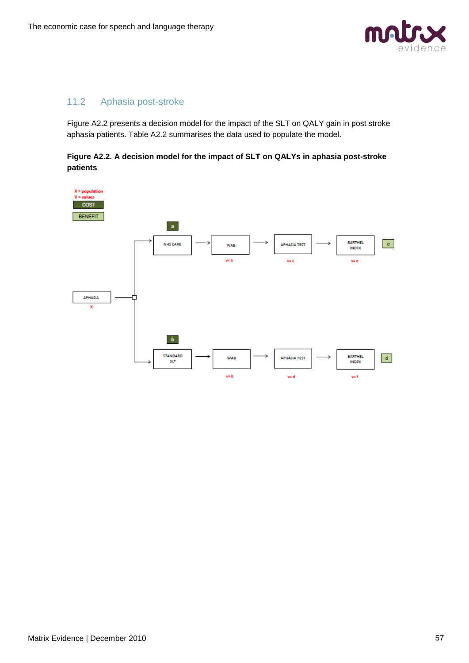

## 11.2 Aphasia post-stroke

Figure A2.2 presents a decision model for the impact of the SLT on QALY gain in post stroke aphasia patients. Table A2.2 summarises the data used to populate the model.

**Figure A2.2. A decision model for the impact of SLT on QALYs in aphasia post-stroke patients**

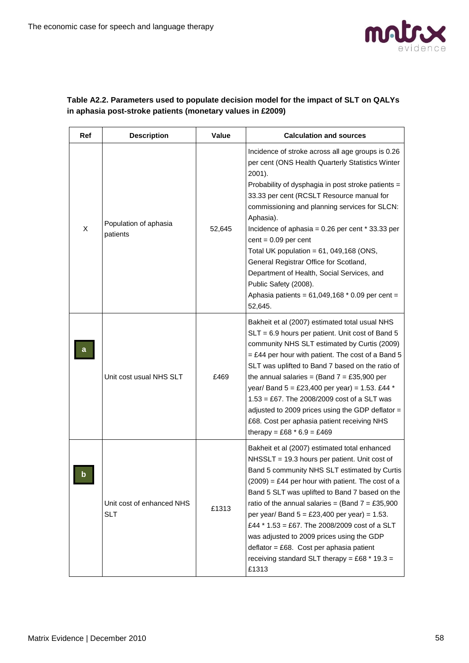

#### **Table A2.2. Parameters used to populate decision model for the impact of SLT on QALYs in aphasia post-stroke patients (monetary values in £2009)**

| Ref | <b>Description</b>                      | Value  | <b>Calculation and sources</b>                                                                                                                                                                                                                                                                                                                                                                                                                                                                                                                                                                    |
|-----|-----------------------------------------|--------|---------------------------------------------------------------------------------------------------------------------------------------------------------------------------------------------------------------------------------------------------------------------------------------------------------------------------------------------------------------------------------------------------------------------------------------------------------------------------------------------------------------------------------------------------------------------------------------------------|
| X   | Population of aphasia<br>patients       | 52,645 | Incidence of stroke across all age groups is 0.26<br>per cent (ONS Health Quarterly Statistics Winter<br>2001).<br>Probability of dysphagia in post stroke patients =<br>33.33 per cent (RCSLT Resource manual for<br>commissioning and planning services for SLCN:<br>Aphasia).<br>Incidence of aphasia = $0.26$ per cent $*$ 33.33 per<br>$cent = 0.09$ per cent<br>Total UK population = $61$ , 049,168 (ONS,<br>General Registrar Office for Scotland,<br>Department of Health, Social Services, and<br>Public Safety (2008).<br>Aphasia patients = $61,049,168 * 0.09$ per cent =<br>52,645. |
|     | Unit cost usual NHS SLT                 | £469   | Bakheit et al (2007) estimated total usual NHS<br>SLT = 6.9 hours per patient. Unit cost of Band 5<br>community NHS SLT estimated by Curtis (2009)<br>$=$ £44 per hour with patient. The cost of a Band 5<br>SLT was uplifted to Band 7 based on the ratio of<br>the annual salaries = (Band $7 = £35,900$ per<br>year/ Band $5 = \text{\textsterling}23,400$ per year) = 1.53. £44 *<br>$1.53 = £67$ . The 2008/2009 cost of a SLT was<br>adjusted to 2009 prices using the GDP deflator =<br>£68. Cost per aphasia patient receiving NHS<br>therapy = £68 $*$ 6.9 = £469                        |
|     | Unit cost of enhanced NHS<br><b>SLT</b> | £1313  | Bakheit et al (2007) estimated total enhanced<br>NHSSLT = 19.3 hours per patient. Unit cost of<br>Band 5 community NHS SLT estimated by Curtis<br>$(2009)$ = £44 per hour with patient. The cost of a<br>Band 5 SLT was uplifted to Band 7 based on the<br>ratio of the annual salaries = (Band $7 = £35,900$<br>per year/ Band $5 = £23,400$ per year) = 1.53.<br>£44 * 1.53 = £67. The 2008/2009 cost of a SLT<br>was adjusted to 2009 prices using the GDP<br>$deflator = £68. Cost per aphasia patient$<br>receiving standard SLT therapy = £68 $*$ 19.3 =<br>£1313                           |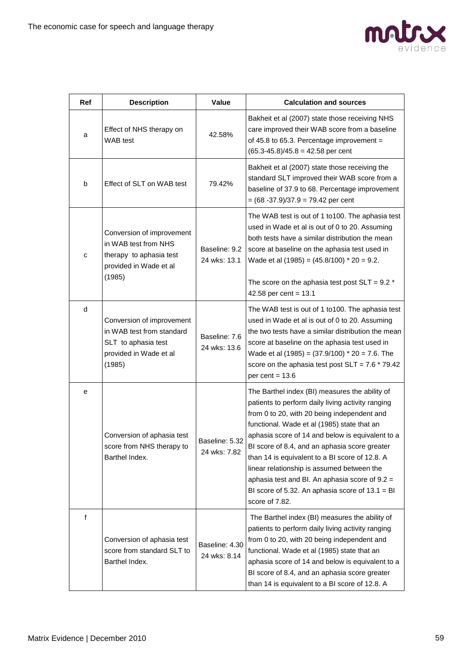

| <b>Ref</b> | <b>Description</b>                                                                                                | Value                          | <b>Calculation and sources</b>                                                                                                                                                                                                                                                                                                                                                                                                                                                                                                           |
|------------|-------------------------------------------------------------------------------------------------------------------|--------------------------------|------------------------------------------------------------------------------------------------------------------------------------------------------------------------------------------------------------------------------------------------------------------------------------------------------------------------------------------------------------------------------------------------------------------------------------------------------------------------------------------------------------------------------------------|
| a          | Effect of NHS therapy on<br>WAB test                                                                              | 42.58%                         | Bakheit et al (2007) state those receiving NHS<br>care improved their WAB score from a baseline<br>of 45.8 to 65.3. Percentage improvement =<br>$(65.3-45.8)/45.8 = 42.58$ per cent                                                                                                                                                                                                                                                                                                                                                      |
| b          | Effect of SLT on WAB test                                                                                         | 79.42%                         | Bakheit et al (2007) state those receiving the<br>standard SLT improved their WAB score from a<br>baseline of 37.9 to 68. Percentage improvement<br>$= (68 - 37.9)/37.9 = 79.42$ per cent                                                                                                                                                                                                                                                                                                                                                |
| c          | Conversion of improvement<br>in WAB test from NHS<br>therapy to aphasia test<br>provided in Wade et al<br>(1985)  | Baseline: 9.2<br>24 wks: 13.1  | The WAB test is out of 1 to100. The aphasia test<br>used in Wade et al is out of 0 to 20. Assuming<br>both tests have a similar distribution the mean<br>score at baseline on the aphasia test used in<br>Wade et al $(1985) = (45.8/100) * 20 = 9.2$ .<br>The score on the aphasia test post $SLT = 9.2$ *<br>42.58 per cent = $13.1$                                                                                                                                                                                                   |
| d          | Conversion of improvement<br>in WAB test from standard<br>SLT to aphasia test<br>provided in Wade et al<br>(1985) | Baseline: 7.6<br>24 wks: 13.6  | The WAB test is out of 1 to100. The aphasia test<br>used in Wade et al is out of 0 to 20. Assuming<br>the two tests have a similar distribution the mean<br>score at baseline on the aphasia test used in<br>Wade et al $(1985) = (37.9/100) * 20 = 7.6$ . The<br>score on the aphasia test post $SLT = 7.6 * 79.42$<br>per cent = $13.6$                                                                                                                                                                                                |
| е          | Conversion of aphasia test<br>score from NHS therapy to<br>Barthel Index.                                         | Baseline: 5.32<br>24 wks: 7.82 | The Barthel index (BI) measures the ability of<br>patients to perform daily living activity ranging<br>from 0 to 20, with 20 being independent and<br>functional. Wade et al (1985) state that an<br>aphasia score of 14 and below is equivalent to a<br>BI score of 8.4, and an aphasia score greater<br>than 14 is equivalent to a BI score of 12.8. A<br>linear relationship is assumed between the<br>aphasia test and BI. An aphasia score of $9.2 =$<br>BI score of 5.32. An aphasia score of $13.1 = \text{BI}$<br>score of 7.82. |
| f          | Conversion of aphasia test<br>score from standard SLT to<br>Barthel Index.                                        | Baseline: 4.30<br>24 wks: 8.14 | The Barthel index (BI) measures the ability of<br>patients to perform daily living activity ranging<br>from 0 to 20, with 20 being independent and<br>functional. Wade et al (1985) state that an<br>aphasia score of 14 and below is equivalent to a<br>BI score of 8.4, and an aphasia score greater<br>than 14 is equivalent to a BI score of 12.8. A                                                                                                                                                                                 |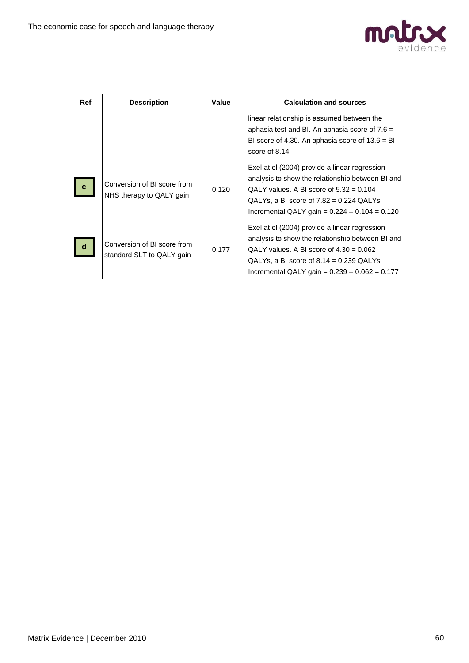

| Ref         | <b>Description</b>                                       | Value | <b>Calculation and sources</b>                                                                                                                                                                                                                  |
|-------------|----------------------------------------------------------|-------|-------------------------------------------------------------------------------------------------------------------------------------------------------------------------------------------------------------------------------------------------|
|             |                                                          |       | linear relationship is assumed between the<br>aphasia test and Bl. An aphasia score of $7.6 =$<br>BI score of 4.30. An aphasia score of $13.6 = \text{BI}$<br>score of 8.14.                                                                    |
| $\mathbf c$ | Conversion of BI score from<br>NHS therapy to QALY gain  | 0.120 | Exel at el (2004) provide a linear regression<br>analysis to show the relationship between BI and<br>QALY values. A BI score of $5.32 = 0.104$<br>QALYs, a BI score of $7.82 = 0.224$ QALYs.<br>Incremental QALY gain = $0.224 - 0.104 = 0.120$ |
| d           | Conversion of BI score from<br>standard SLT to QALY gain | 0.177 | Exel at el (2004) provide a linear regression<br>analysis to show the relationship between BI and<br>QALY values. A BI score of $4.30 = 0.062$<br>QALYs, a BI score of $8.14 = 0.239$ QALYs.<br>Incremental QALY gain = $0.239 - 0.062 = 0.177$ |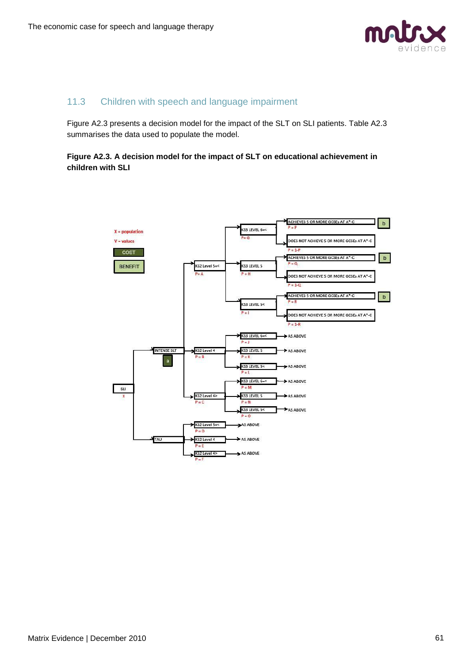

## 11.3 Children with speech and language impairment

Figure A2.3 presents a decision model for the impact of the SLT on SLI patients. Table A2.3 summarises the data used to populate the model.

#### **Figure A2.3. A decision model for the impact of SLT on educational achievement in children with SLI**

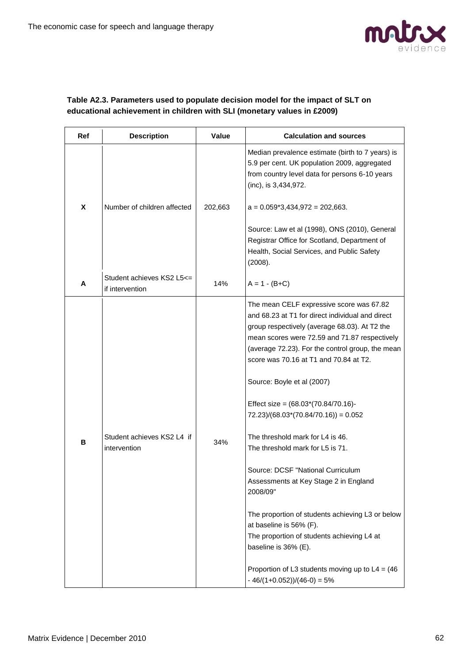

#### **Table A2.3. Parameters used to populate decision model for the impact of SLT on educational achievement in children with SLI (monetary values in £2009)**

| Ref | <b>Description</b>                            | Value   | <b>Calculation and sources</b>                                                                                                                                                                                                                                                                                                                                                                                                                                                                                                                                                                                                                                                                                                                                                                                            |
|-----|-----------------------------------------------|---------|---------------------------------------------------------------------------------------------------------------------------------------------------------------------------------------------------------------------------------------------------------------------------------------------------------------------------------------------------------------------------------------------------------------------------------------------------------------------------------------------------------------------------------------------------------------------------------------------------------------------------------------------------------------------------------------------------------------------------------------------------------------------------------------------------------------------------|
|     |                                               |         | Median prevalence estimate (birth to 7 years) is<br>5.9 per cent. UK population 2009, aggregated<br>from country level data for persons 6-10 years<br>(inc), is 3,434,972.                                                                                                                                                                                                                                                                                                                                                                                                                                                                                                                                                                                                                                                |
| X   | Number of children affected                   | 202,663 | $a = 0.059*3,434,972 = 202,663.$                                                                                                                                                                                                                                                                                                                                                                                                                                                                                                                                                                                                                                                                                                                                                                                          |
|     |                                               |         | Source: Law et al (1998), ONS (2010), General<br>Registrar Office for Scotland, Department of<br>Health, Social Services, and Public Safety<br>(2008).                                                                                                                                                                                                                                                                                                                                                                                                                                                                                                                                                                                                                                                                    |
| A   | Student achieves KS2 L5 <=<br>if intervention | 14%     | $A = 1 - (B + C)$                                                                                                                                                                                                                                                                                                                                                                                                                                                                                                                                                                                                                                                                                                                                                                                                         |
| в   | Student achieves KS2 L4 if<br>intervention    | 34%     | The mean CELF expressive score was 67.82<br>and 68.23 at T1 for direct individual and direct<br>group respectively (average 68.03). At T2 the<br>mean scores were 72.59 and 71.87 respectively<br>(average 72.23). For the control group, the mean<br>score was 70.16 at T1 and 70.84 at T2.<br>Source: Boyle et al (2007)<br>Effect size = $(68.03*(70.84/70.16)$ -<br>$72.23$ /(68.03*(70.84/70.16)) = 0.052<br>The threshold mark for L4 is 46.<br>The threshold mark for L5 is 71.<br>Source: DCSF "National Curriculum<br>Assessments at Key Stage 2 in England<br>2008/09"<br>The proportion of students achieving L3 or below<br>at baseline is 56% (F).<br>The proportion of students achieving L4 at<br>baseline is 36% (E).<br>Proportion of L3 students moving up to $L4 = (46$<br>$-46/(1+0.052)/(46-0) = 5%$ |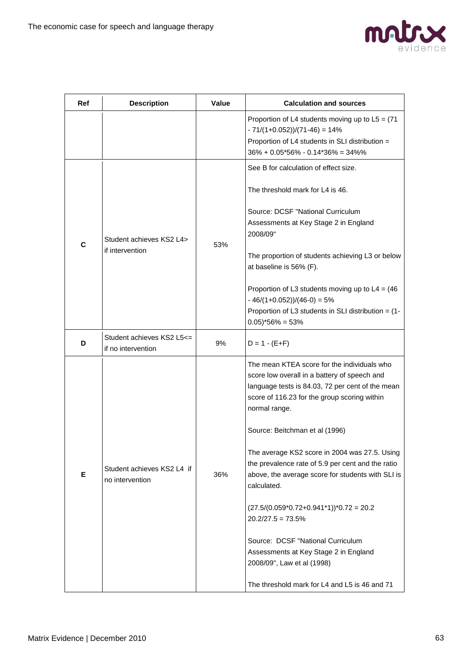

| <b>Ref</b> | <b>Description</b>                              | Value | <b>Calculation and sources</b>                                                                                                                                                                                   |
|------------|-------------------------------------------------|-------|------------------------------------------------------------------------------------------------------------------------------------------------------------------------------------------------------------------|
|            |                                                 |       | Proportion of L4 students moving up to $L5 = (71$<br>$-71/(1+0.052)/(71-46) = 14%$<br>Proportion of L4 students in SLI distribution =<br>$36\% + 0.05*56\% - 0.14*36\% = 34\%$                                   |
|            |                                                 |       | See B for calculation of effect size.                                                                                                                                                                            |
|            | Student achieves KS2 L4><br>if intervention     |       | The threshold mark for L4 is 46.                                                                                                                                                                                 |
| C          |                                                 | 53%   | Source: DCSF "National Curriculum<br>Assessments at Key Stage 2 in England<br>2008/09"                                                                                                                           |
|            |                                                 |       | The proportion of students achieving L3 or below<br>at baseline is 56% (F).                                                                                                                                      |
|            |                                                 |       | Proportion of L3 students moving up to $L4 = (46$<br>$-46/(1+0.052)/(46-0) = 5%$<br>Proportion of L3 students in SLI distribution = (1-<br>$0.05$ <sup>*</sup> 56% = 53%                                         |
| D          | Student achieves KS2 L5<=<br>if no intervention | 9%    | $D = 1 - (E + F)$                                                                                                                                                                                                |
|            | Student achieves KS2 L4 if<br>no intervention   | 36%   | The mean KTEA score for the individuals who<br>score low overall in a battery of speech and<br>language tests is 84.03, 72 per cent of the mean<br>score of 116.23 for the group scoring within<br>normal range. |
|            |                                                 |       | Source: Beitchman et al (1996)                                                                                                                                                                                   |
| Е.         |                                                 |       | The average KS2 score in 2004 was 27.5. Using<br>the prevalence rate of 5.9 per cent and the ratio<br>above, the average score for students with SLI is<br>calculated.                                           |
|            |                                                 |       | $(27.5/(0.059*0.72+0.941*1))*0.72 = 20.2$<br>$20.2/27.5 = 73.5%$                                                                                                                                                 |
|            |                                                 |       | Source: DCSF "National Curriculum<br>Assessments at Key Stage 2 in England<br>2008/09", Law et al (1998)                                                                                                         |
|            |                                                 |       | The threshold mark for L4 and L5 is 46 and 71                                                                                                                                                                    |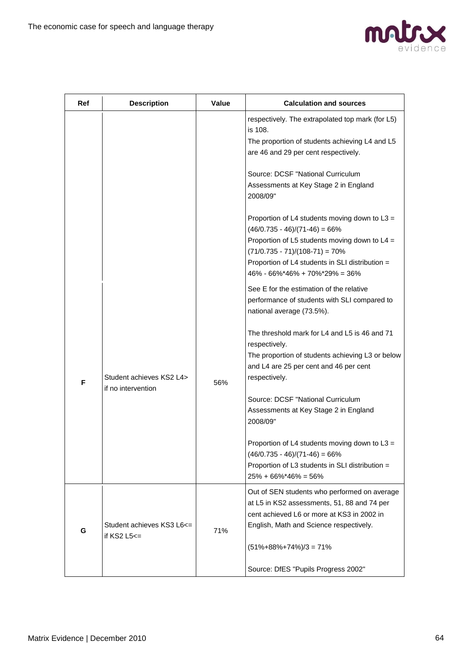

| Ref | <b>Description</b>                                | Value | <b>Calculation and sources</b>                                                                                                                                                                                                                                           |
|-----|---------------------------------------------------|-------|--------------------------------------------------------------------------------------------------------------------------------------------------------------------------------------------------------------------------------------------------------------------------|
|     |                                                   |       | respectively. The extrapolated top mark (for L5)<br>is 108.<br>The proportion of students achieving L4 and L5<br>are 46 and 29 per cent respectively.                                                                                                                    |
|     |                                                   |       | Source: DCSF "National Curriculum<br>Assessments at Key Stage 2 in England<br>2008/09"                                                                                                                                                                                   |
|     |                                                   |       | Proportion of L4 students moving down to L3 =<br>$(46/0.735 - 46)/(71-46) = 66%$<br>Proportion of L5 students moving down to $L4 =$<br>$(71/0.735 - 71)/(108-71) = 70\%$<br>Proportion of L4 students in SLI distribution =<br>$46\% - 66\% * 46\% + 70\% * 29\% = 36\%$ |
|     |                                                   |       | See E for the estimation of the relative<br>performance of students with SLI compared to<br>national average (73.5%).                                                                                                                                                    |
| F   | Student achieves KS2 L4>                          | 56%   | The threshold mark for L4 and L5 is 46 and 71<br>respectively.<br>The proportion of students achieving L3 or below<br>and L4 are 25 per cent and 46 per cent<br>respectively.                                                                                            |
|     | if no intervention                                |       | Source: DCSF "National Curriculum<br>Assessments at Key Stage 2 in England<br>2008/09"                                                                                                                                                                                   |
|     |                                                   |       | Proportion of L4 students moving down to L3 =<br>$(46/0.735 - 46)/(71-46) = 66%$<br>Proportion of L3 students in SLI distribution =<br>$25\% + 66\% * 46\% = 56\%$                                                                                                       |
| G   | Student achieves KS3 L6<=<br>if $KS2$ L5 $\leq$ = | 71%   | Out of SEN students who performed on average<br>at L5 in KS2 assessments, 51, 88 and 74 per<br>cent achieved L6 or more at KS3 in 2002 in<br>English, Math and Science respectively.                                                                                     |
|     |                                                   |       | $(51\% + 88\% + 74\%)/3 = 71\%$<br>Source: DfES "Pupils Progress 2002"                                                                                                                                                                                                   |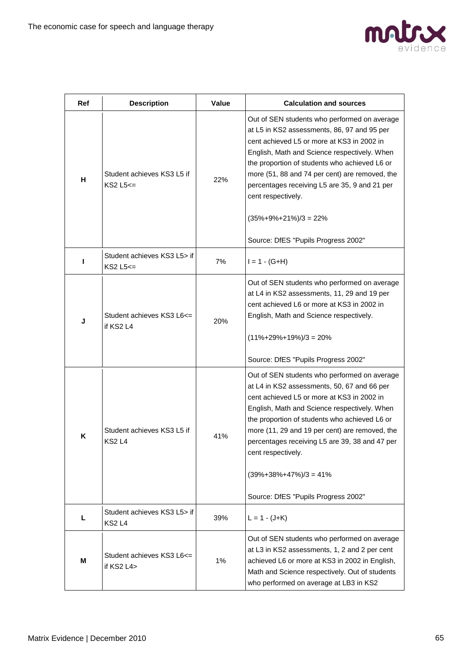

| Ref | <b>Description</b>                            | Value | <b>Calculation and sources</b>                                                                                                                                                                                                                                                                                                                                                                                                                 |
|-----|-----------------------------------------------|-------|------------------------------------------------------------------------------------------------------------------------------------------------------------------------------------------------------------------------------------------------------------------------------------------------------------------------------------------------------------------------------------------------------------------------------------------------|
| н   | Student achieves KS3 L5 if<br>$KS2$ L5 $\leq$ | 22%   | Out of SEN students who performed on average<br>at L5 in KS2 assessments, 86, 97 and 95 per<br>cent achieved L5 or more at KS3 in 2002 in<br>English, Math and Science respectively. When<br>the proportion of students who achieved L6 or<br>more (51, 88 and 74 per cent) are removed, the<br>percentages receiving L5 are 35, 9 and 21 per<br>cent respectively.<br>$(35\% + 9\% + 21\%)/3 = 22\%$                                          |
| ı   | Student achieves KS3 L5> if<br>$KS2$ L5 $<=$  | 7%    | Source: DfES "Pupils Progress 2002"<br>$I = 1 - (G + H)$                                                                                                                                                                                                                                                                                                                                                                                       |
| J   | Student achieves KS3 L6<=<br>if KS2 L4        | 20%   | Out of SEN students who performed on average<br>at L4 in KS2 assessments, 11, 29 and 19 per<br>cent achieved L6 or more at KS3 in 2002 in<br>English, Math and Science respectively.<br>$(11\% + 29\% + 19\%)/3 = 20\%$<br>Source: DfES "Pupils Progress 2002"                                                                                                                                                                                 |
| K   | Student achieves KS3 L5 if<br><b>KS2L4</b>    | 41%   | Out of SEN students who performed on average<br>at L4 in KS2 assessments, 50, 67 and 66 per<br>cent achieved L5 or more at KS3 in 2002 in<br>English, Math and Science respectively. When<br>the proportion of students who achieved L6 or<br>more (11, 29 and 19 per cent) are removed, the<br>percentages receiving L5 are 39, 38 and 47 per<br>cent respectively.<br>$(39\% + 38\% + 47\%)/3 = 41\%$<br>Source: DfES "Pupils Progress 2002" |
| L   | Student achieves KS3 L5> if<br><b>KS2L4</b>   | 39%   | $L = 1 - (J + K)$                                                                                                                                                                                                                                                                                                                                                                                                                              |
| м   | Student achieves KS3 L6<=<br>if KS2 L4>       | 1%    | Out of SEN students who performed on average<br>at L3 in KS2 assessments, 1, 2 and 2 per cent<br>achieved L6 or more at KS3 in 2002 in English,<br>Math and Science respectively. Out of students<br>who performed on average at LB3 in KS2                                                                                                                                                                                                    |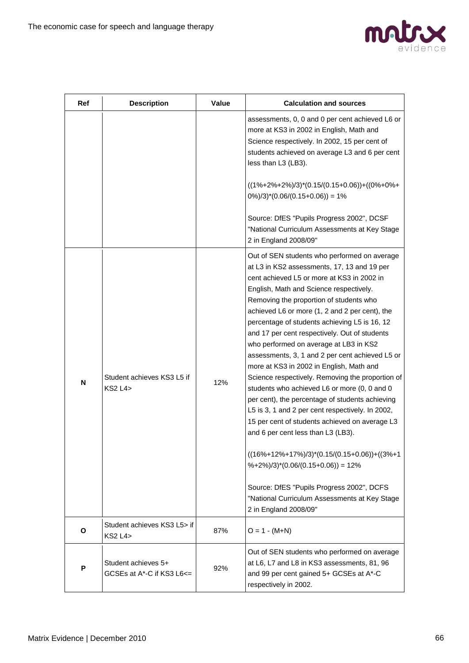

| <b>Ref</b> | <b>Description</b>                                          | <b>Value</b> | <b>Calculation and sources</b>                                                                                                                                                                                                                                                                                                                                                                                                                                                                                                                                                                                                                                                                                                                                                                                                                                                                                                                                                                                                                                             |
|------------|-------------------------------------------------------------|--------------|----------------------------------------------------------------------------------------------------------------------------------------------------------------------------------------------------------------------------------------------------------------------------------------------------------------------------------------------------------------------------------------------------------------------------------------------------------------------------------------------------------------------------------------------------------------------------------------------------------------------------------------------------------------------------------------------------------------------------------------------------------------------------------------------------------------------------------------------------------------------------------------------------------------------------------------------------------------------------------------------------------------------------------------------------------------------------|
|            |                                                             |              | assessments, 0, 0 and 0 per cent achieved L6 or<br>more at KS3 in 2002 in English, Math and<br>Science respectively. In 2002, 15 per cent of<br>students achieved on average L3 and 6 per cent<br>less than L3 (LB3).                                                                                                                                                                                                                                                                                                                                                                                                                                                                                                                                                                                                                                                                                                                                                                                                                                                      |
|            |                                                             |              | $((1\% + 2\% + 2\%)/3)^*(0.15/(0.15+0.06)) + ((0\% + 0\% +$<br>$0\%/3$ <sup>*</sup> $(0.06/(0.15+0.06)) = 1\%$                                                                                                                                                                                                                                                                                                                                                                                                                                                                                                                                                                                                                                                                                                                                                                                                                                                                                                                                                             |
|            |                                                             |              | Source: DfES "Pupils Progress 2002", DCSF<br>"National Curriculum Assessments at Key Stage<br>2 in England 2008/09"                                                                                                                                                                                                                                                                                                                                                                                                                                                                                                                                                                                                                                                                                                                                                                                                                                                                                                                                                        |
| N          | Student achieves KS3 L5 if<br>$KS2$ L <sub>4</sub> $>$      | 12%          | Out of SEN students who performed on average<br>at L3 in KS2 assessments, 17, 13 and 19 per<br>cent achieved L5 or more at KS3 in 2002 in<br>English, Math and Science respectively.<br>Removing the proportion of students who<br>achieved L6 or more (1, 2 and 2 per cent), the<br>percentage of students achieving L5 is 16, 12<br>and 17 per cent respectively. Out of students<br>who performed on average at LB3 in KS2<br>assessments, 3, 1 and 2 per cent achieved L5 or<br>more at KS3 in 2002 in English, Math and<br>Science respectively. Removing the proportion of<br>students who achieved L6 or more (0, 0 and 0<br>per cent), the percentage of students achieving<br>L5 is 3, 1 and 2 per cent respectively. In 2002,<br>15 per cent of students achieved on average L3<br>and 6 per cent less than L3 (LB3).<br>$((16\% + 12\% + 17\%)/3)^*(0.15/(0.15+0.06)) + ((3\% + 1$<br>$%+2\%/3$ <sup>*</sup> $(0.06/(0.15+0.06)) = 12\%$<br>Source: DfES "Pupils Progress 2002", DCFS<br>"National Curriculum Assessments at Key Stage<br>2 in England 2008/09" |
| O          | Student achieves KS3 L5> if<br><b>KS2 L4&gt;</b>            | 87%          | $O = 1 - (M+N)$                                                                                                                                                                                                                                                                                                                                                                                                                                                                                                                                                                                                                                                                                                                                                                                                                                                                                                                                                                                                                                                            |
| P          | Student achieves 5+<br>GCSEs at $A^*$ -C if KS3 L6 $\leq$ = | 92%          | Out of SEN students who performed on average<br>at L6, L7 and L8 in KS3 assessments, 81, 96<br>and 99 per cent gained 5+ GCSEs at A*-C<br>respectively in 2002.                                                                                                                                                                                                                                                                                                                                                                                                                                                                                                                                                                                                                                                                                                                                                                                                                                                                                                            |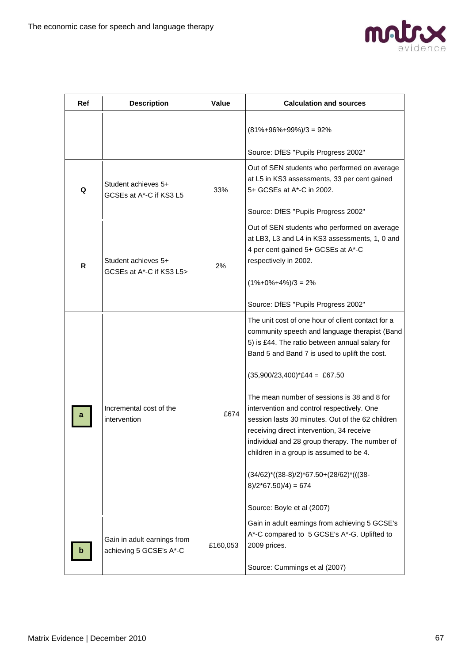

| Ref | <b>Description</b>                                     | Value    | <b>Calculation and sources</b>                                                                                                                                                                                                                                                                                                                                                                                                                                                                                                                                                                                                                                                          |
|-----|--------------------------------------------------------|----------|-----------------------------------------------------------------------------------------------------------------------------------------------------------------------------------------------------------------------------------------------------------------------------------------------------------------------------------------------------------------------------------------------------------------------------------------------------------------------------------------------------------------------------------------------------------------------------------------------------------------------------------------------------------------------------------------|
|     |                                                        |          | $(81\% + 96\% + 99\%)/3 = 92\%$                                                                                                                                                                                                                                                                                                                                                                                                                                                                                                                                                                                                                                                         |
|     |                                                        |          | Source: DfES "Pupils Progress 2002"                                                                                                                                                                                                                                                                                                                                                                                                                                                                                                                                                                                                                                                     |
| Q   | Student achieves 5+<br>GCSEs at A*-C if KS3 L5         | 33%      | Out of SEN students who performed on average<br>at L5 in KS3 assessments, 33 per cent gained<br>5+ GCSEs at A*-C in 2002.                                                                                                                                                                                                                                                                                                                                                                                                                                                                                                                                                               |
|     |                                                        |          | Source: DfES "Pupils Progress 2002"                                                                                                                                                                                                                                                                                                                                                                                                                                                                                                                                                                                                                                                     |
| R   | Student achieves 5+<br>GCSEs at A*-C if KS3 L5>        | 2%       | Out of SEN students who performed on average<br>at LB3, L3 and L4 in KS3 assessments, 1, 0 and<br>4 per cent gained 5+ GCSEs at A*-C<br>respectively in 2002.<br>$(1\% + 0\% + 4\%)/3 = 2\%$<br>Source: DfES "Pupils Progress 2002"                                                                                                                                                                                                                                                                                                                                                                                                                                                     |
|     | Incremental cost of the<br>intervention                | £674     | The unit cost of one hour of client contact for a<br>community speech and language therapist (Band<br>5) is £44. The ratio between annual salary for<br>Band 5 and Band 7 is used to uplift the cost.<br>$(35,900/23,400)^*E44 = E67.50$<br>The mean number of sessions is 38 and 8 for<br>intervention and control respectively. One<br>session lasts 30 minutes. Out of the 62 children<br>receiving direct intervention, 34 receive<br>individual and 28 group therapy. The number of<br>children in a group is assumed to be 4.<br>$(34/62)$ <sup>*</sup> $((38-8)/2)$ <sup>*</sup> 67.50+ $(28/62)$ <sup>*</sup> $(((38-$<br>$8)/2*67.50)/4$ ) = 674<br>Source: Boyle et al (2007) |
|     | Gain in adult earnings from<br>achieving 5 GCSE's A*-C | £160,053 | Gain in adult earnings from achieving 5 GCSE's<br>A*-C compared to 5 GCSE's A*-G. Uplifted to<br>2009 prices.<br>Source: Cummings et al (2007)                                                                                                                                                                                                                                                                                                                                                                                                                                                                                                                                          |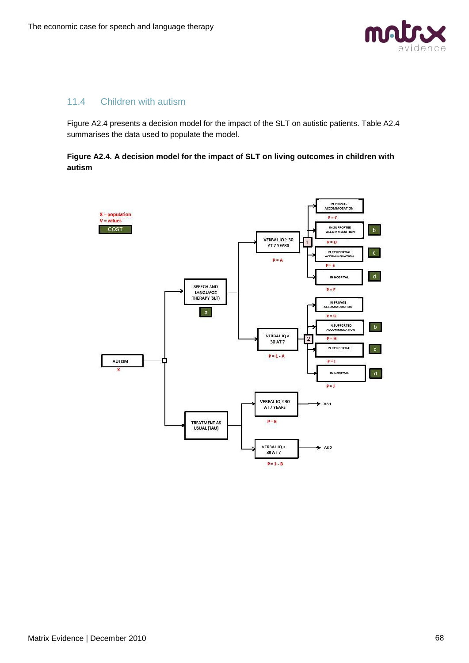

## 11.4 Children with autism

Figure A2.4 presents a decision model for the impact of the SLT on autistic patients. Table A2.4 summarises the data used to populate the model.

#### **Figure A2.4. A decision model for the impact of SLT on living outcomes in children with autism**

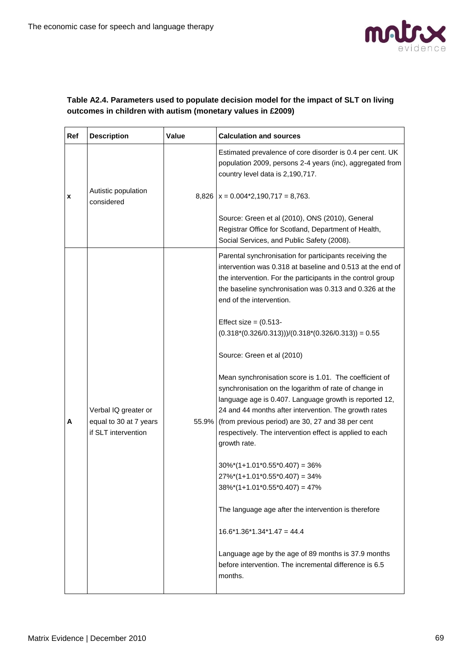

#### **Table A2.4. Parameters used to populate decision model for the impact of SLT on living outcomes in children with autism (monetary values in £2009)**

| Ref | <b>Description</b>                                                    | Value | <b>Calculation and sources</b>                                                                                                                                                                                                                                                                                                                                                                                                                                                                                                                                                                                                                                                                                                                                                                                                                                                                                                                                                                                                                                                                                |
|-----|-----------------------------------------------------------------------|-------|---------------------------------------------------------------------------------------------------------------------------------------------------------------------------------------------------------------------------------------------------------------------------------------------------------------------------------------------------------------------------------------------------------------------------------------------------------------------------------------------------------------------------------------------------------------------------------------------------------------------------------------------------------------------------------------------------------------------------------------------------------------------------------------------------------------------------------------------------------------------------------------------------------------------------------------------------------------------------------------------------------------------------------------------------------------------------------------------------------------|
| x   | Autistic population<br>considered                                     |       | Estimated prevalence of core disorder is 0.4 per cent. UK<br>population 2009, persons 2-4 years (inc), aggregated from<br>country level data is 2,190,717.<br>$8,826$   x = 0.004*2,190,717 = 8,763.                                                                                                                                                                                                                                                                                                                                                                                                                                                                                                                                                                                                                                                                                                                                                                                                                                                                                                          |
|     |                                                                       |       | Source: Green et al (2010), ONS (2010), General<br>Registrar Office for Scotland, Department of Health,<br>Social Services, and Public Safety (2008).                                                                                                                                                                                                                                                                                                                                                                                                                                                                                                                                                                                                                                                                                                                                                                                                                                                                                                                                                         |
| A   | Verbal IQ greater or<br>equal to 30 at 7 years<br>if SLT intervention |       | Parental synchronisation for participants receiving the<br>intervention was 0.318 at baseline and 0.513 at the end of<br>the intervention. For the participants in the control group<br>the baseline synchronisation was 0.313 and 0.326 at the<br>end of the intervention.<br>Effect size $= (0.513 -$<br>$(0.318*(0.326/0.313))/(0.318*(0.326/0.313)) = 0.55$<br>Source: Green et al (2010)<br>Mean synchronisation score is 1.01. The coefficient of<br>synchronisation on the logarithm of rate of change in<br>language age is 0.407. Language growth is reported 12,<br>24 and 44 months after intervention. The growth rates<br>55.9% (from previous period) are 30, 27 and 38 per cent<br>respectively. The intervention effect is applied to each<br>growth rate.<br>$30\%*(1+1.01*0.55*0.407) = 36\%$<br>$27\%*(1+1.01*0.55*0.407) = 34\%$<br>$38\%*(1+1.01*0.55*0.407) = 47\%$<br>The language age after the intervention is therefore<br>$16.6*1.36*1.34*1.47 = 44.4$<br>Language age by the age of 89 months is 37.9 months<br>before intervention. The incremental difference is 6.5<br>months. |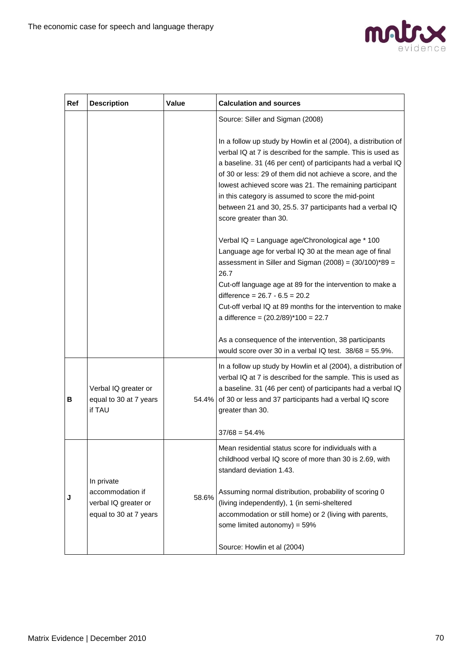

| Ref | <b>Description</b>                                                 | Value | <b>Calculation and sources</b>                                                                                                                                                                                                                                                                                                                                                                                                                                     |
|-----|--------------------------------------------------------------------|-------|--------------------------------------------------------------------------------------------------------------------------------------------------------------------------------------------------------------------------------------------------------------------------------------------------------------------------------------------------------------------------------------------------------------------------------------------------------------------|
|     |                                                                    |       | Source: Siller and Sigman (2008)                                                                                                                                                                                                                                                                                                                                                                                                                                   |
|     |                                                                    |       | In a follow up study by Howlin et al (2004), a distribution of<br>verbal IQ at 7 is described for the sample. This is used as<br>a baseline. 31 (46 per cent) of participants had a verbal IQ<br>of 30 or less: 29 of them did not achieve a score, and the<br>lowest achieved score was 21. The remaining participant<br>in this category is assumed to score the mid-point<br>between 21 and 30, 25.5. 37 participants had a verbal IQ<br>score greater than 30. |
|     |                                                                    |       | Verbal IQ = Language age/Chronological age * 100<br>Language age for verbal IQ 30 at the mean age of final<br>assessment in Siller and Sigman $(2008) = (30/100)^*89 =$<br>26.7<br>Cut-off language age at 89 for the intervention to make a<br>difference = $26.7 - 6.5 = 20.2$<br>Cut-off verbal IQ at 89 months for the intervention to make<br>a difference = $(20.2/89)$ <sup>*</sup> 100 = 22.7                                                              |
|     |                                                                    |       | As a consequence of the intervention, 38 participants<br>would score over 30 in a verbal IQ test. $38/68 = 55.9\%$ .                                                                                                                                                                                                                                                                                                                                               |
| в   | Verbal IQ greater or<br>equal to 30 at 7 years<br>if TAU           |       | In a follow up study by Howlin et al (2004), a distribution of<br>verbal IQ at 7 is described for the sample. This is used as<br>a baseline. 31 (46 per cent) of participants had a verbal IQ<br>54.4% of 30 or less and 37 participants had a verbal IQ score<br>greater than 30.                                                                                                                                                                                 |
|     |                                                                    |       | $37/68 = 54.4%$                                                                                                                                                                                                                                                                                                                                                                                                                                                    |
|     | In private                                                         |       | Mean residential status score for individuals with a<br>childhood verbal IQ score of more than 30 is 2.69, with<br>standard deviation 1.43.                                                                                                                                                                                                                                                                                                                        |
| J   | accommodation if<br>verbal IQ greater or<br>equal to 30 at 7 years | 58.6% | Assuming normal distribution, probability of scoring 0<br>(living independently), 1 (in semi-sheltered<br>accommodation or still home) or 2 (living with parents,<br>some limited autonomy) = $59\%$                                                                                                                                                                                                                                                               |
|     |                                                                    |       | Source: Howlin et al (2004)                                                                                                                                                                                                                                                                                                                                                                                                                                        |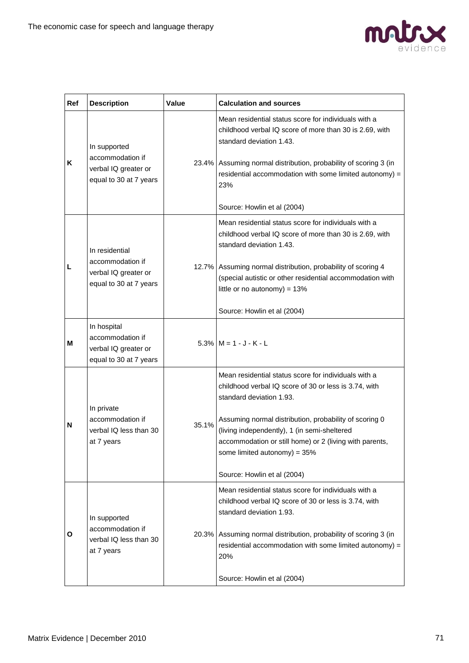

| Ref | <b>Description</b>                                                                   | Value | <b>Calculation and sources</b>                                                                                                                                                                                                                                                                                                                                                  |
|-----|--------------------------------------------------------------------------------------|-------|---------------------------------------------------------------------------------------------------------------------------------------------------------------------------------------------------------------------------------------------------------------------------------------------------------------------------------------------------------------------------------|
| K   | In supported<br>accommodation if<br>verbal IQ greater or<br>equal to 30 at 7 years   |       | Mean residential status score for individuals with a<br>childhood verbal IQ score of more than 30 is 2.69, with<br>standard deviation 1.43.<br>23.4% Assuming normal distribution, probability of scoring 3 (in<br>residential accommodation with some limited autonomy) =<br>23%<br>Source: Howlin et al (2004)                                                                |
| L   | In residential<br>accommodation if<br>verbal IQ greater or<br>equal to 30 at 7 years |       | Mean residential status score for individuals with a<br>childhood verbal IQ score of more than 30 is 2.69, with<br>standard deviation 1.43.<br>12.7% Assuming normal distribution, probability of scoring 4<br>(special autistic or other residential accommodation with<br>little or no autonomy) = $13%$<br>Source: Howlin et al (2004)                                       |
| М   | In hospital<br>accommodation if<br>verbal IQ greater or<br>equal to 30 at 7 years    |       | $5.3\%$ $M = 1 - J - K - L$                                                                                                                                                                                                                                                                                                                                                     |
| N   | In private<br>accommodation if<br>verbal IQ less than 30<br>at 7 years               | 35.1% | Mean residential status score for individuals with a<br>childhood verbal IQ score of 30 or less is 3.74, with<br>standard deviation 1.93.<br>Assuming normal distribution, probability of scoring 0<br>(living independently), 1 (in semi-sheltered<br>accommodation or still home) or 2 (living with parents,<br>some limited autonomy) = $35%$<br>Source: Howlin et al (2004) |
| Ο   | In supported<br>accommodation if<br>verbal IQ less than 30<br>at 7 years             |       | Mean residential status score for individuals with a<br>childhood verbal IQ score of 30 or less is 3.74, with<br>standard deviation 1.93.<br>20.3% Assuming normal distribution, probability of scoring 3 (in<br>residential accommodation with some limited autonomy) =<br>20%<br>Source: Howlin et al (2004)                                                                  |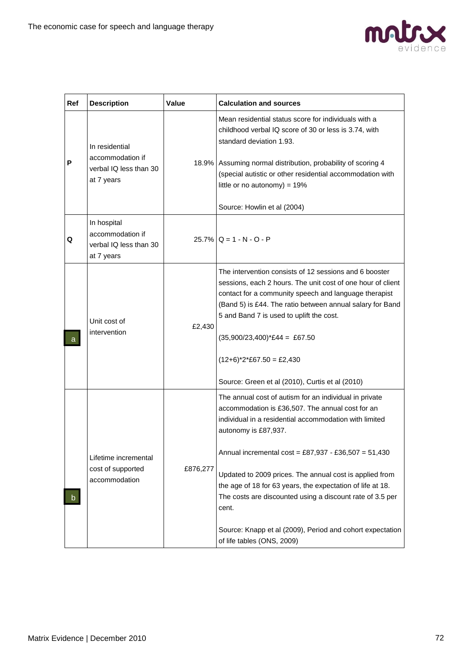

| Ref | <b>Description</b>                                                         | Value    | <b>Calculation and sources</b>                                                                                                                                                                                                                                                                                                                                                                                                                                                                                                                 |
|-----|----------------------------------------------------------------------------|----------|------------------------------------------------------------------------------------------------------------------------------------------------------------------------------------------------------------------------------------------------------------------------------------------------------------------------------------------------------------------------------------------------------------------------------------------------------------------------------------------------------------------------------------------------|
| P   | In residential<br>accommodation if<br>verbal IQ less than 30<br>at 7 years |          | Mean residential status score for individuals with a<br>childhood verbal IQ score of 30 or less is 3.74, with<br>standard deviation 1.93.<br>18.9% Assuming normal distribution, probability of scoring 4<br>(special autistic or other residential accommodation with<br>little or no autonomy) = $19\%$<br>Source: Howlin et al (2004)                                                                                                                                                                                                       |
| Q   | In hospital<br>accommodation if<br>verbal IQ less than 30<br>at 7 years    |          | $25.7\%$ Q = 1 - N - O - P                                                                                                                                                                                                                                                                                                                                                                                                                                                                                                                     |
| a   | Unit cost of<br>intervention                                               | £2,430   | The intervention consists of 12 sessions and 6 booster<br>sessions, each 2 hours. The unit cost of one hour of client<br>contact for a community speech and language therapist<br>(Band 5) is £44. The ratio between annual salary for Band<br>5 and Band 7 is used to uplift the cost.<br>$(35,900/23,400)^*E44 = E67.50$<br>$(12+6)^*2*E67.50 = E2,430$<br>Source: Green et al (2010), Curtis et al (2010)                                                                                                                                   |
| b.  | Lifetime incremental<br>cost of supported<br>accommodation                 | £876,277 | The annual cost of autism for an individual in private<br>accommodation is £36,507. The annual cost for an<br>individual in a residential accommodation with limited<br>autonomy is £87,937.<br>Annual incremental cost = £87,937 - £36,507 = 51,430<br>Updated to 2009 prices. The annual cost is applied from<br>the age of 18 for 63 years, the expectation of life at 18.<br>The costs are discounted using a discount rate of 3.5 per<br>cent.<br>Source: Knapp et al (2009), Period and cohort expectation<br>of life tables (ONS, 2009) |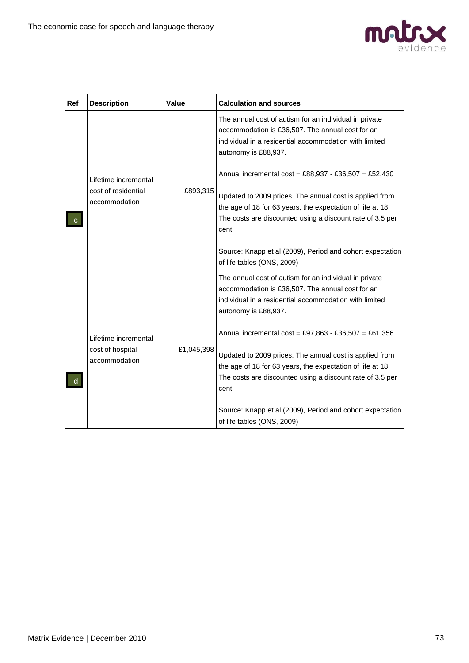

| Ref | <b>Description</b>                                                       | Value      | <b>Calculation and sources</b>                                                                                                                                                                                                                                                                                    |
|-----|--------------------------------------------------------------------------|------------|-------------------------------------------------------------------------------------------------------------------------------------------------------------------------------------------------------------------------------------------------------------------------------------------------------------------|
|     |                                                                          |            | The annual cost of autism for an individual in private<br>accommodation is £36,507. The annual cost for an<br>individual in a residential accommodation with limited<br>autonomy is £88,937.                                                                                                                      |
|     | Lifetime incremental<br>cost of residential<br>£893,315<br>accommodation |            | Annual incremental cost = £88,937 - £36,507 = £52,430<br>Updated to 2009 prices. The annual cost is applied from<br>the age of 18 for 63 years, the expectation of life at 18.<br>The costs are discounted using a discount rate of 3.5 per<br>cent.<br>Source: Knapp et al (2009), Period and cohort expectation |
|     |                                                                          |            | of life tables (ONS, 2009)                                                                                                                                                                                                                                                                                        |
|     |                                                                          |            | The annual cost of autism for an individual in private<br>accommodation is £36,507. The annual cost for an<br>individual in a residential accommodation with limited<br>autonomy is £88,937.                                                                                                                      |
|     | Lifetime incremental                                                     |            | Annual incremental cost = £97,863 - £36,507 = £61,356                                                                                                                                                                                                                                                             |
| d   | cost of hospital<br>accommodation                                        | £1,045,398 | Updated to 2009 prices. The annual cost is applied from<br>the age of 18 for 63 years, the expectation of life at 18.<br>The costs are discounted using a discount rate of 3.5 per<br>cent.                                                                                                                       |
|     |                                                                          |            | Source: Knapp et al (2009), Period and cohort expectation<br>of life tables (ONS, 2009)                                                                                                                                                                                                                           |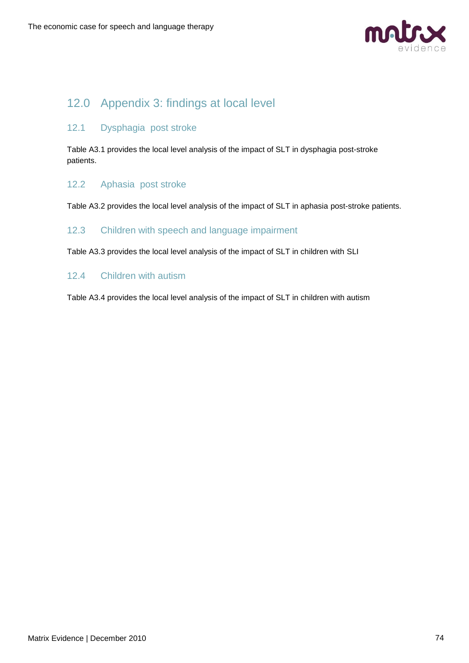

# 12.0 Appendix 3: findings at local level

## 12.1 Dysphagia post stroke

Table A3.1 provides the local level analysis of the impact of SLT in dysphagia post-stroke patients.

### 12.2 Aphasia post stroke

Table A3.2 provides the local level analysis of the impact of SLT in aphasia post-stroke patients.

### 12.3 Children with speech and language impairment

Table A3.3 provides the local level analysis of the impact of SLT in children with SLI

### 12.4 Children with autism

Table A3.4 provides the local level analysis of the impact of SLT in children with autism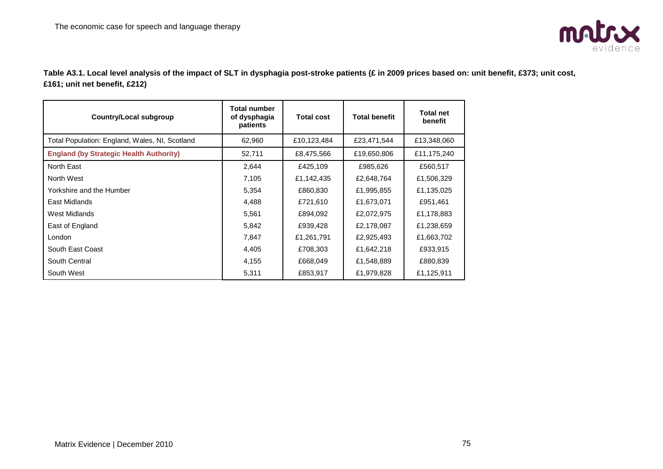

**Table A3.1. Local level analysis of the impact of SLT in dysphagia post-stroke patients (£ in 2009 prices based on: unit benefit, £373; unit cost, £161; unit net benefit, £212)**

| Country/Local subgroup                         | Total number<br>of dysphagia<br>patients | <b>Total cost</b> | <b>Total benefit</b> | <b>Total net</b><br>benefit |
|------------------------------------------------|------------------------------------------|-------------------|----------------------|-----------------------------|
| Total Population: England, Wales, NI, Scotland | 62,960                                   | £10,123,484       | £23,471,544          | £13,348,060                 |
| <b>England (by Strategic Health Authority)</b> | 52,711                                   | £8,475,566        | £19,650,806          | £11,175,240                 |
| North East                                     | 2,644                                    | £425,109          | £985,626             | £560,517                    |
| North West                                     | 7,105                                    | £1,142,435        | £2,648,764           | £1,506,329                  |
| Yorkshire and the Humber                       | 5,354                                    | £860,830          | £1,995,855           | £1,135,025                  |
| East Midlands                                  | 4,488                                    | £721,610          | £1,673,071           | £951,461                    |
| West Midlands                                  | 5,561                                    | £894,092          | £2,072,975           | £1,178,883                  |
| East of England                                | 5,842                                    | £939,428          | £2,178,087           | £1,238,659                  |
| London                                         | 7,847                                    | £1,261,791        | £2,925,493           | £1,663,702                  |
| South East Coast                               | 4,405                                    | £708,303          | £1,642,218           | £933,915                    |
| South Central                                  | 4,155                                    | £668,049          | £1,548,889           | £880,839                    |
| South West                                     | 5,311                                    | £853,917          | £1,979,828           | £1,125,911                  |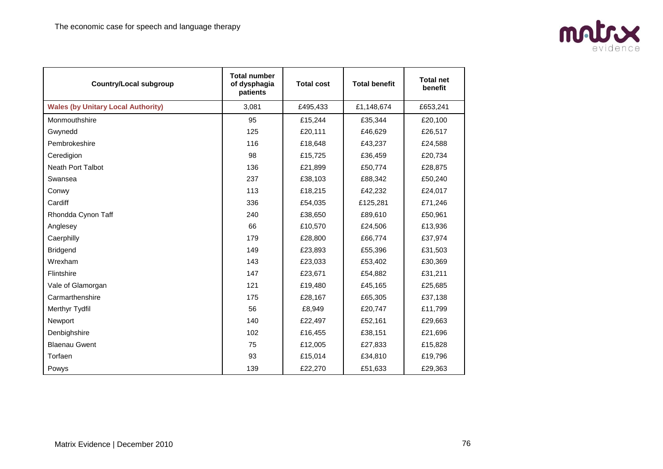

| <b>Country/Local subgroup</b>             | <b>Total number</b><br>of dysphagia<br>patients | <b>Total cost</b> | <b>Total benefit</b> | <b>Total net</b><br>benefit |
|-------------------------------------------|-------------------------------------------------|-------------------|----------------------|-----------------------------|
| <b>Wales (by Unitary Local Authority)</b> | 3,081                                           | £495,433          | £1,148,674           | £653,241                    |
| Monmouthshire                             | 95                                              | £15,244           | £35,344              | £20,100                     |
| Gwynedd                                   | 125                                             | £20,111           | £46,629              | £26,517                     |
| Pembrokeshire                             | 116                                             | £18.648           | £43,237              | £24,588                     |
| Ceredigion                                | 98                                              | £15,725           | £36,459              | £20,734                     |
| <b>Neath Port Talbot</b>                  | 136                                             | £21,899           | £50,774              | £28,875                     |
| Swansea                                   | 237                                             | £38,103           | £88,342              | £50,240                     |
| Conwy                                     | 113                                             | £18,215           | £42,232              | £24,017                     |
| Cardiff                                   | 336                                             | £54,035           | £125,281             | £71,246                     |
| Rhondda Cynon Taff                        | 240                                             | £38,650           | £89,610              | £50,961                     |
| Anglesey                                  | 66                                              | £10,570           | £24,506              | £13,936                     |
| Caerphilly                                | 179                                             | £28,800           | £66,774              | £37,974                     |
| <b>Bridgend</b>                           | 149                                             | £23,893           | £55,396              | £31,503                     |
| Wrexham                                   | 143                                             | £23,033           | £53,402              | £30,369                     |
| Flintshire                                | 147                                             | £23,671           | £54,882              | £31,211                     |
| Vale of Glamorgan                         | 121                                             | £19,480           | £45,165              | £25,685                     |
| Carmarthenshire                           | 175                                             | £28,167           | £65,305              | £37,138                     |
| Merthyr Tydfil                            | 56                                              | £8,949            | £20,747              | £11,799                     |
| Newport                                   | 140                                             | £22,497           | £52,161              | £29,663                     |
| Denbighshire                              | 102                                             | £16,455           | £38,151              | £21,696                     |
| <b>Blaenau Gwent</b>                      | 75                                              | £12,005           | £27,833              | £15,828                     |
| Torfaen                                   | 93                                              | £15,014           | £34,810              | £19,796                     |
| Powys                                     | 139                                             | £22,270           | £51,633              | £29,363                     |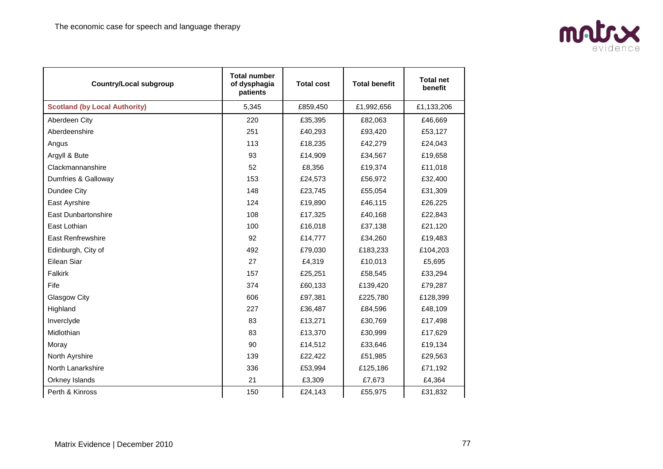

| <b>Country/Local subgroup</b>        | <b>Total number</b><br>of dysphagia<br>patients | <b>Total cost</b> | <b>Total benefit</b> | <b>Total net</b><br>benefit |
|--------------------------------------|-------------------------------------------------|-------------------|----------------------|-----------------------------|
| <b>Scotland (by Local Authority)</b> | 5,345                                           | £859,450          | £1,992,656           | £1,133,206                  |
| Aberdeen City                        | 220                                             | £35,395           | £82,063              | £46,669                     |
| Aberdeenshire                        | 251                                             | £40,293           | £93,420              | £53,127                     |
| Angus                                | 113                                             | £18,235           | £42,279              | £24,043                     |
| Argyll & Bute                        | 93                                              | £14,909           | £34,567              | £19,658                     |
| Clackmannanshire                     | 52                                              | £8,356            | £19,374              | £11,018                     |
| Dumfries & Galloway                  | 153                                             | £24,573           | £56,972              | £32,400                     |
| Dundee City                          | 148                                             | £23,745           | £55,054              | £31,309                     |
| East Ayrshire                        | 124                                             | £19,890           | £46,115              | £26,225                     |
| <b>East Dunbartonshire</b>           | 108                                             | £17,325           | £40,168              | £22,843                     |
| East Lothian                         | 100                                             | £16,018           | £37,138              | £21,120                     |
| East Renfrewshire                    | 92                                              | £14,777           | £34,260              | £19,483                     |
| Edinburgh, City of                   | 492                                             | £79,030           | £183,233             | £104,203                    |
| Eilean Siar                          | 27                                              | £4,319            | £10,013              | £5,695                      |
| Falkirk                              | 157                                             | £25,251           | £58,545              | £33,294                     |
| Fife                                 | 374                                             | £60,133           | £139,420             | £79,287                     |
| Glasgow City                         | 606                                             | £97,381           | £225,780             | £128,399                    |
| Highland                             | 227                                             | £36,487           | £84,596              | £48,109                     |
| Inverclyde                           | 83                                              | £13,271           | £30,769              | £17,498                     |
| Midlothian                           | 83                                              | £13,370           | £30,999              | £17,629                     |
| Moray                                | 90                                              | £14,512           | £33,646              | £19,134                     |
| North Ayrshire                       | 139                                             | £22,422           | £51,985              | £29,563                     |
| North Lanarkshire                    | 336                                             | £53,994           | £125,186             | £71,192                     |
| Orkney Islands                       | 21                                              | £3,309            | £7,673               | £4,364                      |
| Perth & Kinross                      | 150                                             | £24,143           | £55,975              | £31,832                     |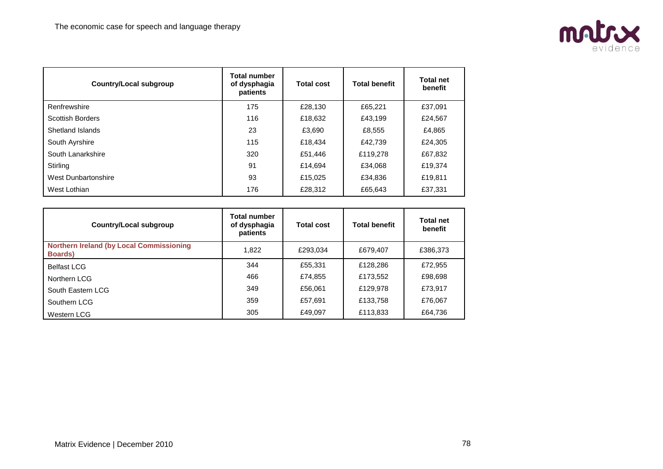

| <b>Country/Local subgroup</b> | <b>Total number</b><br>of dysphagia<br>patients | <b>Total cost</b> | <b>Total benefit</b> | <b>Total net</b><br>benefit |
|-------------------------------|-------------------------------------------------|-------------------|----------------------|-----------------------------|
| Renfrewshire                  | 175                                             | £28,130           | £65,221              | £37,091                     |
| <b>Scottish Borders</b>       | 116                                             | £18,632           | £43.199              | £24,567                     |
| Shetland Islands              | 23                                              | £3,690            | £8,555               | £4,865                      |
| South Ayrshire                | 115                                             | £18,434           | £42,739              | £24,305                     |
| South Lanarkshire             | 320                                             | £51,446           | £119,278             | £67,832                     |
| Stirling                      | 91                                              | £14.694           | £34,068              | £19,374                     |
| West Dunbartonshire           | 93                                              | £15,025           | £34,836              | £19,811                     |
| West Lothian                  | 176                                             | £28,312           | £65,643              | £37,331                     |

| <b>Country/Local subgroup</b>                                      | <b>Total number</b><br>of dysphagia<br>patients | <b>Total cost</b> | <b>Total benefit</b> | <b>Total net</b><br>benefit |
|--------------------------------------------------------------------|-------------------------------------------------|-------------------|----------------------|-----------------------------|
| <b>Northern Ireland (by Local Commissioning</b><br><b>Boards</b> ) | 1,822                                           | £293,034          | £679.407             | £386,373                    |
| <b>Belfast LCG</b>                                                 | 344                                             | £55.331           | £128,286             | £72,955                     |
| Northern LCG                                                       | 466                                             | £74,855           | £173,552             | £98,698                     |
| South Eastern LCG                                                  | 349                                             | £56,061           | £129,978             | £73,917                     |
| Southern LCG                                                       | 359                                             | £57,691           | £133,758             | £76,067                     |
| Western LCG                                                        | 305                                             | £49,097           | £113,833             | £64,736                     |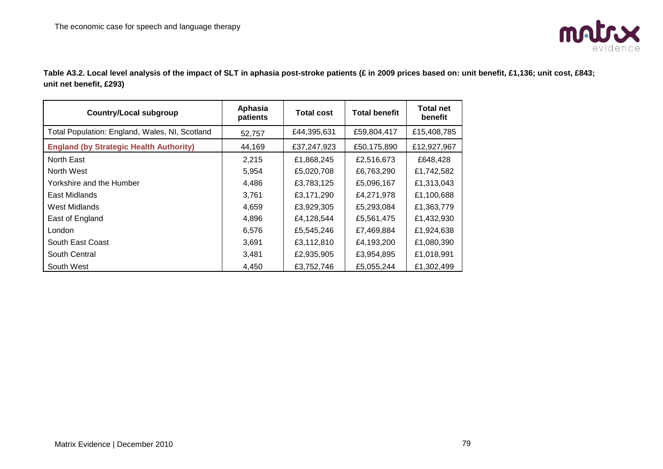

**Table A3.2. Local level analysis of the impact of SLT in aphasia post-stroke patients (£ in 2009 prices based on: unit benefit, £1,136; unit cost, £843; unit net benefit, £293)**

| <b>Country/Local subgroup</b>                  | Aphasia<br>patients | <b>Total cost</b> | <b>Total benefit</b> | <b>Total net</b><br>benefit |
|------------------------------------------------|---------------------|-------------------|----------------------|-----------------------------|
| Total Population: England, Wales, NI, Scotland | 52,757              | £44,395,631       | £59,804,417          | £15,408,785                 |
| <b>England (by Strategic Health Authority)</b> | 44,169              | £37,247,923       | £50,175,890          | £12,927,967                 |
| North East                                     | 2,215               | £1,868,245        | £2,516,673           | £648,428                    |
| North West                                     | 5,954               | £5,020,708        | £6,763,290           | £1,742,582                  |
| Yorkshire and the Humber                       | 4,486               | £3,783,125        | £5,096,167           | £1,313,043                  |
| East Midlands                                  | 3,761               | £3,171,290        | £4,271,978           | £1,100,688                  |
| West Midlands                                  | 4,659               | £3,929,305        | £5,293,084           | £1,363,779                  |
| East of England                                | 4,896               | £4,128,544        | £5,561,475           | £1,432,930                  |
| London                                         | 6,576               | £5,545,246        | £7,469,884           | £1,924,638                  |
| South East Coast                               | 3,691               | £3,112,810        | £4,193,200           | £1,080,390                  |
| South Central                                  | 3,481               | £2,935,905        | £3,954,895           | £1,018,991                  |
| South West                                     | 4,450               | £3,752,746        | £5,055,244           | £1,302,499                  |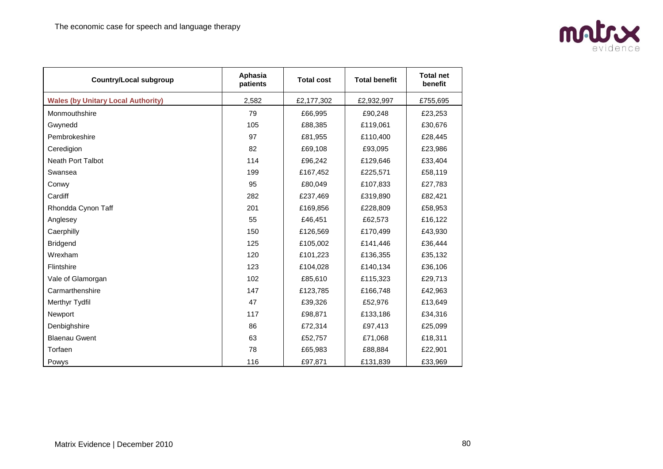

| <b>Country/Local subgroup</b>             | Aphasia<br>patients | <b>Total cost</b> | <b>Total benefit</b> | <b>Total net</b><br>benefit |
|-------------------------------------------|---------------------|-------------------|----------------------|-----------------------------|
| <b>Wales (by Unitary Local Authority)</b> | 2,582               | £2,177,302        | £2,932,997           | £755,695                    |
| Monmouthshire                             | 79                  | £66,995           | £90,248              | £23,253                     |
| Gwynedd                                   | 105                 | £88,385           | £119,061             | £30,676                     |
| Pembrokeshire                             | 97                  | £81,955           | £110,400             | £28,445                     |
| Ceredigion                                | 82                  | £69,108           | £93,095              | £23,986                     |
| Neath Port Talbot                         | 114                 | £96,242           | £129,646             | £33,404                     |
| Swansea                                   | 199                 | £167,452          | £225,571             | £58,119                     |
| Conwy                                     | 95                  | £80,049           | £107,833             | £27,783                     |
| Cardiff                                   | 282                 | £237,469          | £319,890             | £82,421                     |
| Rhondda Cynon Taff                        | 201                 | £169,856          | £228,809             | £58,953                     |
| Anglesey                                  | 55                  | £46,451           | £62,573              | £16,122                     |
| Caerphilly                                | 150                 | £126,569          | £170,499             | £43,930                     |
| <b>Bridgend</b>                           | 125                 | £105,002          | £141,446             | £36,444                     |
| Wrexham                                   | 120                 | £101,223          | £136,355             | £35,132                     |
| Flintshire                                | 123                 | £104,028          | £140,134             | £36,106                     |
| Vale of Glamorgan                         | 102                 | £85,610           | £115,323             | £29,713                     |
| Carmarthenshire                           | 147                 | £123,785          | £166,748             | £42,963                     |
| Merthyr Tydfil                            | 47                  | £39,326           | £52,976              | £13,649                     |
| Newport                                   | 117                 | £98,871           | £133,186             | £34,316                     |
| Denbighshire                              | 86                  | £72,314           | £97,413              | £25,099                     |
| <b>Blaenau Gwent</b>                      | 63                  | £52,757           | £71,068              | £18,311                     |
| Torfaen                                   | 78                  | £65,983           | £88,884              | £22,901                     |
| Powys                                     | 116                 | £97,871           | £131,839             | £33,969                     |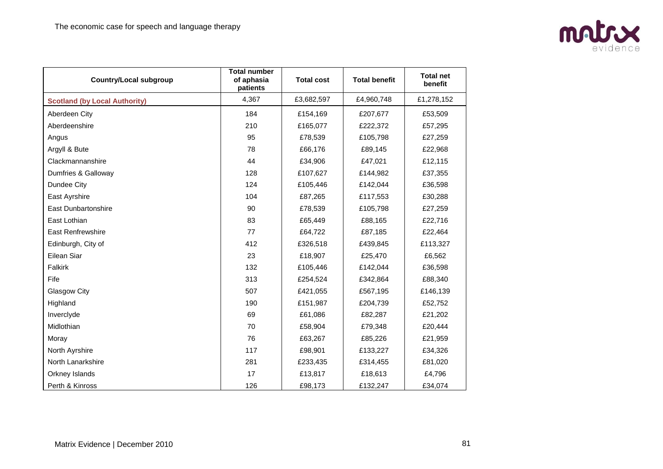

| <b>Country/Local subgroup</b>        | <b>Total number</b><br>of aphasia<br>patients | <b>Total cost</b> | <b>Total benefit</b> | <b>Total net</b><br>benefit |
|--------------------------------------|-----------------------------------------------|-------------------|----------------------|-----------------------------|
| <b>Scotland (by Local Authority)</b> | 4,367                                         | £3,682,597        | £4,960,748           | £1,278,152                  |
| Aberdeen City                        | 184                                           | £154,169          | £207,677             | £53,509                     |
| Aberdeenshire                        | 210                                           | £165,077          | £222,372             | £57,295                     |
| Angus                                | 95                                            | £78,539           | £105,798             | £27,259                     |
| Argyll & Bute                        | 78                                            | £66,176           | £89,145              | £22,968                     |
| Clackmannanshire                     | 44                                            | £34,906           | £47,021              | £12,115                     |
| Dumfries & Galloway                  | 128                                           | £107,627          | £144,982             | £37,355                     |
| Dundee City                          | 124                                           | £105,446          | £142,044             | £36,598                     |
| East Ayrshire                        | 104                                           | £87,265           | £117,553             | £30,288                     |
| <b>East Dunbartonshire</b>           | 90                                            | £78,539           | £105,798             | £27,259                     |
| East Lothian                         | 83                                            | £65,449           | £88,165              | £22,716                     |
| <b>East Renfrewshire</b>             | 77                                            | £64,722           | £87,185              | £22,464                     |
| Edinburgh, City of                   | 412                                           | £326,518          | £439,845             | £113,327                    |
| Eilean Siar                          | 23                                            | £18,907           | £25,470              | £6,562                      |
| Falkirk                              | 132                                           | £105,446          | £142,044             | £36,598                     |
| Fife                                 | 313                                           | £254,524          | £342,864             | £88,340                     |
| Glasgow City                         | 507                                           | £421,055          | £567,195             | £146,139                    |
| Highland                             | 190                                           | £151,987          | £204,739             | £52,752                     |
| Inverclyde                           | 69                                            | £61,086           | £82,287              | £21,202                     |
| Midlothian                           | 70                                            | £58,904           | £79,348              | £20,444                     |
| Moray                                | 76                                            | £63,267           | £85,226              | £21,959                     |
| North Ayrshire                       | 117                                           | £98,901           | £133,227             | £34,326                     |
| North Lanarkshire                    | 281                                           | £233,435          | £314,455             | £81,020                     |
| Orkney Islands                       | 17                                            | £13,817           | £18,613              | £4,796                      |
| Perth & Kinross                      | 126                                           | £98,173           | £132,247             | £34,074                     |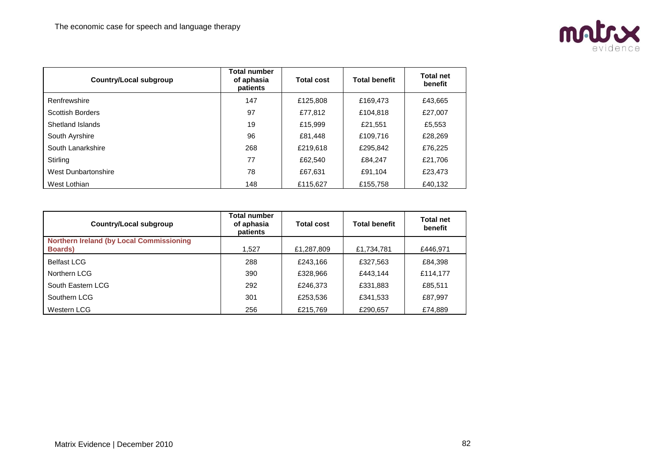

| Country/Local subgroup  | <b>Total number</b><br>of aphasia<br>patients | <b>Total cost</b> | <b>Total benefit</b> | <b>Total net</b><br>benefit |
|-------------------------|-----------------------------------------------|-------------------|----------------------|-----------------------------|
| Renfrewshire            | 147                                           | £125,808          | £169,473             | £43,665                     |
| <b>Scottish Borders</b> | 97                                            | £77,812           | £104,818             | £27,007                     |
| Shetland Islands        | 19                                            | £15,999           | £21,551              | £5,553                      |
| South Ayrshire          | 96                                            | £81,448           | £109.716             | £28,269                     |
| South Lanarkshire       | 268                                           | £219,618          | £295.842             | £76,225                     |
| Stirling                | 77                                            | £62.540           | £84.247              | £21,706                     |
| West Dunbartonshire     | 78                                            | £67.631           | £91.104              | £23,473                     |
| West Lothian            | 148                                           | £115,627          | £155,758             | £40,132                     |

| <b>Country/Local subgroup</b>                                      | <b>Total number</b><br>of aphasia<br>patients | <b>Total cost</b> | <b>Total benefit</b> | Total net<br>benefit |
|--------------------------------------------------------------------|-----------------------------------------------|-------------------|----------------------|----------------------|
| <b>Northern Ireland (by Local Commissioning</b><br><b>Boards</b> ) | 1.527                                         | £1,287,809        | £1,734,781           | £446,971             |
|                                                                    |                                               |                   |                      |                      |
| <b>Belfast LCG</b>                                                 | 288                                           | £243.166          | £327,563             | £84,398              |
| Northern LCG                                                       | 390                                           | £328,966          | £443.144             | £114,177             |
| South Eastern LCG                                                  | 292                                           | £246,373          | £331,883             | £85,511              |
| Southern LCG                                                       | 301                                           | £253,536          | £341,533             | £87,997              |
| Western LCG                                                        | 256                                           | £215,769          | £290,657             | £74,889              |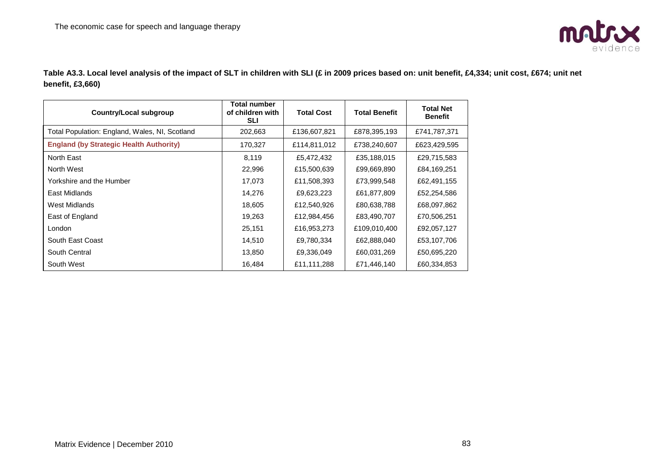

**Table A3.3. Local level analysis of the impact of SLT in children with SLI (£ in 2009 prices based on: unit benefit, £4,334; unit cost, £674; unit net benefit, £3,660)**

| <b>Country/Local subgroup</b>                  | Total number<br>of children with<br><b>SLI</b> | <b>Total Cost</b> | <b>Total Benefit</b> | <b>Total Net</b><br><b>Benefit</b> |
|------------------------------------------------|------------------------------------------------|-------------------|----------------------|------------------------------------|
| Total Population: England, Wales, NI, Scotland | 202,663                                        | £136,607,821      | £878,395,193         | £741,787,371                       |
| <b>England (by Strategic Health Authority)</b> | 170,327                                        | £114,811,012      | £738,240,607         | £623,429,595                       |
| North East                                     | 8,119                                          | £5,472,432        | £35,188,015          | £29,715,583                        |
| North West                                     | 22,996                                         | £15,500,639       | £99,669,890          | £84,169,251                        |
| Yorkshire and the Humber                       | 17,073                                         | £11,508,393       | £73,999,548          | £62,491,155                        |
| East Midlands                                  | 14,276                                         | £9,623,223        | £61,877,809          | £52,254,586                        |
| West Midlands                                  | 18,605                                         | £12,540,926       | £80,638,788          | £68,097,862                        |
| East of England                                | 19,263                                         | £12,984,456       | £83,490,707          | £70,506,251                        |
| London                                         | 25,151                                         | £16,953,273       | £109,010,400         | £92,057,127                        |
| South East Coast                               | 14,510                                         | £9,780,334        | £62,888,040          | £53,107,706                        |
| South Central                                  | 13,850                                         | £9,336,049        | £60,031,269          | £50,695,220                        |
| South West                                     | 16,484                                         | £11,111,288       | £71,446,140          | £60,334,853                        |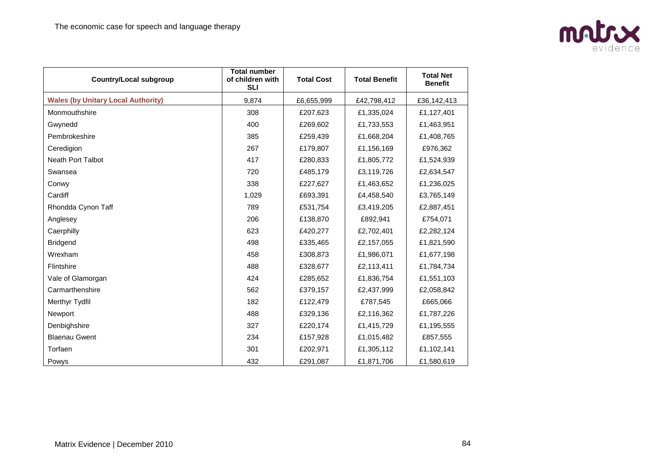

| <b>Country/Local subgroup</b>             | <b>Total number</b><br>of children with<br><b>SLI</b> | <b>Total Cost</b> | <b>Total Benefit</b> | <b>Total Net</b><br><b>Benefit</b> |
|-------------------------------------------|-------------------------------------------------------|-------------------|----------------------|------------------------------------|
| <b>Wales (by Unitary Local Authority)</b> | 9,874                                                 | £6,655,999        | £42,798,412          | £36,142,413                        |
| Monmouthshire                             | 308                                                   | £207,623          | £1,335,024           | £1,127,401                         |
| Gwynedd                                   | 400                                                   | £269,602          | £1,733,553           | £1,463,951                         |
| Pembrokeshire                             | 385                                                   | £259,439          | £1,668,204           | £1,408,765                         |
| Ceredigion                                | 267                                                   | £179,807          | £1,156,169           | £976,362                           |
| Neath Port Talbot                         | 417                                                   | £280,833          | £1,805,772           | £1,524,939                         |
| Swansea                                   | 720                                                   | £485,179          | £3,119,726           | £2,634,547                         |
| Conwy                                     | 338                                                   | £227,627          | £1,463,652           | £1,236,025                         |
| Cardiff                                   | 1,029                                                 | £693,391          | £4,458,540           | £3,765,149                         |
| Rhondda Cynon Taff                        | 789                                                   | £531,754          | £3,419,205           | £2,887,451                         |
| Anglesey                                  | 206                                                   | £138,870          | £892,941             | £754,071                           |
| Caerphilly                                | 623                                                   | £420,277          | £2,702,401           | £2,282,124                         |
| <b>Bridgend</b>                           | 498                                                   | £335,465          | £2,157,055           | £1,821,590                         |
| Wrexham                                   | 458                                                   | £308,873          | £1,986,071           | £1,677,198                         |
| Flintshire                                | 488                                                   | £328,677          | £2,113,411           | £1,784,734                         |
| Vale of Glamorgan                         | 424                                                   | £285,652          | £1,836,754           | £1,551,103                         |
| Carmarthenshire                           | 562                                                   | £379,157          | £2,437,999           | £2,058,842                         |
| Merthyr Tydfil                            | 182                                                   | £122,479          | £787,545             | £665,066                           |
| Newport                                   | 488                                                   | £329,136          | £2,116,362           | £1,787,226                         |
| Denbighshire                              | 327                                                   | £220,174          | £1,415,729           | £1,195,555                         |
| <b>Blaenau Gwent</b>                      | 234                                                   | £157,928          | £1,015,482           | £857,555                           |
| Torfaen                                   | 301                                                   | £202,971          | £1,305,112           | £1,102,141                         |
| Powys                                     | 432                                                   | £291.087          | £1,871,706           | £1,580,619                         |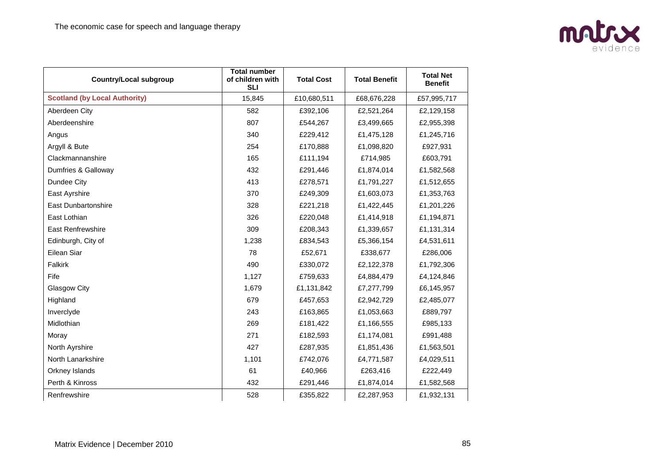

| <b>Country/Local subgroup</b>        | <b>Total number</b><br>of children with<br><b>SLI</b> | <b>Total Cost</b> | <b>Total Benefit</b> | <b>Total Net</b><br><b>Benefit</b> |
|--------------------------------------|-------------------------------------------------------|-------------------|----------------------|------------------------------------|
| <b>Scotland (by Local Authority)</b> | 15,845                                                | £10,680,511       | £68,676,228          | £57,995,717                        |
| Aberdeen City                        | 582                                                   | £392,106          | £2,521,264           | £2,129,158                         |
| Aberdeenshire                        | 807                                                   | £544,267          | £3,499,665           | £2,955,398                         |
| Angus                                | 340                                                   | £229,412          | £1,475,128           | £1,245,716                         |
| Argyll & Bute                        | 254                                                   | £170,888          | £1,098,820           | £927,931                           |
| Clackmannanshire                     | 165                                                   | £111,194          | £714,985             | £603,791                           |
| Dumfries & Galloway                  | 432                                                   | £291,446          | £1,874,014           | £1,582,568                         |
| Dundee City                          | 413                                                   | £278,571          | £1,791,227           | £1,512,655                         |
| East Ayrshire                        | 370                                                   | £249,309          | £1,603,073           | £1,353,763                         |
| <b>East Dunbartonshire</b>           | 328                                                   | £221,218          | £1,422,445           | £1,201,226                         |
| East Lothian                         | 326                                                   | £220,048          | £1,414,918           | £1,194,871                         |
| <b>East Renfrewshire</b>             | 309                                                   | £208,343          | £1,339,657           | £1,131,314                         |
| Edinburgh, City of                   | 1,238                                                 | £834,543          | £5,366,154           | £4,531,611                         |
| Eilean Siar                          | 78                                                    | £52,671           | £338,677             | £286,006                           |
| Falkirk                              | 490                                                   | £330,072          | £2,122,378           | £1,792,306                         |
| Fife                                 | 1,127                                                 | £759,633          | £4,884,479           | £4,124,846                         |
| Glasgow City                         | 1,679                                                 | £1,131,842        | £7,277,799           | £6,145,957                         |
| Highland                             | 679                                                   | £457,653          | £2,942,729           | £2,485,077                         |
| Inverclyde                           | 243                                                   | £163,865          | £1,053,663           | £889,797                           |
| Midlothian                           | 269                                                   | £181,422          | £1,166,555           | £985,133                           |
| Moray                                | 271                                                   | £182,593          | £1,174,081           | £991,488                           |
| North Ayrshire                       | 427                                                   | £287,935          | £1,851,436           | £1,563,501                         |
| North Lanarkshire                    | 1,101                                                 | £742,076          | £4,771,587           | £4,029,511                         |
| Orkney Islands                       | 61                                                    | £40,966           | £263,416             | £222,449                           |
| Perth & Kinross                      | 432                                                   | £291,446          | £1,874,014           | £1,582,568                         |
| Renfrewshire                         | 528                                                   | £355,822          | £2,287,953           | £1,932,131                         |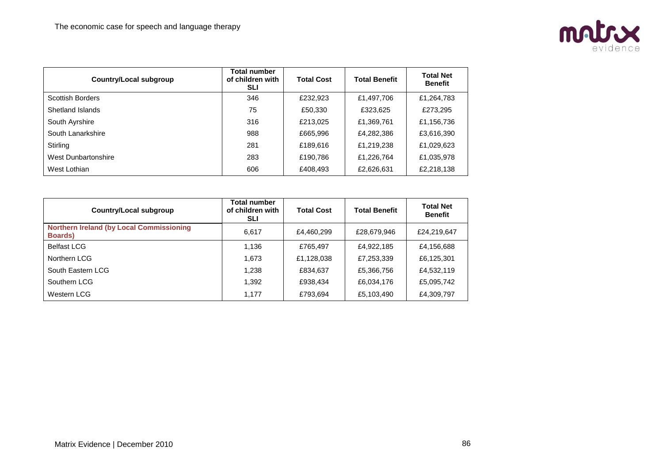

| <b>Country/Local subgroup</b> | <b>Total number</b><br>of children with<br><b>SLI</b> | <b>Total Cost</b> | <b>Total Benefit</b> | <b>Total Net</b><br><b>Benefit</b> |
|-------------------------------|-------------------------------------------------------|-------------------|----------------------|------------------------------------|
| <b>Scottish Borders</b>       | 346                                                   | £232,923          | £1,497,706           | £1,264,783                         |
| Shetland Islands              | 75                                                    | £50,330           | £323,625             | £273,295                           |
| South Ayrshire                | 316                                                   | £213,025          | £1,369,761           | £1,156,736                         |
| South Lanarkshire             | 988                                                   | £665,996          | £4,282,386           | £3,616,390                         |
| Stirling                      | 281                                                   | £189,616          | £1,219,238           | £1,029,623                         |
| West Dunbartonshire           | 283                                                   | £190,786          | £1,226,764           | £1,035,978                         |
| West Lothian                  | 606                                                   | £408,493          | £2,626,631           | £2,218,138                         |

| <b>Country/Local subgroup</b>                                      | <b>Total number</b><br>of children with<br><b>SLI</b> | <b>Total Cost</b> | <b>Total Benefit</b> | <b>Total Net</b><br><b>Benefit</b> |
|--------------------------------------------------------------------|-------------------------------------------------------|-------------------|----------------------|------------------------------------|
| <b>Northern Ireland (by Local Commissioning</b><br><b>Boards</b> ) | 6,617                                                 | £4,460,299        | £28,679,946          | £24,219,647                        |
| <b>Belfast LCG</b>                                                 | 1,136                                                 | £765,497          | £4,922,185           | £4,156,688                         |
| Northern LCG                                                       | 1,673                                                 | £1,128,038        | £7,253,339           | £6,125,301                         |
| South Eastern LCG                                                  | 1,238                                                 | £834,637          | £5,366,756           | £4,532,119                         |
| Southern LCG                                                       | 1,392                                                 | £938,434          | £6,034,176           | £5,095,742                         |
| Western LCG                                                        | 1,177                                                 | £793,694          | £5,103,490           | £4,309,797                         |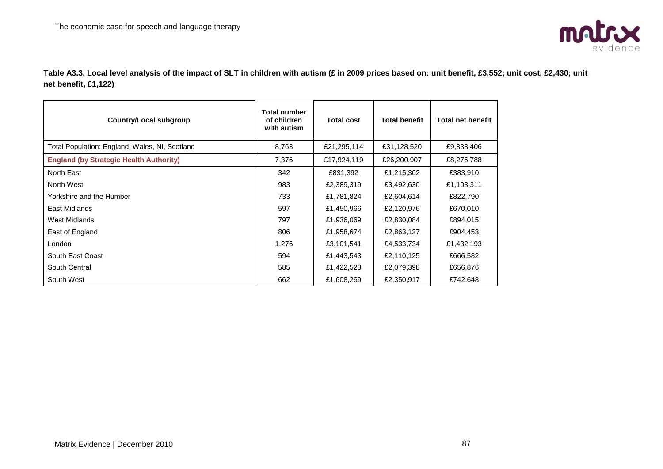

**Table A3.3. Local level analysis of the impact of SLT in children with autism (£ in 2009 prices based on: unit benefit, £3,552; unit cost, £2,430; unit net benefit, £1,122)**

| <b>Country/Local subgroup</b>                  | <b>Total number</b><br>of children<br>with autism | <b>Total cost</b> | <b>Total benefit</b> | <b>Total net benefit</b> |
|------------------------------------------------|---------------------------------------------------|-------------------|----------------------|--------------------------|
| Total Population: England, Wales, NI, Scotland | 8,763                                             | £21,295,114       | £31,128,520          | £9,833,406               |
| <b>England (by Strategic Health Authority)</b> | 7,376                                             | £17,924,119       | £26,200,907          | £8,276,788               |
| North East                                     | 342                                               | £831,392          | £1,215,302           | £383,910                 |
| North West                                     | 983                                               | £2,389,319        | £3,492,630           | £1,103,311               |
| Yorkshire and the Humber                       | 733                                               | £1,781,824        | £2,604,614           | £822,790                 |
| East Midlands                                  | 597                                               | £1,450,966        | £2,120,976           | £670,010                 |
| West Midlands                                  | 797                                               | £1,936,069        | £2,830,084           | £894,015                 |
| East of England                                | 806                                               | £1,958,674        | £2,863,127           | £904,453                 |
| London                                         | 1,276                                             | £3,101,541        | £4,533,734           | £1,432,193               |
| South East Coast                               | 594                                               | £1,443,543        | £2,110,125           | £666,582                 |
| South Central                                  | 585                                               | £1,422,523        | £2,079,398           | £656,876                 |
| South West                                     | 662                                               | £1,608,269        | £2,350,917           | £742,648                 |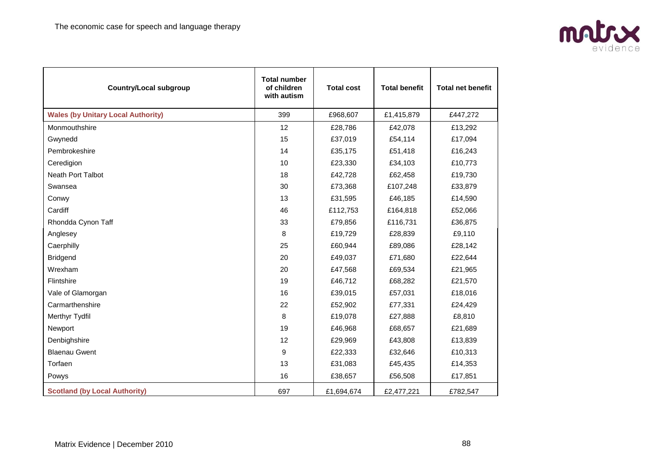

| <b>Country/Local subgroup</b>             | <b>Total number</b><br>of children<br>with autism | <b>Total cost</b> | <b>Total benefit</b> | <b>Total net benefit</b> |
|-------------------------------------------|---------------------------------------------------|-------------------|----------------------|--------------------------|
| <b>Wales (by Unitary Local Authority)</b> | 399                                               | £968,607          | £1,415,879           | £447,272                 |
| Monmouthshire                             | 12                                                | £28,786           | £42,078              | £13,292                  |
| Gwynedd                                   | 15                                                | £37,019           | £54,114              | £17,094                  |
| Pembrokeshire                             | 14                                                | £35,175           | £51,418              | £16,243                  |
| Ceredigion                                | 10                                                | £23,330           | £34,103              | £10,773                  |
| Neath Port Talbot                         | 18                                                | £42,728           | £62,458              | £19,730                  |
| Swansea                                   | 30                                                | £73,368           | £107,248             | £33,879                  |
| Conwy                                     | 13                                                | £31,595           | £46,185              | £14,590                  |
| Cardiff                                   | 46                                                | £112,753          | £164,818             | £52,066                  |
| Rhondda Cynon Taff                        | 33                                                | £79,856           | £116,731             | £36,875                  |
| Anglesey                                  | 8                                                 | £19,729           | £28,839              | £9,110                   |
| Caerphilly                                | 25                                                | £60,944           | £89,086              | £28,142                  |
| <b>Bridgend</b>                           | 20                                                | £49,037           | £71,680              | £22,644                  |
| Wrexham                                   | 20                                                | £47,568           | £69,534              | £21,965                  |
| Flintshire                                | 19                                                | £46,712           | £68,282              | £21,570                  |
| Vale of Glamorgan                         | 16                                                | £39,015           | £57,031              | £18,016                  |
| Carmarthenshire                           | 22                                                | £52,902           | £77,331              | £24,429                  |
| Merthyr Tydfil                            | 8                                                 | £19,078           | £27,888              | £8,810                   |
| Newport                                   | 19                                                | £46,968           | £68,657              | £21,689                  |
| Denbighshire                              | 12                                                | £29,969           | £43,808              | £13,839                  |
| <b>Blaenau Gwent</b>                      | 9                                                 | £22,333           | £32,646              | £10,313                  |
| Torfaen                                   | 13                                                | £31,083           | £45,435              | £14,353                  |
| Powys                                     | 16                                                | £38,657           | £56,508              | £17,851                  |
| <b>Scotland (by Local Authority)</b>      | 697                                               | £1,694,674        | £2,477,221           | £782,547                 |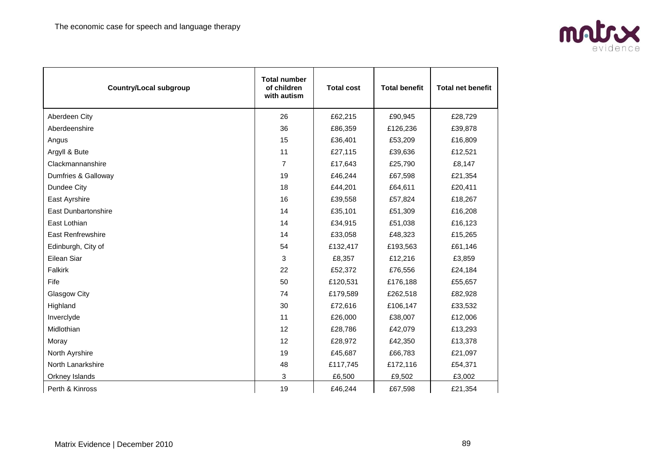

| <b>Country/Local subgroup</b> | <b>Total number</b><br>of children<br>with autism | <b>Total cost</b> | <b>Total benefit</b> | <b>Total net benefit</b> |
|-------------------------------|---------------------------------------------------|-------------------|----------------------|--------------------------|
| Aberdeen City                 | 26                                                | £62,215           | £90,945              | £28,729                  |
| Aberdeenshire                 | 36                                                | £86,359           | £126,236             | £39,878                  |
| Angus                         | 15                                                | £36,401           | £53,209              | £16,809                  |
| Argyll & Bute                 | 11                                                | £27,115           | £39,636              | £12,521                  |
| Clackmannanshire              | $\overline{7}$                                    | £17,643           | £25,790              | £8,147                   |
| Dumfries & Galloway           | 19                                                | £46,244           | £67,598              | £21,354                  |
| Dundee City                   | 18                                                | £44,201           | £64,611              | £20,411                  |
| East Ayrshire                 | 16                                                | £39,558           | £57,824              | £18,267                  |
| <b>East Dunbartonshire</b>    | 14                                                | £35,101           | £51,309              | £16,208                  |
| East Lothian                  | 14                                                | £34,915           | £51,038              | £16,123                  |
| <b>East Renfrewshire</b>      | 14                                                | £33,058           | £48,323              | £15,265                  |
| Edinburgh, City of            | 54                                                | £132,417          | £193,563             | £61,146                  |
| Eilean Siar                   | 3                                                 | £8,357            | £12,216              | £3,859                   |
| Falkirk                       | 22                                                | £52,372           | £76,556              | £24,184                  |
| Fife                          | 50                                                | £120,531          | £176,188             | £55,657                  |
| Glasgow City                  | 74                                                | £179,589          | £262,518             | £82,928                  |
| Highland                      | 30                                                | £72,616           | £106,147             | £33,532                  |
| Inverclyde                    | 11                                                | £26,000           | £38,007              | £12,006                  |
| Midlothian                    | 12                                                | £28,786           | £42,079              | £13,293                  |
| Moray                         | 12                                                | £28,972           | £42,350              | £13,378                  |
| North Ayrshire                | 19                                                | £45,687           | £66,783              | £21,097                  |
| North Lanarkshire             | 48                                                | £117,745          | £172,116             | £54,371                  |
| Orkney Islands                | 3                                                 | £6,500            | £9,502               | £3,002                   |
| Perth & Kinross               | 19                                                | £46,244           | £67,598              | £21,354                  |